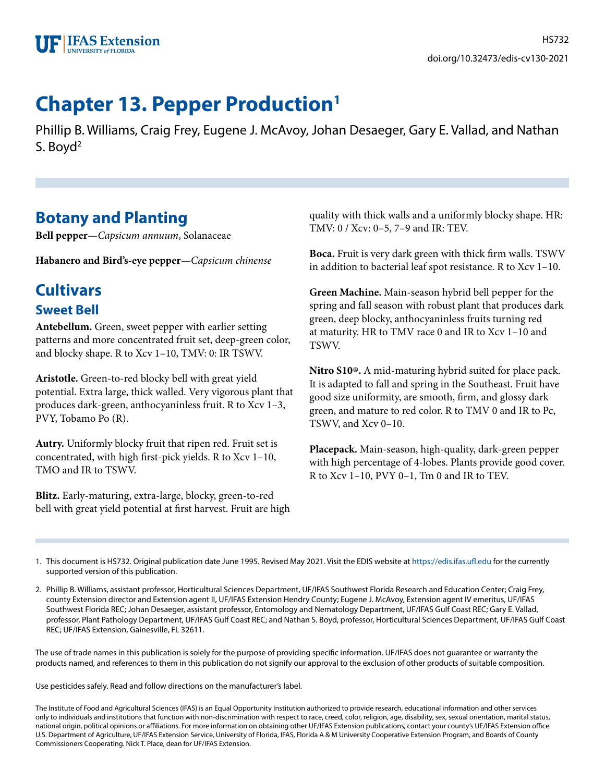

# **Chapter 13. Pepper Production1**

Phillip B. Williams, Craig Frey, Eugene J. McAvoy, Johan Desaeger, Gary E. Vallad, and Nathan S. Boyd<sup>2</sup>

# **Botany and Planting**

**Bell pepper**—*Capsicum annuum*, Solanaceae

**Habanero and Bird's-eye pepper**—*Capsicum chinense*

# **Cultivars**

## **Sweet Bell**

**Antebellum.** Green, sweet pepper with earlier setting patterns and more concentrated fruit set, deep-green color, and blocky shape. R to Xcv 1–10, TMV: 0: IR TSWV.

**Aristotle.** Green-to-red blocky bell with great yield potential. Extra large, thick walled. Very vigorous plant that produces dark-green, anthocyaninless fruit. R to Xcv 1–3, PVY, Tobamo Po (R).

**Autry.** Uniformly blocky fruit that ripen red. Fruit set is concentrated, with high first-pick yields. R to Xcv 1–10, TMO and IR to TSWV.

**Blitz.** Early-maturing, extra-large, blocky, green-to-red bell with great yield potential at first harvest. Fruit are high quality with thick walls and a uniformly blocky shape. HR: TMV: 0 / Xcv: 0–5, 7–9 and IR: TEV.

**Boca.** Fruit is very dark green with thick firm walls. TSWV in addition to bacterial leaf spot resistance. R to Xcv 1–10.

**Green Machine.** Main-season hybrid bell pepper for the spring and fall season with robust plant that produces dark green, deep blocky, anthocyaninless fruits turning red at maturity. HR to TMV race 0 and IR to Xcv 1–10 and TSWV.

**Nitro S10**®**.** A mid-maturing hybrid suited for place pack. It is adapted to fall and spring in the Southeast. Fruit have good size uniformity, are smooth, firm, and glossy dark green, and mature to red color. R to TMV 0 and IR to Pc, TSWV, and Xcv 0–10.

**Placepack.** Main-season, high-quality, dark-green pepper with high percentage of 4-lobes. Plants provide good cover. R to Xcv 1–10, PVY 0–1, Tm 0 and IR to TEV.

1. This document is HS732. Original publication date June 1995. Revised May 2021. Visit the EDIS website at<https://edis.ifas.ufl.edu> for the currently supported version of this publication.

2. Phillip B. Williams, assistant professor, Horticultural Sciences Department, UF/IFAS Southwest Florida Research and Education Center; Craig Frey, county Extension director and Extension agent II, UF/IFAS Extension Hendry County; Eugene J. McAvoy, Extension agent IV emeritus, UF/IFAS Southwest Florida REC; Johan Desaeger, assistant professor, Entomology and Nematology Department, UF/IFAS Gulf Coast REC; Gary E. Vallad, professor, Plant Pathology Department, UF/IFAS Gulf Coast REC; and Nathan S. Boyd, professor, Horticultural Sciences Department, UF/IFAS Gulf Coast REC; UF/IFAS Extension, Gainesville, FL 32611.

The use of trade names in this publication is solely for the purpose of providing specific information. UF/IFAS does not guarantee or warranty the products named, and references to them in this publication do not signify our approval to the exclusion of other products of suitable composition.

Use pesticides safely. Read and follow directions on the manufacturer's label.

The Institute of Food and Agricultural Sciences (IFAS) is an Equal Opportunity Institution authorized to provide research, educational information and other services only to individuals and institutions that function with non-discrimination with respect to race, creed, color, religion, age, disability, sex, sexual orientation, marital status, national origin, political opinions or affiliations. For more information on obtaining other UF/IFAS Extension publications, contact your county's UF/IFAS Extension office. U.S. Department of Agriculture, UF/IFAS Extension Service, University of Florida, IFAS, Florida A & M University Cooperative Extension Program, and Boards of County Commissioners Cooperating. Nick T. Place, dean for UF/IFAS Extension.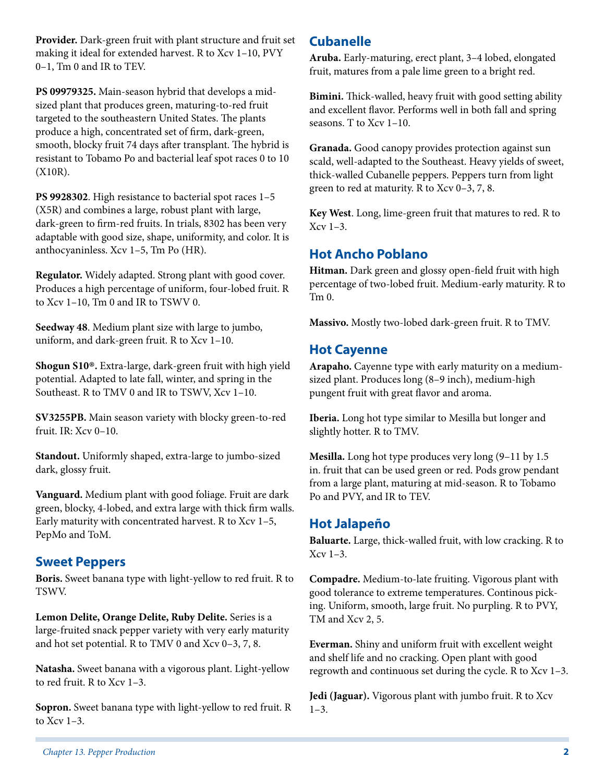**Provider.** Dark-green fruit with plant structure and fruit set making it ideal for extended harvest. R to Xcv 1–10, PVY 0–1, Tm 0 and IR to TEV.

**PS 09979325.** Main-season hybrid that develops a midsized plant that produces green, maturing-to-red fruit targeted to the southeastern United States. The plants produce a high, concentrated set of firm, dark-green, smooth, blocky fruit 74 days after transplant. The hybrid is resistant to Tobamo Po and bacterial leaf spot races 0 to 10 (X10R).

**PS 9928302**. High resistance to bacterial spot races 1–5 (X5R) and combines a large, robust plant with large, dark-green to firm-red fruits. In trials, 8302 has been very adaptable with good size, shape, uniformity, and color. It is anthocyaninless. Xcv 1–5, Tm Po (HR).

**Regulator.** Widely adapted. Strong plant with good cover. Produces a high percentage of uniform, four-lobed fruit. R to Xcv 1–10, Tm 0 and IR to TSWV 0.

**Seedway 48**. Medium plant size with large to jumbo, uniform, and dark-green fruit. R to Xcv 1–10.

**Shogun S10**®**.** Extra-large, dark-green fruit with high yield potential. Adapted to late fall, winter, and spring in the Southeast. R to TMV 0 and IR to TSWV, Xcv 1–10.

**SV3255PB.** Main season variety with blocky green-to-red fruit. IR: Xcv 0–10.

**Standout.** Uniformly shaped, extra-large to jumbo-sized dark, glossy fruit.

**Vanguard.** Medium plant with good foliage. Fruit are dark green, blocky, 4-lobed, and extra large with thick firm walls. Early maturity with concentrated harvest. R to Xcv 1–5, PepMo and ToM.

## **Sweet Peppers**

**Boris.** Sweet banana type with light-yellow to red fruit. R to TSWV.

**Lemon Delite, Orange Delite, Ruby Delite.** Series is a large-fruited snack pepper variety with very early maturity and hot set potential. R to TMV 0 and Xcv 0–3, 7, 8.

**Natasha.** Sweet banana with a vigorous plant. Light-yellow to red fruit. R to Xcv 1–3.

**Sopron.** Sweet banana type with light-yellow to red fruit. R to Xcv 1–3.

## **Cubanelle**

**Aruba.** Early-maturing, erect plant, 3–4 lobed, elongated fruit, matures from a pale lime green to a bright red.

**Bimini.** Thick-walled, heavy fruit with good setting ability and excellent flavor. Performs well in both fall and spring seasons. T to Xcv 1–10.

**Granada.** Good canopy provides protection against sun scald, well-adapted to the Southeast. Heavy yields of sweet, thick-walled Cubanelle peppers. Peppers turn from light green to red at maturity. R to Xcv 0–3, 7, 8.

**Key West**. Long, lime-green fruit that matures to red. R to  $Xcy$  1–3.

## **Hot Ancho Poblano**

**Hitman.** Dark green and glossy open-field fruit with high percentage of two-lobed fruit. Medium-early maturity. R to Tm 0.

**Massivo.** Mostly two-lobed dark-green fruit. R to TMV.

## **Hot Cayenne**

**Arapaho.** Cayenne type with early maturity on a mediumsized plant. Produces long (8–9 inch), medium-high pungent fruit with great flavor and aroma.

**Iberia.** Long hot type similar to Mesilla but longer and slightly hotter. R to TMV.

**Mesilla.** Long hot type produces very long (9–11 by 1.5 in. fruit that can be used green or red. Pods grow pendant from a large plant, maturing at mid-season. R to Tobamo Po and PVY, and IR to TEV.

### **Hot Jalapeño**

**Baluarte.** Large, thick-walled fruit, with low cracking. R to Xcv 1–3.

**Compadre.** Medium-to-late fruiting. Vigorous plant with good tolerance to extreme temperatures. Continous picking. Uniform, smooth, large fruit. No purpling. R to PVY, TM and Xcv 2, 5.

**Everman.** Shiny and uniform fruit with excellent weight and shelf life and no cracking. Open plant with good regrowth and continuous set during the cycle. R to Xcv 1–3.

**Jedi (Jaguar).** Vigorous plant with jumbo fruit. R to Xcv  $1-3.$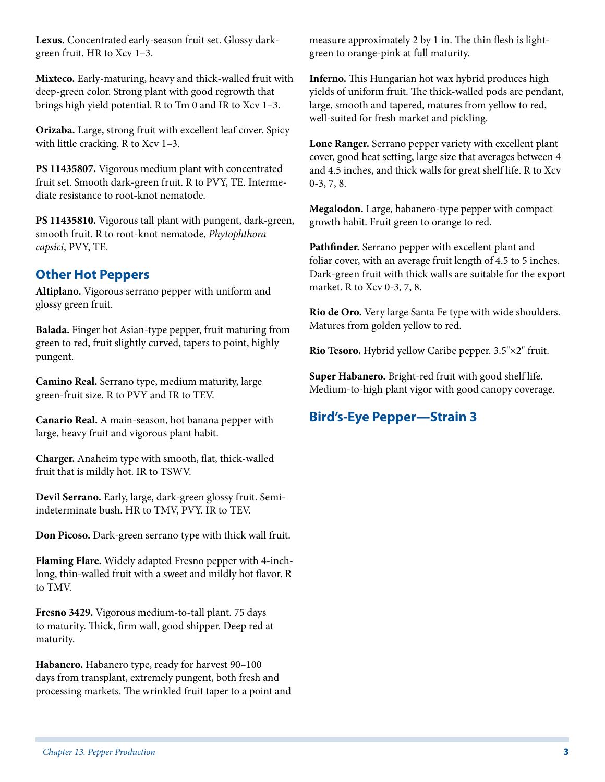**Lexus.** Concentrated early-season fruit set. Glossy darkgreen fruit. HR to Xcv 1–3.

**Mixteco.** Early-maturing, heavy and thick-walled fruit with deep-green color. Strong plant with good regrowth that brings high yield potential. R to Tm 0 and IR to Xcv 1–3.

**Orizaba.** Large, strong fruit with excellent leaf cover. Spicy with little cracking. R to Xcv 1–3.

**PS 11435807.** Vigorous medium plant with concentrated fruit set. Smooth dark-green fruit. R to PVY, TE. Intermediate resistance to root-knot nematode.

**PS 11435810.** Vigorous tall plant with pungent, dark-green, smooth fruit. R to root-knot nematode, *Phytophthora capsici*, PVY, TE.

## **Other Hot Peppers**

**Altiplano.** Vigorous serrano pepper with uniform and glossy green fruit.

**Balada.** Finger hot Asian-type pepper, fruit maturing from green to red, fruit slightly curved, tapers to point, highly pungent.

**Camino Real.** Serrano type, medium maturity, large green-fruit size. R to PVY and IR to TEV.

**Canario Real.** A main-season, hot banana pepper with large, heavy fruit and vigorous plant habit.

**Charger.** Anaheim type with smooth, flat, thick-walled fruit that is mildly hot. IR to TSWV.

**Devil Serrano.** Early, large, dark-green glossy fruit. Semiindeterminate bush. HR to TMV, PVY. IR to TEV.

**Don Picoso.** Dark-green serrano type with thick wall fruit.

**Flaming Flare.** Widely adapted Fresno pepper with 4-inchlong, thin-walled fruit with a sweet and mildly hot flavor. R to TMV.

**Fresno 3429.** Vigorous medium-to-tall plant. 75 days to maturity. Thick, firm wall, good shipper. Deep red at maturity.

**Habanero.** Habanero type, ready for harvest 90–100 days from transplant, extremely pungent, both fresh and processing markets. The wrinkled fruit taper to a point and measure approximately 2 by 1 in. The thin flesh is lightgreen to orange-pink at full maturity.

**Inferno.** This Hungarian hot wax hybrid produces high yields of uniform fruit. The thick-walled pods are pendant, large, smooth and tapered, matures from yellow to red, well-suited for fresh market and pickling.

**Lone Ranger.** Serrano pepper variety with excellent plant cover, good heat setting, large size that averages between 4 and 4.5 inches, and thick walls for great shelf life. R to Xcv 0-3, 7, 8.

**Megalodon.** Large, habanero-type pepper with compact growth habit. Fruit green to orange to red.

**Pathfinder.** Serrano pepper with excellent plant and foliar cover, with an average fruit length of 4.5 to 5 inches. Dark-green fruit with thick walls are suitable for the export market. R to Xcv 0-3, 7, 8.

**Rio de Oro.** Very large Santa Fe type with wide shoulders. Matures from golden yellow to red.

**Rio Tesoro.** Hybrid yellow Caribe pepper. 3.5"×2" fruit.

**Super Habanero.** Bright-red fruit with good shelf life. Medium-to-high plant vigor with good canopy coverage.

## **Bird's-Eye Pepper—Strain 3**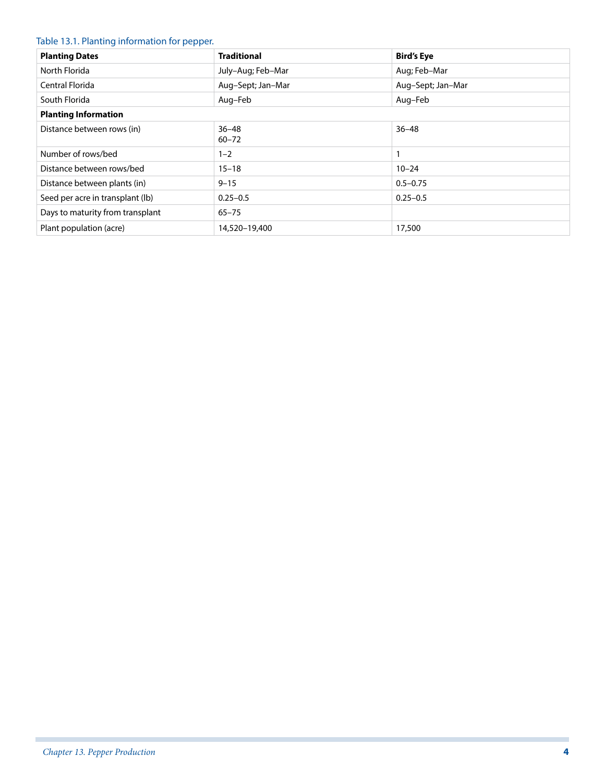#### Table 13.1. Planting information for pepper.

| <b>Planting Dates</b>            | <b>Traditional</b>     | <b>Bird's Eye</b> |
|----------------------------------|------------------------|-------------------|
| North Florida                    | July-Aug; Feb-Mar      | Aug; Feb-Mar      |
| Central Florida                  | Aug-Sept; Jan-Mar      | Aug-Sept; Jan-Mar |
| South Florida                    | Aug–Feb                | Aug-Feb           |
| <b>Planting Information</b>      |                        |                   |
| Distance between rows (in)       | $36 - 48$<br>$60 - 72$ | $36 - 48$         |
| Number of rows/bed               | $1 - 2$                |                   |
| Distance between rows/bed        | $15 - 18$              | $10 - 24$         |
| Distance between plants (in)     | $9 - 15$               | $0.5 - 0.75$      |
| Seed per acre in transplant (lb) | $0.25 - 0.5$           | $0.25 - 0.5$      |
| Days to maturity from transplant | $65 - 75$              |                   |
| Plant population (acre)          | 14,520-19,400          | 17,500            |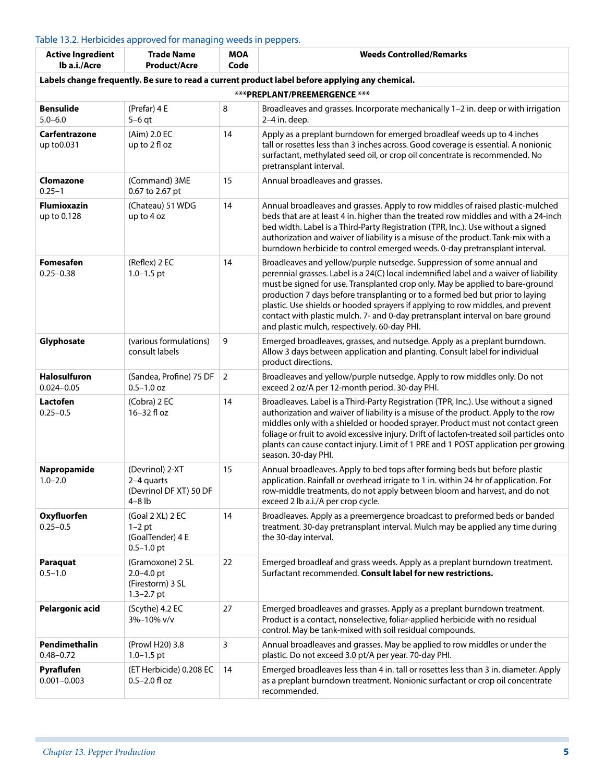### Table 13.2. Herbicides approved for managing weeds in peppers.

| <b>Active Ingredient</b><br>lb a.i./Acre | <b>Trade Name</b><br><b>Product/Acre</b>                                 | <b>MOA</b><br>Code | <b>Weeds Controlled/Remarks</b>                                                                                                                                                                                                                                                                                                                                                                                                                                                                                                                        |
|------------------------------------------|--------------------------------------------------------------------------|--------------------|--------------------------------------------------------------------------------------------------------------------------------------------------------------------------------------------------------------------------------------------------------------------------------------------------------------------------------------------------------------------------------------------------------------------------------------------------------------------------------------------------------------------------------------------------------|
|                                          |                                                                          |                    | Labels change frequently. Be sure to read a current product label before applying any chemical.                                                                                                                                                                                                                                                                                                                                                                                                                                                        |
|                                          |                                                                          |                    | ***PREPLANT/PREEMERGENCE ***                                                                                                                                                                                                                                                                                                                                                                                                                                                                                                                           |
| <b>Bensulide</b><br>$5.0 - 6.0$          | (Prefar) 4 E<br>$5-6$ qt                                                 | 8                  | Broadleaves and grasses. Incorporate mechanically 1-2 in. deep or with irrigation<br>2-4 in. deep.                                                                                                                                                                                                                                                                                                                                                                                                                                                     |
| Carfentrazone<br>up to 0.031             | (Aim) 2.0 EC<br>up to 2 fl oz                                            | 14                 | Apply as a preplant burndown for emerged broadleaf weeds up to 4 inches<br>tall or rosettes less than 3 inches across. Good coverage is essential. A nonionic<br>surfactant, methylated seed oil, or crop oil concentrate is recommended. No<br>pretransplant interval.                                                                                                                                                                                                                                                                                |
| Clomazone<br>$0.25 - 1$                  | (Command) 3ME<br>0.67 to 2.67 pt                                         | 15                 | Annual broadleaves and grasses.                                                                                                                                                                                                                                                                                                                                                                                                                                                                                                                        |
| <b>Flumioxazin</b><br>up to 0.128        | (Chateau) 51 WDG<br>up to 4 oz                                           | 14                 | Annual broadleaves and grasses. Apply to row middles of raised plastic-mulched<br>beds that are at least 4 in. higher than the treated row middles and with a 24-inch<br>bed width. Label is a Third-Party Registration (TPR, Inc.). Use without a signed<br>authorization and waiver of liability is a misuse of the product. Tank-mix with a<br>burndown herbicide to control emerged weeds. 0-day pretransplant interval.                                                                                                                           |
| <b>Fomesafen</b><br>$0.25 - 0.38$        | (Reflex) 2 EC<br>$1.0 - 1.5$ pt                                          | 14                 | Broadleaves and yellow/purple nutsedge. Suppression of some annual and<br>perennial grasses. Label is a 24(C) local indemnified label and a waiver of liability<br>must be signed for use. Transplanted crop only. May be applied to bare-ground<br>production 7 days before transplanting or to a formed bed but prior to laying<br>plastic. Use shields or hooded sprayers if applying to row middles, and prevent<br>contact with plastic mulch. 7- and 0-day pretransplant interval on bare ground<br>and plastic mulch, respectively. 60-day PHI. |
| Glyphosate                               | (various formulations)<br>consult labels                                 | 9                  | Emerged broadleaves, grasses, and nutsedge. Apply as a preplant burndown.<br>Allow 3 days between application and planting. Consult label for individual<br>product directions.                                                                                                                                                                                                                                                                                                                                                                        |
| Halosulfuron<br>$0.024 - 0.05$           | (Sandea, Profine) 75 DF<br>$0.5 - 1.0$ oz                                | $\overline{2}$     | Broadleaves and yellow/purple nutsedge. Apply to row middles only. Do not<br>exceed 2 oz/A per 12-month period. 30-day PHI.                                                                                                                                                                                                                                                                                                                                                                                                                            |
| Lactofen<br>$0.25 - 0.5$                 | (Cobra) 2 EC<br>16-32 fl oz                                              | 14                 | Broadleaves. Label is a Third-Party Registration (TPR, Inc.). Use without a signed<br>authorization and waiver of liability is a misuse of the product. Apply to the row<br>middles only with a shielded or hooded sprayer. Product must not contact green<br>foliage or fruit to avoid excessive injury. Drift of lactofen-treated soil particles onto<br>plants can cause contact injury. Limit of 1 PRE and 1 POST application per growing<br>season. 30-day PHI.                                                                                   |
| Napropamide<br>$1.0 - 2.0$               | (Devrinol) 2-XT<br>2-4 quarts<br>(Devrinol DF XT) 50 DF<br>$4 - 8$ lb    | 15                 | Annual broadleaves. Apply to bed tops after forming beds but before plastic<br>application. Rainfall or overhead irrigate to 1 in. within 24 hr of application. For<br>row-middle treatments, do not apply between bloom and harvest, and do not<br>exceed 2 lb a.i./A per crop cycle.                                                                                                                                                                                                                                                                 |
| Oxyfluorfen<br>$0.25 - 0.5$              | (Goal 2 XL) 2 EC<br>$1-2$ pt<br>(GoalTender) 4 E<br>$0.5 - 1.0$ pt       | 14                 | Broadleaves. Apply as a preemergence broadcast to preformed beds or banded<br>treatment. 30-day pretransplant interval. Mulch may be applied any time during<br>the 30-day interval.                                                                                                                                                                                                                                                                                                                                                                   |
| Paraquat<br>$0.5 - 1.0$                  | (Gramoxone) 2 SL<br>$2.0 - 4.0$ pt<br>(Firestorm) 3 SL<br>$1.3 - 2.7$ pt | 22                 | Emerged broadleaf and grass weeds. Apply as a preplant burndown treatment.<br>Surfactant recommended. Consult label for new restrictions.                                                                                                                                                                                                                                                                                                                                                                                                              |
| Pelargonic acid                          | (Scythe) 4.2 EC<br>3%-10% v/v                                            | 27                 | Emerged broadleaves and grasses. Apply as a preplant burndown treatment.<br>Product is a contact, nonselective, foliar-applied herbicide with no residual<br>control. May be tank-mixed with soil residual compounds.                                                                                                                                                                                                                                                                                                                                  |
| Pendimethalin<br>$0.48 - 0.72$           | (Prowl H20) 3.8<br>$1.0 - 1.5$ pt                                        | 3                  | Annual broadleaves and grasses. May be applied to row middles or under the<br>plastic. Do not exceed 3.0 pt/A per year. 70-day PHI.                                                                                                                                                                                                                                                                                                                                                                                                                    |
| Pyraflufen<br>$0.001 - 0.003$            | (ET Herbicide) 0.208 EC<br>$0.5 - 2.0$ fl oz                             | 14                 | Emerged broadleaves less than 4 in. tall or rosettes less than 3 in. diameter. Apply<br>as a preplant burndown treatment. Nonionic surfactant or crop oil concentrate<br>recommended.                                                                                                                                                                                                                                                                                                                                                                  |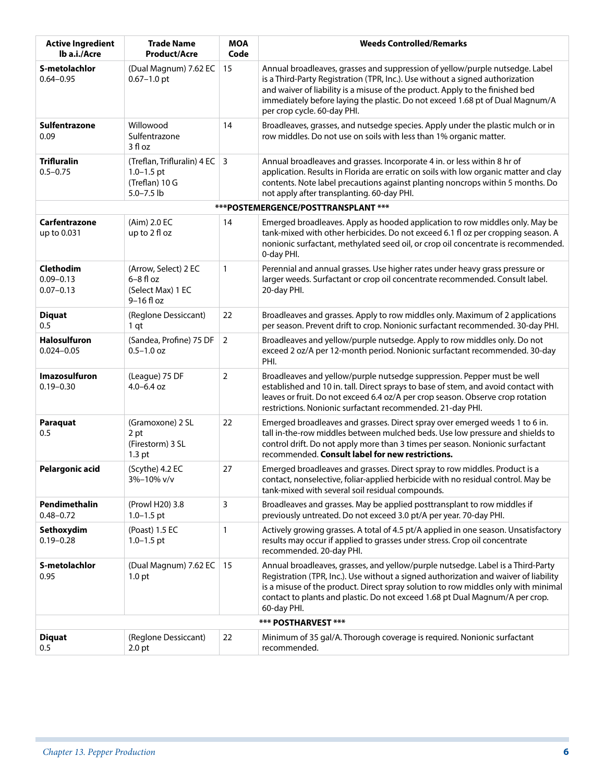| <b>Active Ingredient</b><br>lb a.i./Acre           | <b>Trade Name</b><br><b>Product/Acre</b>                                                    | <b>MOA</b><br>Code | <b>Weeds Controlled/Remarks</b>                                                                                                                                                                                                                                                                                                                                |
|----------------------------------------------------|---------------------------------------------------------------------------------------------|--------------------|----------------------------------------------------------------------------------------------------------------------------------------------------------------------------------------------------------------------------------------------------------------------------------------------------------------------------------------------------------------|
| S-metolachlor<br>$0.64 - 0.95$                     | (Dual Magnum) 7.62 EC<br>$0.67 - 1.0$ pt                                                    | 15                 | Annual broadleaves, grasses and suppression of yellow/purple nutsedge. Label<br>is a Third-Party Registration (TPR, Inc.). Use without a signed authorization<br>and waiver of liability is a misuse of the product. Apply to the finished bed<br>immediately before laying the plastic. Do not exceed 1.68 pt of Dual Magnum/A<br>per crop cycle. 60-day PHI. |
| Sulfentrazone<br>0.09                              | Willowood<br>Sulfentrazone<br>3 fl oz                                                       | 14                 | Broadleaves, grasses, and nutsedge species. Apply under the plastic mulch or in<br>row middles. Do not use on soils with less than 1% organic matter.                                                                                                                                                                                                          |
| <b>Trifluralin</b><br>$0.5 - 0.75$                 | (Treflan, Trifluralin) 4 EC $\vert$ 3<br>$1.0 - 1.5$ pt<br>(Treflan) 10 G<br>$5.0 - 7.5$ lb |                    | Annual broadleaves and grasses. Incorporate 4 in. or less within 8 hr of<br>application. Results in Florida are erratic on soils with low organic matter and clay<br>contents. Note label precautions against planting noncrops within 5 months. Do<br>not apply after transplanting. 60-day PHI.                                                              |
|                                                    |                                                                                             |                    | ***POSTEMERGENCE/POSTTRANSPLANT ***                                                                                                                                                                                                                                                                                                                            |
| Carfentrazone<br>up to 0.031                       | (Aim) 2.0 EC<br>up to 2 fl oz                                                               | 14                 | Emerged broadleaves. Apply as hooded application to row middles only. May be<br>tank-mixed with other herbicides. Do not exceed 6.1 fl oz per cropping season. A<br>nonionic surfactant, methylated seed oil, or crop oil concentrate is recommended.<br>0-day PHI.                                                                                            |
| <b>Clethodim</b><br>$0.09 - 0.13$<br>$0.07 - 0.13$ | (Arrow, Select) 2 EC<br>$6-8$ fl oz<br>(Select Max) 1 EC<br>$9-16$ fl oz                    | $\mathbf{1}$       | Perennial and annual grasses. Use higher rates under heavy grass pressure or<br>larger weeds. Surfactant or crop oil concentrate recommended. Consult label.<br>20-day PHI.                                                                                                                                                                                    |
| <b>Diquat</b><br>0.5                               | (Reglone Dessiccant)<br>1 qt                                                                | 22                 | Broadleaves and grasses. Apply to row middles only. Maximum of 2 applications<br>per season. Prevent drift to crop. Nonionic surfactant recommended. 30-day PHI.                                                                                                                                                                                               |
| <b>Halosulfuron</b><br>$0.024 - 0.05$              | (Sandea, Profine) 75 DF<br>$0.5 - 1.0$ oz                                                   | $\overline{2}$     | Broadleaves and yellow/purple nutsedge. Apply to row middles only. Do not<br>exceed 2 oz/A per 12-month period. Nonionic surfactant recommended. 30-day<br>PHI.                                                                                                                                                                                                |
| <b>Imazosulfuron</b><br>$0.19 - 0.30$              | (League) 75 DF<br>$4.0 - 6.4$ oz                                                            | 2                  | Broadleaves and yellow/purple nutsedge suppression. Pepper must be well<br>established and 10 in. tall. Direct sprays to base of stem, and avoid contact with<br>leaves or fruit. Do not exceed 6.4 oz/A per crop season. Observe crop rotation<br>restrictions. Nonionic surfactant recommended. 21-day PHI.                                                  |
| Paraquat<br>0.5                                    | (Gramoxone) 2 SL<br>2 pt<br>(Firestorm) 3 SL<br>1.3 <sub>pt</sub>                           | 22                 | Emerged broadleaves and grasses. Direct spray over emerged weeds 1 to 6 in.<br>tall in-the-row middles between mulched beds. Use low pressure and shields to<br>control drift. Do not apply more than 3 times per season. Nonionic surfactant<br>recommended. Consult label for new restrictions.                                                              |
| Pelargonic acid                                    | (Scythe) 4.2 EC<br>3%–10% v/v                                                               | 27                 | Emerged broadleaves and grasses. Direct spray to row middles. Product is a<br>contact, nonselective, foliar-applied herbicide with no residual control. May be<br>tank-mixed with several soil residual compounds.                                                                                                                                             |
| Pendimethalin<br>$0.48 - 0.72$                     | (Prowl H20) 3.8<br>$1.0 - 1.5$ pt                                                           | 3                  | Broadleaves and grasses. May be applied posttransplant to row middles if<br>previously untreated. Do not exceed 3.0 pt/A per year. 70-day PHI.                                                                                                                                                                                                                 |
| Sethoxydim<br>$0.19 - 0.28$                        | (Poast) 1.5 EC<br>$1.0 - 1.5$ pt                                                            | 1                  | Actively growing grasses. A total of 4.5 pt/A applied in one season. Unsatisfactory<br>results may occur if applied to grasses under stress. Crop oil concentrate<br>recommended. 20-day PHI.                                                                                                                                                                  |
| S-metolachlor<br>0.95                              | (Dual Magnum) 7.62 EC<br>1.0 <sub>pt</sub>                                                  | 15                 | Annual broadleaves, grasses, and yellow/purple nutsedge. Label is a Third-Party<br>Registration (TPR, Inc.). Use without a signed authorization and waiver of liability<br>is a misuse of the product. Direct spray solution to row middles only with minimal<br>contact to plants and plastic. Do not exceed 1.68 pt Dual Magnum/A per crop.<br>60-day PHI.   |
|                                                    |                                                                                             |                    | *** POSTHARVEST ***                                                                                                                                                                                                                                                                                                                                            |
| <b>Diquat</b><br>0.5                               | (Reglone Dessiccant)<br>2.0 <sub>pt</sub>                                                   | 22                 | Minimum of 35 gal/A. Thorough coverage is required. Nonionic surfactant<br>recommended.                                                                                                                                                                                                                                                                        |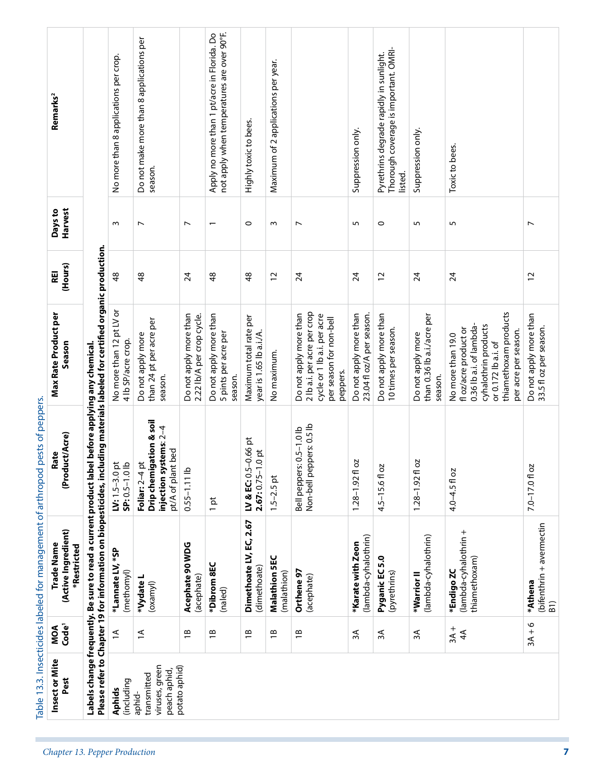|                                                              | Remarks <sup>2</sup>                             |                                                                                                                                                               | No more than 8 applications per crop.          | Do not make more than 8 applications per<br>season.                                                    |                                                     | not apply when temperatures are over 90°F.<br>Apply no more than 1 pt/acre in Florida. Do | Highly toxic to bees.                                  | Maximum of 2 applications per year. |                                                                                                                             | Suppression only.                                   | Thorough coverage is important. OMRI-<br>Pyrethrins degrade rapidly in sunlight.<br>listed. | Suppression only.                                          | Toxic to bees.                                                                                                                                                       |                                                  |
|--------------------------------------------------------------|--------------------------------------------------|---------------------------------------------------------------------------------------------------------------------------------------------------------------|------------------------------------------------|--------------------------------------------------------------------------------------------------------|-----------------------------------------------------|-------------------------------------------------------------------------------------------|--------------------------------------------------------|-------------------------------------|-----------------------------------------------------------------------------------------------------------------------------|-----------------------------------------------------|---------------------------------------------------------------------------------------------|------------------------------------------------------------|----------------------------------------------------------------------------------------------------------------------------------------------------------------------|--------------------------------------------------|
|                                                              | Harvest<br>Days to                               |                                                                                                                                                               | $\sim$                                         | $\overline{ }$                                                                                         | $\overline{ }$                                      | $\overline{\phantom{0}}$                                                                  | $\circ$                                                | S                                   | $\overline{ }$                                                                                                              | 5                                                   | $\circ$                                                                                     | 5                                                          | 5                                                                                                                                                                    | $\overline{\phantom{0}}$                         |
|                                                              | (Hours)<br>REI                                   |                                                                                                                                                               | 48                                             | $\frac{8}{3}$                                                                                          | $\overline{24}$                                     | \$                                                                                        | $\frac{8}{3}$                                          | 12                                  | 24                                                                                                                          | $\overline{24}$                                     | 12                                                                                          | $\overline{24}$                                            | 24                                                                                                                                                                   | $\overline{c}$                                   |
|                                                              | Max Rate Product per<br>Season                   |                                                                                                                                                               | No more than 12 pt LV or<br>4 lb SP/acre crop. | than 24 pt per acre per<br>Do not apply more<br>season.                                                | Do not apply more than<br>2.22 lb/A per crop cycle. | Do not apply more than<br>5 pints per acre per<br>season.                                 | Maximum total rate per<br>year is 1.65 lb a.i./A.      | No maximum                          | 2 lb a.i. per acre per crop<br>Do not apply more than<br>cycle or 1 lb a.i. per acre<br>per season for non-bell<br>peppers. | Do not apply more than<br>23.04 fl oz/A per season. | Do not apply more than<br>10 times per season.                                              | than 0.36 lb a.i./acre per<br>Do not apply more<br>season. | thiamethoxam products<br>0.36 lb a.i. of lambda-<br>cyhalothrin products<br>floz/acre product or<br>per acre per season.<br>No more than 19.0<br>or 0.172 lb a.i. of | Do not apply more than<br>33.5 fl oz per season. |
| pests of peppers                                             | (Product/Acre)<br>Rate                           | Please refer to Chapter 19 for information on biopesticides, including materials labeled for certified organic production<br>el before applying any chemical. | SP: 0.5-1.0 lb<br>$U: 1.5 - 3.0$ pt            | Drip chemigation & soil<br>injection systems: 2-4<br>pt/A of plant bed<br>$\frac{1}{2}$<br>Foliar: 2-4 | $0.55 - 1.11$ lb                                    | 1pt                                                                                       | $-0.66$ pt<br>$1.0$ pt<br>LV & EC: 0.5<br>$2.67:0.75-$ | $1.5 - 2.5$ pt                      | Non-bell peppers: 0.5 lb<br>Bell peppers: 0.5-1.0 lb                                                                        | 20<br>$1.28 - 1.92$ f                               | N<br>$4.5 - 15.6f$ 0                                                                        | 2O<br>$1.28 - 1.92$ fl                                     | 4.0-4.5 fl oz                                                                                                                                                        | 7.0-17.01 oz                                     |
| Table 13.3. Insecticides labeled for management of arthropod | (Active Ingredient)<br>Trade Name<br>*Restricted | Labels change frequently. Be sure to read a current product lab                                                                                               | *Lannate LV, *SP<br>(methomyl)                 | *Vydate L<br>(oxamyl)                                                                                  | Acephate 90 WDG<br>(acephate)                       | *Dibrom 8EC<br>(naled)                                                                    | Dimethoate LV, EC, 2.67<br>(dimethoate)                | Malathion 5EC<br>(malathion)        | Orthene 97<br>(acephate)                                                                                                    | (lambda-cyhalothrin)<br>*Karate with Zeon           | Pyganic EC 5.0<br>(pyrethrins)                                                              | (lambda-cyhalothrin)<br>*Warrior II                        | (lambda-cyhalothrin +<br>thiamethoxam)<br>*Endigo ZC                                                                                                                 | (bifenthrin + avermectin<br>B1)<br>*Athena       |
|                                                              | MOA<br>Code <sup>1</sup>                         |                                                                                                                                                               | $\widetilde{\Xi}$                              | $\overline{a}$                                                                                         | $\overline{B}$                                      | $\overline{18}$                                                                           | $\overline{1}$                                         | $\overline{18}$                     | $\overline{18}$                                                                                                             | λξ                                                  | λŚ                                                                                          | ₹                                                          | $3A +$<br>$4\overline{4}$                                                                                                                                            | $3A + 6$                                         |
|                                                              | Insect or Mite<br>Pest                           |                                                                                                                                                               | (including<br><b>Aphids</b>                    | viruses, green<br>peach aphid,<br>transmitted<br>aphid-                                                | potato aphid)                                       |                                                                                           |                                                        |                                     |                                                                                                                             |                                                     |                                                                                             |                                                            |                                                                                                                                                                      |                                                  |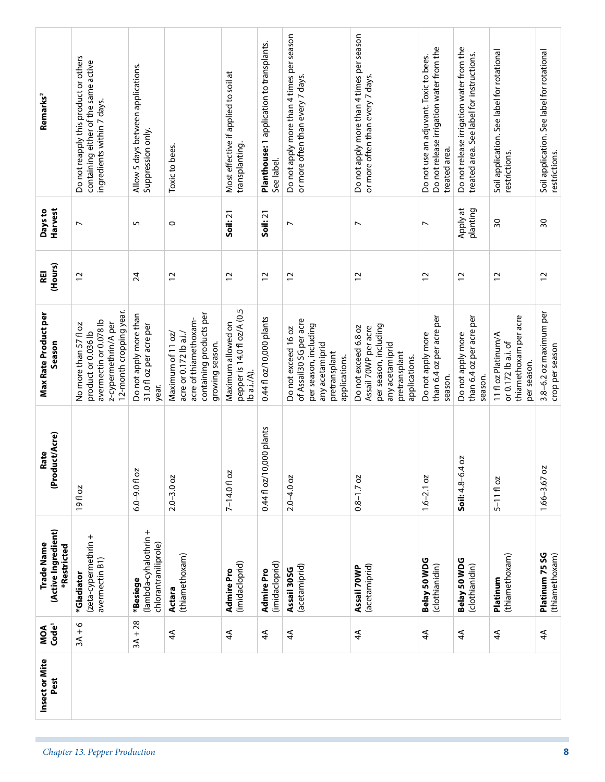| Remarks <sup>2</sup>                             | Do not reapply this product or others<br>containing either of the same active<br>ingredients within 7 days.               | Allow 5 days between applications.<br>Suppression only.    | Toxic to bees.                                                                                                     | Most effective if applied to soil at<br>transplanting.           | Planthouse: 1 application to transplants.<br>See label. | Do not apply more than 4 times per season<br>or more often than every 7 days.                                                | Do not apply more than 4 times per season<br>or more often than every 7 days.                                              | Do not release irrigation water from the<br>Do not use an adjuvant. Toxic to bees.<br>treated area. | Do not release irrigation water from the<br>treated area. See label for instructions. | Soil application. See label for rotational<br>restrictions.                        | Soil application. See label for rotational<br>restrictions. |
|--------------------------------------------------|---------------------------------------------------------------------------------------------------------------------------|------------------------------------------------------------|--------------------------------------------------------------------------------------------------------------------|------------------------------------------------------------------|---------------------------------------------------------|------------------------------------------------------------------------------------------------------------------------------|----------------------------------------------------------------------------------------------------------------------------|-----------------------------------------------------------------------------------------------------|---------------------------------------------------------------------------------------|------------------------------------------------------------------------------------|-------------------------------------------------------------|
| Harvest<br>Days to                               | $\overline{ }$                                                                                                            | 5                                                          | $\circ$                                                                                                            | Soil: 21                                                         | Soil: 21                                                | N                                                                                                                            | $\overline{ }$                                                                                                             | $\overline{\phantom{a}}$                                                                            | Apply at<br>planting                                                                  | $\overline{\mathrm{s}}$                                                            | $\overline{50}$                                             |
| (Hours)<br>REI                                   | 12                                                                                                                        | 24                                                         | $\overline{c}$                                                                                                     | $\overline{c}$                                                   | $\overline{c}$                                          | $\overline{c}$                                                                                                               | $\overline{c}$                                                                                                             | $\overline{c}$                                                                                      | $\overline{c}$                                                                        | 12                                                                                 | $\overline{c}$                                              |
| Max Rate Product per<br>Season                   | 12-month cropping year.<br>avermectin or 0.078 lb<br>z-cypermethrin/A per<br>No more than 57 fl oz<br>product or 0.036 lb | Do not apply more than<br>31.0 fl oz per acre per<br>year. | containing products per<br>acre of thiamethoxam-<br>Maximum of 11 oz/<br>acre or 0.172 lb a.i./<br>growing season. | pepper is 14.0 fl oz/A (0.5<br>Maximum allowed on<br>lb a.i./A). | 0.44 fl oz/10,000 plants                                | of Assail30 SG per acre<br>per season, including<br>Do not exceed 16 oz<br>any acetamiprid<br>pretransplant<br>applications. | per season, including<br>Do not exceed 6.8 oz<br>Assail 70WP per acre<br>any acetamiprid<br>pretransplant<br>applications. | than 6.4 oz per acre per<br>Do not apply more<br>season.                                            | than 6.4 oz per acre per<br>Do not apply more<br>season.                              | thiamethoxam per acre<br>11 fl oz Platinum/A<br>or 0.172 lb a.i. of<br>per season. | 3.8-6.2 oz maximum per<br>crop per season                   |
| luct/Acre)<br>Rate<br>(Prod                      | 19fl oz                                                                                                                   | $6.0 - 9.0$ fl oz                                          | $2.0 - 3.0$ oz                                                                                                     | 7-14.0 fl oz                                                     | 0.44 fl oz/10,000 plants                                | $2.0 - 4.0$ oz                                                                                                               | $0.8 - 1.7$ oz                                                                                                             | $1.6 - 2.1$ oz                                                                                      | 402<br>Soil: $4.8 - 6.$                                                               | $5 - 1110z$                                                                        | 1.66-3.67 oz                                                |
| (Active Ingredient)<br>Trade Name<br>*Restricted | (zeta-cypermethrin +<br>avermectin B1)<br>*Gladiator                                                                      | (lambda-cyhalothrin +<br>chlorantraniliprole)<br>*Besiege  | (thiamethoxam)<br>Actara                                                                                           | (imidacloprid)<br><b>Admire Pro</b>                              | (imidacloprid)<br>Admire Pro                            | (acetamiprid)<br>Assail 30SG                                                                                                 | (acetamiprid)<br>Assail 70WP                                                                                               | Belay 50 WDG<br>(clothianidin)                                                                      | Belay 50 WDG<br>(clothianidin)                                                        | (thiamethoxam)<br>Platinum                                                         | Platinum 75 SG<br>(thiamethoxam)                            |
| Code <sup>1</sup><br>MOA                         | $3A + 6$                                                                                                                  | $3A + 28$                                                  | ₹                                                                                                                  | $\overline{4}$                                                   | $\overline{4}$                                          | $\widetilde{4}$                                                                                                              | $\overline{4}$                                                                                                             | $\overline{4}$                                                                                      | ₹                                                                                     | $\overline{4}$                                                                     | $\overline{4}$                                              |
| Insect or Mite<br>Pest                           |                                                                                                                           |                                                            |                                                                                                                    |                                                                  |                                                         |                                                                                                                              |                                                                                                                            |                                                                                                     |                                                                                       |                                                                                    |                                                             |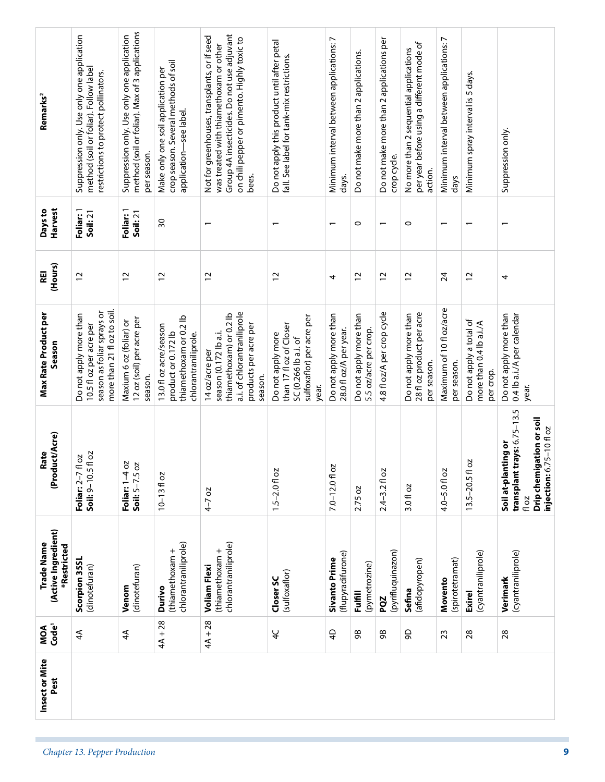| Harvest<br>Days to<br>(Hours)<br><b>REI</b>      | Foliar: 1<br>Soil: 21<br>$\overline{c}$                                                                        | Foliar: 1<br>Soil: 21<br>$\overline{c}$                         | $\overline{\mathrm{S}}$<br>$\overline{c}$                                                       | $\overline{\phantom{0}}$<br>$\overline{c}$                                                                                            | 12                                                                                                         | $\overline{\phantom{0}}$<br>4                    | $\circ$<br>$\overline{c}$                       | $\overline{\phantom{0}}$<br>$\overline{c}$ | $\circ$<br>$\overline{c}$                                          | $\overline{\phantom{0}}$<br>24          | $\overline{c}$                                                  | 4                                                                                                   |
|--------------------------------------------------|----------------------------------------------------------------------------------------------------------------|-----------------------------------------------------------------|-------------------------------------------------------------------------------------------------|---------------------------------------------------------------------------------------------------------------------------------------|------------------------------------------------------------------------------------------------------------|--------------------------------------------------|-------------------------------------------------|--------------------------------------------|--------------------------------------------------------------------|-----------------------------------------|-----------------------------------------------------------------|-----------------------------------------------------------------------------------------------------|
| <b>Max Rate Product per</b><br>Season            | more than 21 fl oz to soil.<br>season as foliar sprays or<br>Do not apply more than<br>10.5 fl oz per acre per | 12 oz (soil) per acre per<br>Maxium 6 oz (foliar) or<br>season. | thiamethoxam or 0.2 lb<br>13.0 fl oz acre/season<br>product or 0.172 lb<br>chlorantraniliprole. | a.i. of chlorantraniliprole<br>thiamethoxam) or 0.2 lb<br>products per acre per<br>season (0.172 lb a.i.<br>14 oz/acre per<br>season. | sulfoxaflor) per acre per<br>than 17 fl oz of Closer<br>Do not apply more<br>SC (0.266 lb a.i. of<br>year. | Do not apply more than<br>28.0 fl oz/A per year. | Do not apply more than<br>5.5 oz/acre per crop. | 4.8 fl oz/A per crop cycle                 | 28 fl oz product per acre<br>Do not apply more than<br>per season. | Maximum of 10 fl oz/acre<br>per season. | Do not apply a total of<br>more than 0.4 lb a.i./A<br>per crop. | Do not apply more than<br>0.4 lb a.i./A per calendar<br>year.<br>trays: 6.75-13.5                   |
| (Product/Acre)<br>Rate                           | Soil: 9-10.5 fl oz<br>Foliar: 2-7 fl oz                                                                        | Foliar: 1-4 oz<br>Soil: 5-7.5 oz                                | $10 - 1310z$                                                                                    | $4-7$ oz                                                                                                                              | $1.5 - 2.0$ fl oz                                                                                          | $7.0 - 12.0$ fl oz                               | 2.75 oz                                         | $2.4 - 3.2 f$ oz                           | 3.0 fl oz                                                          | 4.0-5.0 fl oz                           | 2O<br>$13.5 - 20.5$ fl                                          | Drip chemigation or soil<br>injection: 6.75-10 fl oz<br>Soil at-planting or<br>transplant t<br>floz |
| (Active Ingredient)<br>Trade Name<br>*Restricted | Scorpion 35SL<br>(dinotefuran)                                                                                 | (dinotefuran)<br>Venom                                          | chlorantraniliprole)<br>(thiamethoxam +<br>Durivo                                               | chlorantraniliprole)<br>(thiamethoxam +<br><b>Voliam Flexi</b>                                                                        | (sulfoxaflor)<br>Closer SC                                                                                 | (flupyradifurone)<br><b>Sivanto Prime</b>        | (pymetrozine)<br><b>Fulfill</b>                 | (pyrifluquinazon)<br>PQZ                   | (afidopyropen)<br>Sefina                                           | (spirotetramat)<br>Movento              | (cyantraniliprole)<br>Exirel                                    | (cyantraniliprole)<br>Verimark                                                                      |
| MOA<br>Code <sup>1</sup>                         | $\overline{4}$                                                                                                 | $\overline{4}$                                                  | $4A + 28$                                                                                       | $4A + 28$                                                                                                                             | $\overline{4}$                                                                                             | $\overline{4}$                                   | 98                                              | 98                                         | 90                                                                 | 23                                      | 28                                                              | 28                                                                                                  |
| Insect or Mite<br>Pest                           |                                                                                                                |                                                                 |                                                                                                 |                                                                                                                                       |                                                                                                            |                                                  |                                                 |                                            |                                                                    |                                         |                                                                 |                                                                                                     |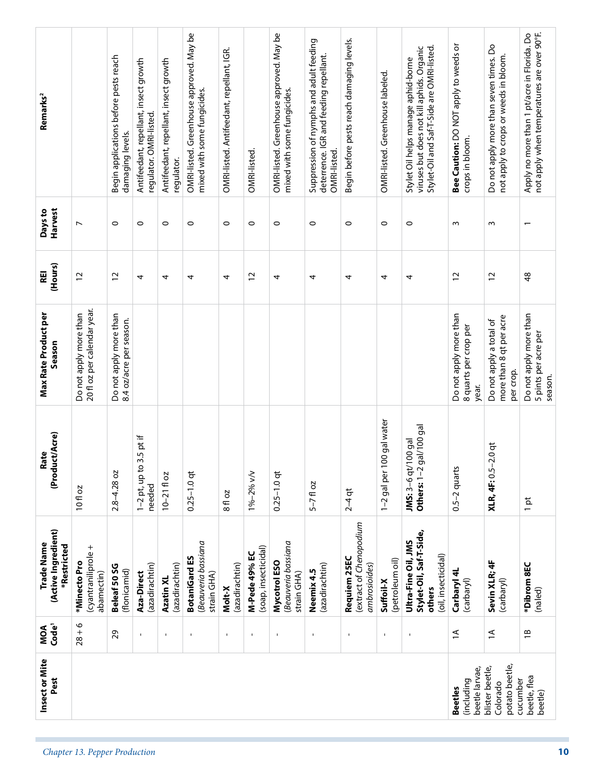| OMRI-listed. Greenhouse labeled.<br>mixed with some fungicides.<br>mixed with some fungicides.<br>regulator. OMRI-listed.<br>damaging levels.<br>crops in bloom.<br>OMRI-listed.<br>OMRI-listed<br>regulator.<br>$\circ$<br>$\circ$<br>$\circ$<br>$\circ$<br>$\overline{ }$<br>$\circ$<br>$\circ$<br>$\circ$<br>$\circ$<br>$\circ$<br>$\circ$<br>0<br>w<br>w<br>$\overline{\phantom{0}}$<br>$\frac{8}{3}$<br>$\overline{c}$<br>$\overline{c}$<br>$\overline{c}$<br>$\overline{c}$<br>51<br>4<br>4<br>4<br>4<br>4<br>4<br>4<br>4<br>4<br>20 fl oz per calendar year.<br>Do not apply more than<br>Do not apply more than<br>Do not apply more than<br>Do not apply more than<br>more than 8 qt per acre<br>8.4 oz/acre per season.<br>Do not apply a total of<br>8 quarts per crop per<br>5 pints per acre per<br>per crop.<br>season<br>year.<br>100 gal water<br>gal/100 gal<br>$1-2$ pt, up to 3.5 pt if<br>JMS: 3-6 qt/100 gal<br><b>XLR, 4F:</b> 0.5-2.0 qt<br>Others: $1-2$<br>$0.5 - 2$ quarts<br>$2.8 - 4.28$ oz<br>$0.25 - 1.0$ qt<br>1%-2% v/v<br>$0.25 - 1.0$ qt<br>1-2 gal per<br>$10 - 2110z$<br>$5 - 7$ fl oz<br>needed<br>10 fl oz<br>$2-4$ qt<br>8 fl oz<br>$1$ pt<br>(extract of Chenopodium<br>Stylet-Oil, Saf-T-Side,<br>Ultra-Fine Oil, JMS<br>Beauveria bassiana<br>Beauveria bassiana<br>(cyantraniliprole +<br>(soap, insecticidal)<br>M-Pede 49% EC<br>(oil, insecticidal)<br><b>BotaniGard ES</b><br>Requiem 25EC<br>(petroleum oil)<br>Sevin XLR; 4F<br>(carbaryl)<br>Mycotrol ESO<br>*Minecto Pro<br>(azadirachtin)<br>(azadirachtin)<br>(azadirachtin)<br>ambrosioides)<br>*Dibrom 8EC<br>(azadirachtin)<br>Beleaf 50 SG<br>(flonicamid)<br>Neemix 4.5<br>Carbaryl 4L<br>abamectin)<br>strain GHA)<br>Aza-Direct<br>strain GHA)<br>Azatin XL<br>(carbaryl)<br>Suffoil-X<br>Molt-X<br>others<br>(naled)<br>$28 + 6$<br>$\overline{a}$<br>29<br>$\overline{a}$<br>$\overline{B}$<br>$\mathbf{I}$<br>$\mathbf{I}$<br>$\blacksquare$<br>$\mathbf I$<br>$\mathbf{I}$<br>$\mathbf I$<br>$\blacksquare$<br>$\mathbf{I}$<br>$\mathbf I$<br>$\mathbf{I}$<br>potato beetle,<br>blister beetle,<br>beetle larvae,<br>beetle, flea<br>cucumber<br>(including<br>Colorado<br><b>Beetles</b><br>beetle) | Insect or Mite<br>Pest | MOA<br>Code' | (Active Ingredient)<br>Trade Name<br>*Restricted | (Product/Acre)<br>Rate | <b>Max Rate Product per</b><br>Season | (Hours)<br>REI | Harvest<br>Days to | Remarks <sup>2</sup>                                                                                                           |
|----------------------------------------------------------------------------------------------------------------------------------------------------------------------------------------------------------------------------------------------------------------------------------------------------------------------------------------------------------------------------------------------------------------------------------------------------------------------------------------------------------------------------------------------------------------------------------------------------------------------------------------------------------------------------------------------------------------------------------------------------------------------------------------------------------------------------------------------------------------------------------------------------------------------------------------------------------------------------------------------------------------------------------------------------------------------------------------------------------------------------------------------------------------------------------------------------------------------------------------------------------------------------------------------------------------------------------------------------------------------------------------------------------------------------------------------------------------------------------------------------------------------------------------------------------------------------------------------------------------------------------------------------------------------------------------------------------------------------------------------------------------------------------------------------------------------------------------------------------------------------------------------------------------------------------------------------------------------------------------------------------------------------------------------------------------------------------------------------------------------------------------------------------------------------------------------------------------------|------------------------|--------------|--------------------------------------------------|------------------------|---------------------------------------|----------------|--------------------|--------------------------------------------------------------------------------------------------------------------------------|
| Chapter 13. Pepper Production                                                                                                                                                                                                                                                                                                                                                                                                                                                                                                                                                                                                                                                                                                                                                                                                                                                                                                                                                                                                                                                                                                                                                                                                                                                                                                                                                                                                                                                                                                                                                                                                                                                                                                                                                                                                                                                                                                                                                                                                                                                                                                                                                                                        |                        |              |                                                  |                        |                                       |                |                    |                                                                                                                                |
|                                                                                                                                                                                                                                                                                                                                                                                                                                                                                                                                                                                                                                                                                                                                                                                                                                                                                                                                                                                                                                                                                                                                                                                                                                                                                                                                                                                                                                                                                                                                                                                                                                                                                                                                                                                                                                                                                                                                                                                                                                                                                                                                                                                                                      |                        |              |                                                  |                        |                                       |                |                    | Begin applications before pests reach                                                                                          |
|                                                                                                                                                                                                                                                                                                                                                                                                                                                                                                                                                                                                                                                                                                                                                                                                                                                                                                                                                                                                                                                                                                                                                                                                                                                                                                                                                                                                                                                                                                                                                                                                                                                                                                                                                                                                                                                                                                                                                                                                                                                                                                                                                                                                                      |                        |              |                                                  |                        |                                       |                |                    | Antifeedant, repellant, insect growth                                                                                          |
|                                                                                                                                                                                                                                                                                                                                                                                                                                                                                                                                                                                                                                                                                                                                                                                                                                                                                                                                                                                                                                                                                                                                                                                                                                                                                                                                                                                                                                                                                                                                                                                                                                                                                                                                                                                                                                                                                                                                                                                                                                                                                                                                                                                                                      |                        |              |                                                  |                        |                                       |                |                    | Antifeedant, repellant, insect growth                                                                                          |
|                                                                                                                                                                                                                                                                                                                                                                                                                                                                                                                                                                                                                                                                                                                                                                                                                                                                                                                                                                                                                                                                                                                                                                                                                                                                                                                                                                                                                                                                                                                                                                                                                                                                                                                                                                                                                                                                                                                                                                                                                                                                                                                                                                                                                      |                        |              |                                                  |                        |                                       |                |                    | OMRI-listed. Greenhouse approved. May be                                                                                       |
|                                                                                                                                                                                                                                                                                                                                                                                                                                                                                                                                                                                                                                                                                                                                                                                                                                                                                                                                                                                                                                                                                                                                                                                                                                                                                                                                                                                                                                                                                                                                                                                                                                                                                                                                                                                                                                                                                                                                                                                                                                                                                                                                                                                                                      |                        |              |                                                  |                        |                                       |                |                    | OMRI-listed. Antifeedant, repellant, IGR.                                                                                      |
|                                                                                                                                                                                                                                                                                                                                                                                                                                                                                                                                                                                                                                                                                                                                                                                                                                                                                                                                                                                                                                                                                                                                                                                                                                                                                                                                                                                                                                                                                                                                                                                                                                                                                                                                                                                                                                                                                                                                                                                                                                                                                                                                                                                                                      |                        |              |                                                  |                        |                                       |                |                    |                                                                                                                                |
|                                                                                                                                                                                                                                                                                                                                                                                                                                                                                                                                                                                                                                                                                                                                                                                                                                                                                                                                                                                                                                                                                                                                                                                                                                                                                                                                                                                                                                                                                                                                                                                                                                                                                                                                                                                                                                                                                                                                                                                                                                                                                                                                                                                                                      |                        |              |                                                  |                        |                                       |                |                    | OMRI-listed. Greenhouse approved. May be                                                                                       |
|                                                                                                                                                                                                                                                                                                                                                                                                                                                                                                                                                                                                                                                                                                                                                                                                                                                                                                                                                                                                                                                                                                                                                                                                                                                                                                                                                                                                                                                                                                                                                                                                                                                                                                                                                                                                                                                                                                                                                                                                                                                                                                                                                                                                                      |                        |              |                                                  |                        |                                       |                |                    | Suppression of nymphs and adult feeding<br>deterrence. IGR and feeding repellant.                                              |
|                                                                                                                                                                                                                                                                                                                                                                                                                                                                                                                                                                                                                                                                                                                                                                                                                                                                                                                                                                                                                                                                                                                                                                                                                                                                                                                                                                                                                                                                                                                                                                                                                                                                                                                                                                                                                                                                                                                                                                                                                                                                                                                                                                                                                      |                        |              |                                                  |                        |                                       |                |                    | Begin before pests reach damaging levels.                                                                                      |
|                                                                                                                                                                                                                                                                                                                                                                                                                                                                                                                                                                                                                                                                                                                                                                                                                                                                                                                                                                                                                                                                                                                                                                                                                                                                                                                                                                                                                                                                                                                                                                                                                                                                                                                                                                                                                                                                                                                                                                                                                                                                                                                                                                                                                      |                        |              |                                                  |                        |                                       |                |                    |                                                                                                                                |
|                                                                                                                                                                                                                                                                                                                                                                                                                                                                                                                                                                                                                                                                                                                                                                                                                                                                                                                                                                                                                                                                                                                                                                                                                                                                                                                                                                                                                                                                                                                                                                                                                                                                                                                                                                                                                                                                                                                                                                                                                                                                                                                                                                                                                      |                        |              |                                                  |                        |                                       |                |                    | Stylet-Oil and Saf-T-Side are OMRI-listed.<br>viruses but does not kill aphids. Organic<br>Stylet Oil helps manage aphid-borne |
|                                                                                                                                                                                                                                                                                                                                                                                                                                                                                                                                                                                                                                                                                                                                                                                                                                                                                                                                                                                                                                                                                                                                                                                                                                                                                                                                                                                                                                                                                                                                                                                                                                                                                                                                                                                                                                                                                                                                                                                                                                                                                                                                                                                                                      |                        |              |                                                  |                        |                                       |                |                    | Bee Caution: DO NOT apply to weeds or                                                                                          |
|                                                                                                                                                                                                                                                                                                                                                                                                                                                                                                                                                                                                                                                                                                                                                                                                                                                                                                                                                                                                                                                                                                                                                                                                                                                                                                                                                                                                                                                                                                                                                                                                                                                                                                                                                                                                                                                                                                                                                                                                                                                                                                                                                                                                                      |                        |              |                                                  |                        |                                       |                |                    | Do not apply more than seven times. Do<br>not apply to crops or weeds in bloom.                                                |
| 10                                                                                                                                                                                                                                                                                                                                                                                                                                                                                                                                                                                                                                                                                                                                                                                                                                                                                                                                                                                                                                                                                                                                                                                                                                                                                                                                                                                                                                                                                                                                                                                                                                                                                                                                                                                                                                                                                                                                                                                                                                                                                                                                                                                                                   |                        |              |                                                  |                        |                                       |                |                    | not apply when temperatures are over 90°F.<br>Apply no more than 1 pt/acre in Florida. Do                                      |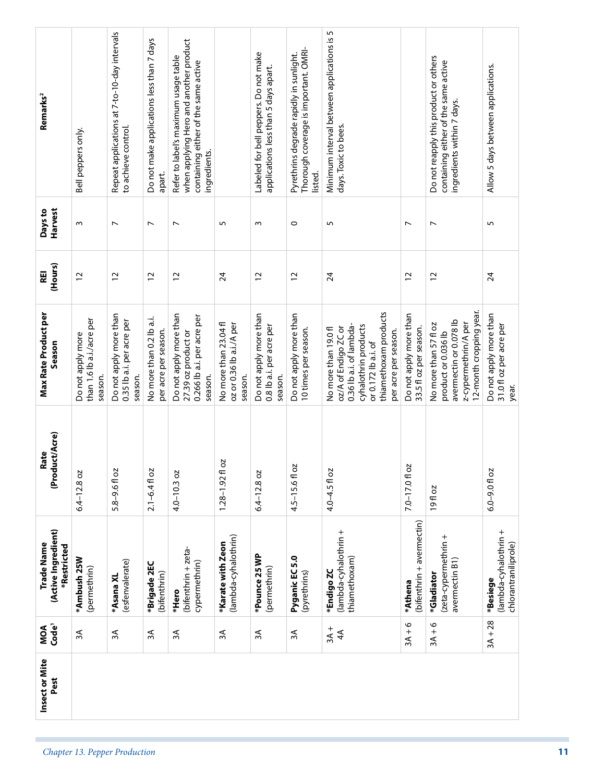| Insect or Mite<br>Pest | MOA<br>Code <sup>1</sup> | (Active Ingredient)<br>Trade Name<br>*Restricted          | (Product/Acre)<br>Rate | Max Rate Product per<br>Season                                                                                                                                          | (Hours)<br>REI  | Harvest<br>Days to       | Remarks <sup>2</sup>                                                                                                                   |  |
|------------------------|--------------------------|-----------------------------------------------------------|------------------------|-------------------------------------------------------------------------------------------------------------------------------------------------------------------------|-----------------|--------------------------|----------------------------------------------------------------------------------------------------------------------------------------|--|
|                        | $\approx$                | *Ambush 25W<br>(permethrin)                               | $6.4 - 12.8$ oz        | than 1.6 lb a.i./acre per<br>Do not apply more<br>season.                                                                                                               | 12              | $\sim$                   | Bell peppers only.                                                                                                                     |  |
|                        | ЗÃ                       | (esfenvalerate)<br>*Asana XL                              | 5.8-9.6 fl oz          | Do not apply more than<br>0.35 lb a.i. per acre per<br>season.                                                                                                          | $\overline{c}$  | $\overline{\phantom{a}}$ | Repeat applications at 7-to-10-day intervals<br>to achieve control.                                                                    |  |
|                        | $\approx$                | *Brigade 2EC<br>(bifenthrin)                              | $2.1 - 6.4$ fl oz      | No more than 0.2 lb a.i.<br>per acre per season.                                                                                                                        | $\overline{c}$  | $\overline{ }$           | Do not make applications less than 7 days<br>apart.                                                                                    |  |
|                        | ЗA                       | (bifenthrin + zeta-<br>cypermethrin)<br>*Hero             | $4.0 - 10.3$ oz        | Do not apply more than<br>0.266 lb a.i. per acre per<br>27.39 oz product or<br>season.                                                                                  | $\overline{c}$  | $\overline{ }$           | when applying Hero and another product<br>Refer to label's maximum usage table<br>containing either of the same active<br>ingredients. |  |
|                        | λξ                       | (lambda-cyhalothrin)<br>*Karate with Zeon                 | 20<br>$1.28 - 1.92$ fl | No more than 23.04 fl<br>oz or 0.36 lb a.i./A per<br>season.                                                                                                            | 24              | 5                        |                                                                                                                                        |  |
|                        | ЗA                       | *Pounce 25 WP<br>(permethrin)                             | $6.4 - 12.8$ oz        | Do not apply more than<br>0.8 lb a.i. per acre per<br>season.                                                                                                           | $\overline{c}$  | $\sim$                   | Labeled for bell peppers. Do not make<br>applications less than 5 days apart.                                                          |  |
|                        | Ψε                       | Pyganic EC 5.0<br>(pyrethrins)                            | 4.5-15.6fl oz          | Do not apply more than<br>10 times per season.                                                                                                                          | $\overline{c}$  | $\circ$                  | Thorough coverage is important. OMRI-<br>Pyrethrins degrade rapidly in sunlight.<br>listed.                                            |  |
|                        | $3A +$<br>$\overline{4}$ | (lambda-cyhalothrin +<br>thiamethoxam)<br>*Endigo ZC      | 4.0-4.5 fl oz          | thiamethoxam products<br>0.36 lb a.i. of lambda-<br>cyhalothrin products<br>oz/A of Endigo ZC or<br>No more than 19.0 fl<br>per acre per season.<br>or 0.172 lb a.i. of | $\overline{24}$ | 5                        | Minimum interval between applications is 5<br>days. Toxic to bees.                                                                     |  |
|                        | $3A + 6$                 | (bifenthrin + avermectin)<br>*Athena                      | 7.0-17.0fl oz          | Do not apply more than<br>33.5 fl oz per season.                                                                                                                        | $\overline{c}$  | $\overline{ }$           |                                                                                                                                        |  |
|                        | $3A + 6$                 | (zeta-cypermethrin +<br>avermectin B1)<br>*Gladiator      | 19fl oz                | 12-month cropping year.<br>avermectin or 0.078 lb<br>No more than 57 fl oz<br>z-cypermethrin/A per<br>product or 0.036 lb                                               | $\overline{c}$  | $\overline{\phantom{a}}$ | Do not reapply this product or others<br>containing either of the same active<br>ingredients within 7 days.                            |  |
|                        | $3A + 28$                | (lambda-cyhalothrin +<br>chlorantraniliprole)<br>*Besiege | $6.0 - 9.0$ fl oz      | Do not apply more than<br>31.0 fl oz per acre per<br>year.                                                                                                              | $\overline{24}$ | 5                        | Allow 5 days between applications.                                                                                                     |  |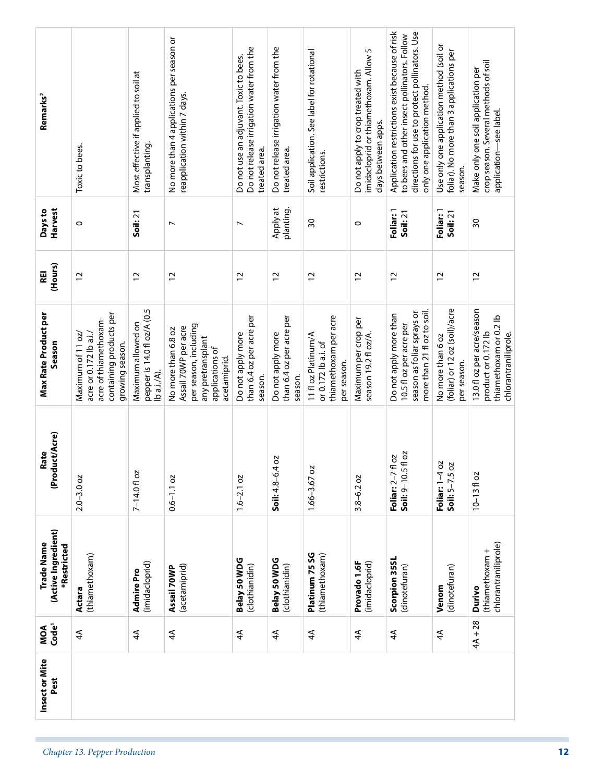|                               | Insect or Mite<br>Pest | MOA<br>Code <sup>1</sup> | (Active Ingredient)<br>Trade Name<br>*Restricted  | (Product/Acre)<br>Rate                        | <b>Max Rate Product per</b><br>Season                                                                                        | (Hours)<br>REI | Harvest<br>Days to    | Remarks <sup>2</sup>                                                                                                                                                             |
|-------------------------------|------------------------|--------------------------|---------------------------------------------------|-----------------------------------------------|------------------------------------------------------------------------------------------------------------------------------|----------------|-----------------------|----------------------------------------------------------------------------------------------------------------------------------------------------------------------------------|
| Chapter 13. Pepper Production |                        | $\overline{4}$           | (thiamethoxam)<br>Actara                          | $2.0 - 3.0$ oz                                | containing products per<br>acre of thiamethoxam-<br>acre or 0.172 lb a.i./<br>Maximum of 11 oz/<br>growing season.           | $\overline{c}$ | $\circ$               | Toxic to bees.                                                                                                                                                                   |
|                               |                        | $\overline{4}$           | (imidacloprid)<br>Admire Pro                      | 7-14.0 fl oz                                  | pepper is 14.0 fl oz/A (0.5<br>Maximum allowed on<br>lb a.i./A).                                                             | $\overline{c}$ | Soil: 21              | Most effective if applied to soil at<br>transplanting.                                                                                                                           |
|                               |                        | ₹                        | (acetamiprid)<br>Assail 70WP                      | $0.6 - 1.1$ oz                                | per season, including<br>Assail 70WP per acre<br>No more than 6.8 oz<br>any pretransplant<br>applications of<br>acetamiprid. | $\overline{c}$ | $\overline{ }$        | No more than 4 applications per season or<br>reapplication within 7 days.                                                                                                        |
|                               |                        | $\overline{4}$           | Belay 50 WDG<br>(clothianidin)                    | $1.6 - 2.1 oz$                                | than 6.4 oz per acre per<br>Do not apply more<br>season.                                                                     | $\overline{c}$ | $\overline{ }$        | Do not release irrigation water from the<br>Do not use an adjuvant. Toxic to bees.<br>treated area.                                                                              |
|                               |                        | $\overline{4}$           | Belay 50 WDG<br>(clothianidin)                    | SO<br>$Soli: 4.8 - 6.4$                       | than 6.4 oz per acre per<br>Do not apply more<br>season.                                                                     | $\overline{c}$ | Apply at<br>planting  | Do not release irrigation water from the<br>treated area.                                                                                                                        |
|                               |                        | $\overline{4}$           | Platinum 75 SG<br>(thiamethoxam)                  | $1.66 - 3.67$ oz                              | thiamethoxam per acre<br>11 fl oz Platinum/A<br>or 0.172 lb a.i. of<br>per season.                                           | $\overline{c}$ | $\overline{30}$       | Soil application. See label for rotational<br>restrictions.                                                                                                                      |
|                               |                        | $\overline{4}$           | (imidacloprid)<br>Provado 1.6F                    | $3.8 - 6.2$ oz                                | Maximum per crop per<br>season 19.2 fl oz/A.                                                                                 | $\overline{c}$ | $\circ$               | imidacloprid or thiamethoxam. Allow 5<br>Do not apply to crop treated with<br>days between apps.                                                                                 |
|                               |                        | $\overline{4}$           | Scorpion 35SL<br>(dinotefuran)                    | fl oz<br>fl oz<br>Soil: 9-10.5<br>Foliar: 2-7 | more than 21 fl oz to soil.<br>season as foliar sprays or<br>Do not apply more than<br>10.5 fl oz per acre per               | $\overline{c}$ | Foliar: 1<br>Soil: 21 | Application restrictions exist because of risk<br>directions for use to protect pollinators. Use<br>to bees and other insect pollinators. Follow<br>only one application method. |
|                               |                        | $\overline{4}$           | (dinotefuran)<br>Venom                            | Foliar: 1-4 oz<br>Soil: 5-7.5 oz              | (foliar) or 12 oz (soil)/acre<br>No more than 6 oz<br>per season.                                                            | $\overline{c}$ | Foliar: 1<br>Soil: 21 | Use only one application method (soil or<br>foliar). No more than 3 applications per<br>season.                                                                                  |
|                               |                        | $4A + 28$                | chlorantraniliprole)<br>(thiamethoxam +<br>Durivo | $10 - 1310z$                                  | 13.0 fl oz per acre/season<br>thiamethoxam or 0.2 lb<br>product or 0.172 lb<br>chlorantraniliprole.                          | $\overline{c}$ | $\overline{50}$       | crop season. Several methods of soil<br>Make only one soil application per<br>application-see label.                                                                             |
| 12                            |                        |                          |                                                   |                                               |                                                                                                                              |                |                       |                                                                                                                                                                                  |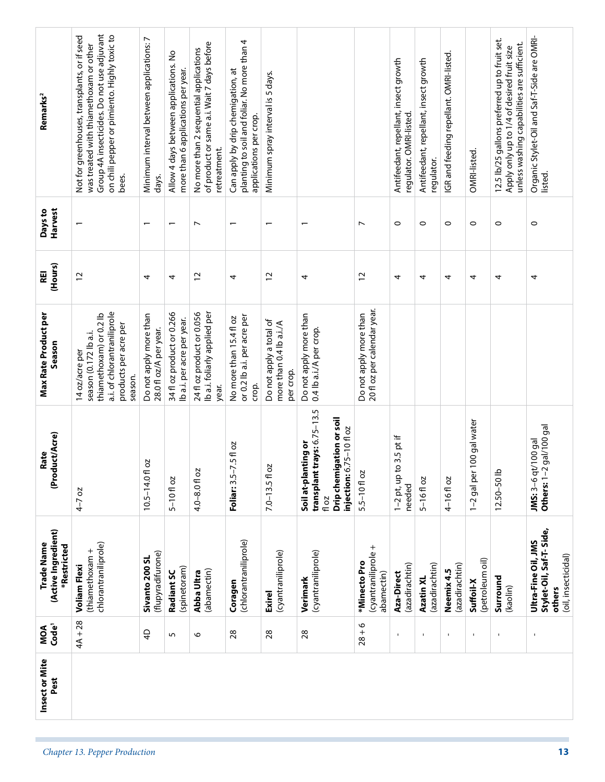| Insect or Mite<br>Pest | $4A + 28$<br>Code <sup>1</sup><br>MOA<br>$\overline{4}$<br>5 | (Active Ingredient)<br>Trade Name<br>chlorantraniliprole)<br>*Restricted<br>(thiamethoxam +<br>(flupyradifurone)<br>Sivanto 200 SL<br><b>Voliam Flexi</b><br>(spinetoram)<br>Radiant SC | (Product/Acre)<br>Rate<br>2O<br>$10.5 - 14.0$ fl<br>$5 - 10f$ oz<br>$4-7$ oz                                                           | a.i. of chlorantraniliprole<br>34 fl oz product or 0.266<br>thiamethoxam) or 0.2 lb<br><b>Max Rate Product per</b><br>Do not apply more than<br>Ib a.i. per acre per year.<br>products per acre per<br>28.0 fl oz/A per year.<br>season (0.172 lb a.i.<br>Season<br>14 oz/acre per<br>season. | (Hours)<br>REI<br>$\overline{c}$<br>4<br>4 | Harvest<br>Days to<br>$\overline{\phantom{0}}$<br>$\overline{\phantom{0}}$ | Group 4A insecticides. Do not use adjuvant<br>on chili pepper or pimiento. Highly toxic to<br>Not for greenhouses, transplants, or if seed<br>Minimum interval between applications: 7<br>was treated with thiamethoxam or other<br>Allow 4 days between applications. No<br>more than 6 applications per year.<br>Remarks <sup>2</sup><br>bees.<br>days. |
|------------------------|--------------------------------------------------------------|-----------------------------------------------------------------------------------------------------------------------------------------------------------------------------------------|----------------------------------------------------------------------------------------------------------------------------------------|-----------------------------------------------------------------------------------------------------------------------------------------------------------------------------------------------------------------------------------------------------------------------------------------------|--------------------------------------------|----------------------------------------------------------------------------|-----------------------------------------------------------------------------------------------------------------------------------------------------------------------------------------------------------------------------------------------------------------------------------------------------------------------------------------------------------|
|                        | 28<br>28<br>$\circ$                                          | (chlorantraniliprole)<br>(cyantraniliprole)<br>(abamectin)<br>Abba Ultra<br>Coragen<br><b>Exirel</b>                                                                                    | 1.5 fl oz<br>Ñ<br>$\overline{ }$<br>$4.0 - 8.0$ fl oz<br>$7.0 - 13.5f$ 0<br>Foliar: 3.5-                                               | 24 fl oz product or 0.056<br>Ib a.i. foliarly applied per<br>or 0.2 lb a.i. per acre per<br>No more than 15.4 fl oz<br>Do not apply a total of<br>more than 0.4 lb a.i./A<br>per crop.<br>crop.<br>year.                                                                                      | $\overline{c}$<br>$\overline{c}$<br>4      | $\overline{ }$<br>$\overline{\phantom{0}}$<br>$\overline{\phantom{0}}$     | planting to soil and foliar. No more than 4<br>of product or same a.i. Wait 7 days before<br>No more than 2 sequential applications<br>Can apply by drip chemigation, at<br>Minimum spray interval is 5 days.<br>applications per crop.<br>retreatment.                                                                                                   |
|                        | $28 + 6$<br>28                                               | (cyantraniliprole +<br>(cyantraniliprole)<br>*Minecto Pro<br>abamectin)<br>Verimark                                                                                                     | transplant trays: 6.75-13.5<br>Drip chemigation or soil<br>injection: 6.75-10 fl oz<br>nting or<br>Soil at-plar<br>5.5-10 fl oz<br>Toz | 20 fl oz per calendar year.<br>Do not apply more than<br>Do not apply more than<br>0.4 lb a.i./A per crop.                                                                                                                                                                                    | $\overline{c}$<br>4                        | $\overline{ }$<br>$\overline{ }$                                           |                                                                                                                                                                                                                                                                                                                                                           |
|                        | $\mathbf{I}$<br>$\blacksquare$                               | (azadirachtin)<br>(azadirachtin)<br>Aza-Direct<br>Azatin XL                                                                                                                             | $1-2$ pt, up to 3.5 pt if<br>$5 - 16f$ oz<br>needed                                                                                    |                                                                                                                                                                                                                                                                                               | 4<br>4                                     | $\circ$<br>$\circ$                                                         | Antifeedant, repellant, insect growth<br>Antifeedant, repellant, insect growth<br>regulator. OMRI-listed.<br>regulator.                                                                                                                                                                                                                                   |
|                        | $\blacksquare$<br>$\mathbf{I}$                               | (petroleum oil)<br>(azadirachtin)<br>Neemix 4.5<br>Suffoil-X                                                                                                                            | 100 gal water<br>1-2 gal per<br>4-16floz                                                                                               |                                                                                                                                                                                                                                                                                               | 4<br>4                                     | $\circ$<br>$\circ$                                                         | IGR and feeding repellant. OMRI-listed.<br>OMRI-listed.                                                                                                                                                                                                                                                                                                   |
|                        | $\mathbf{I}$                                                 | Surround<br>(kaolin)                                                                                                                                                                    | $12.50 - 50$ lb                                                                                                                        |                                                                                                                                                                                                                                                                                               | 4                                          | $\circ$                                                                    | 12.5 lb/25 gallons preferred up to fruit set.<br>unless washing capabilities are sufficient.<br>Apply only up to 1/4 of desired fruit size                                                                                                                                                                                                                |
|                        | $\mathbf I$                                                  | Stylet-Oil, Saf-T-Side,<br>Ultra-Fine Oil, JMS<br>(oil, insecticidal)<br>others                                                                                                         | Others: 1-2 gal/100 gal<br>JMS: 3-6 qt/100 gal                                                                                         |                                                                                                                                                                                                                                                                                               | 4                                          | $\circ$                                                                    | Organic Stylet-Oil and Saf-T-Side are OMRI-<br>listed.                                                                                                                                                                                                                                                                                                    |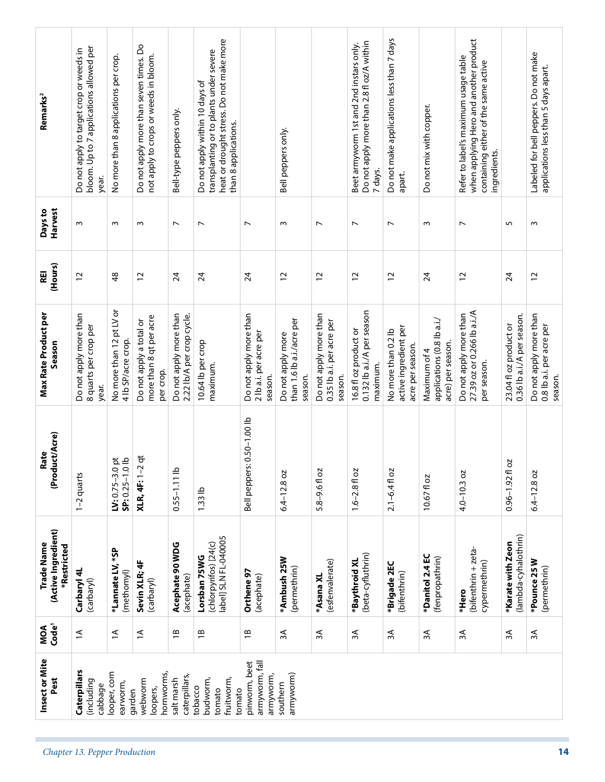| Remarks <sup>2</sup>                             | bloom. Up to 7 applications allowed per<br>Do not apply to target crop or weeds in<br>year. | No more than 8 applications per crop.              | Do not apply more than seven times. Do<br>not apply to crops or weeds in bloom. | Bell-type peppers only.                             | heat or drought stress. Do not make more<br>transplanting or to plants under severe<br>Do not apply within 10 days of<br>than 8 applications. |                                                            | Bell peppers only.                                        |                                                                | Do not apply more than 2.8 fl oz/A within<br>Beet armyworm 1st and 2nd instars only.<br>7 days. | Do not make applications less than 7 days<br>apart.              | Do not mix with copper.                                         | when applying Hero and another product<br>Refer to label's maximum usage table<br>containing either of the same active<br>ingredients. |                                                      | Labeled for bell peppers. Do not make<br>applications less than 5 days apart. |
|--------------------------------------------------|---------------------------------------------------------------------------------------------|----------------------------------------------------|---------------------------------------------------------------------------------|-----------------------------------------------------|-----------------------------------------------------------------------------------------------------------------------------------------------|------------------------------------------------------------|-----------------------------------------------------------|----------------------------------------------------------------|-------------------------------------------------------------------------------------------------|------------------------------------------------------------------|-----------------------------------------------------------------|----------------------------------------------------------------------------------------------------------------------------------------|------------------------------------------------------|-------------------------------------------------------------------------------|
| Harvest<br>Days to                               | $\sim$                                                                                      | w                                                  | S                                                                               | $\overline{ }$                                      | $\overline{ }$                                                                                                                                | $\overline{ }$                                             | w                                                         | $\overline{ }$                                                 | $\overline{\phantom{0}}$                                                                        | $\overline{ }$                                                   | $\mathsf{m}$                                                    | $\overline{ }$                                                                                                                         | 5                                                    | w                                                                             |
| (Hours)<br>REI                                   | $\tilde{c}$                                                                                 | $\frac{8}{3}$                                      | $\overline{c}$                                                                  | 24                                                  | $\overline{2}$                                                                                                                                | $\overline{24}$                                            | $\overline{c}$                                            | $\overline{c}$                                                 | $\overline{c}$                                                                                  | $\overline{c}$                                                   | 24                                                              | $\overline{c}$                                                                                                                         | 24                                                   | 12                                                                            |
| Max Rate Product per<br>Season                   | Do not apply more than<br>8 quarts per crop per<br>year.                                    | ŏ<br>No more than 12 pt LV<br>4 lb SP/acre crop.   | more than 8 qt per acre<br>Do not apply a total or<br>per crop.                 | Do not apply more than<br>2.22 lb/A per crop cycle. | 10.64 lb per crop<br>maximum.                                                                                                                 | Do not apply more than<br>2 lb a.i. per acre per<br>season | than 1.6 lb a.i./acre per<br>Do not apply more<br>season. | Do not apply more than<br>0.35 lb a.i. per acre per<br>season. | 0.132 lb a.i./A per season<br>16.8 fl oz product or<br>maximum.                                 | active ingredient per<br>No more than 0.2 lb<br>acre per season. | applications (0.8 lb a.i./<br>acre) per season.<br>Maximum of 4 | 27.39 oz or 0.266 lb a.i./A<br>Do not apply more than<br>per season.                                                                   | 0.36 lb a.i./A per season.<br>23.04 fl oz product or | Do not apply more than<br>0.8 lb a.i. per acre per<br>season.                 |
| (Product/Acre)<br>Rate                           | 1-2 quarts                                                                                  | $rac{1}{2}$<br>$W: 0.75 - 3.0$<br>$SP: 0.25 - 1.0$ | <b>XLR, 4F: 1-2 qt</b>                                                          | $0.55 - 1.11$ lb                                    | 1.33 <sub>lb</sub>                                                                                                                            | Bell peppers: 0.50-1.00 lb                                 | $6.4 - 12.8$ oz                                           | 5.8-9.6fl oz                                                   | $1.6 - 2.8$ fl oz                                                                               | $2.1 - 6.4$ fl oz                                                | 10.67fl oz                                                      | $4.0 - 10.3$ oz                                                                                                                        | 2O<br>$0.96 - 1.92$ fl                               | $6.4 - 12.8$ oz                                                               |
| (Active Ingredient)<br>Trade Name<br>*Restricted | Carbaryl 4L<br>(carbaryl)                                                                   | *Lannate LV, *SP<br>(methomyl)                     | Sevin XLR; 4F<br>(carbaryl)                                                     | Acephate 90 WDG<br>(acephate)                       | abel] SLN FL-040005<br>(chlorpyrifos) [24(c)<br>Lorsban 75WG                                                                                  | Orthene 97<br>(acephate)                                   | *Ambush 25W<br>(permethrin)                               | (esfenvalerate)<br>*Asana XL                                   | (beta-cyfluthrin)<br>*Baythroid XL                                                              | *Brigade 2EC<br>(bifenthrin)                                     | *Danitol 2.4 EC<br>(fenpropathrin)                              | (bifenthrin + zeta-<br>cypermethrin)<br>*Hero                                                                                          | (lambda-cyhalothrin)<br>*Karate with Zeon            | *Pounce 25W<br>(permethrin)                                                   |
| MOA<br>Code <sup>1</sup>                         | $\overline{z}$                                                                              | $\overline{a}$                                     | $\overline{1}$                                                                  | $\overline{1}$                                      | $\overline{1}$                                                                                                                                | $\overline{1}$                                             | ЗA                                                        | 3A                                                             | ЗÃ                                                                                              | λξ                                                               | $\approx$                                                       | ЗÃ                                                                                                                                     | $\approx$                                            | λŚ                                                                            |
| Insect or Mite<br>Pest                           | Caterpillars<br>(including<br>cabbage                                                       | looper, corn<br>earworm,<br>garden                 | hornworms,<br>webworm<br>loopers,                                               | caterpillars,<br>salt marsh                         | fruitworm,<br>budworm,<br>tobacco<br>tomato<br>tomato                                                                                         | armyworm, fall<br>pinworm, beet<br>armyworm,               | armyworm)<br>southern                                     |                                                                |                                                                                                 |                                                                  |                                                                 |                                                                                                                                        |                                                      |                                                                               |
|                                                  | Chapter 13. Pepper Production                                                               |                                                    |                                                                                 |                                                     |                                                                                                                                               |                                                            |                                                           |                                                                |                                                                                                 |                                                                  |                                                                 |                                                                                                                                        |                                                      | 14                                                                            |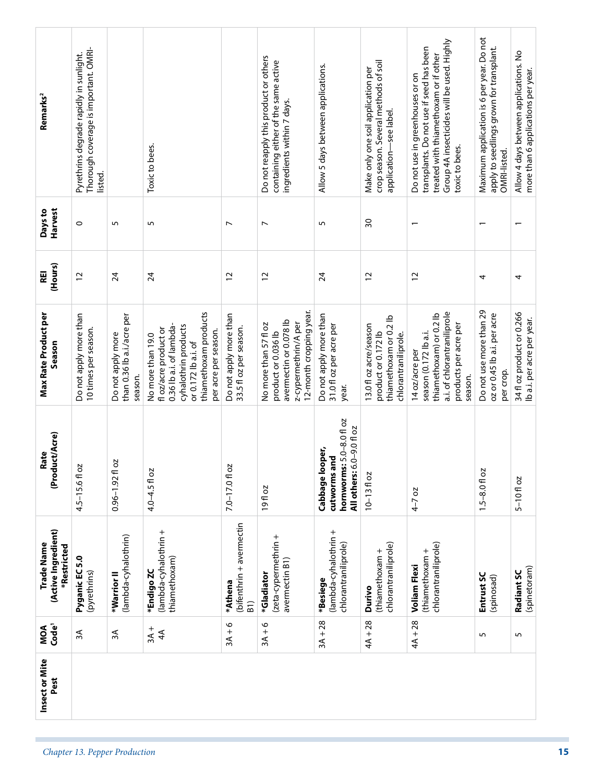| Remarks <sup>2</sup>                             | Thorough coverage is important. OMRI-<br>Pyrethrins degrade rapidly in sunlight. |                                                            |                                                                                                                                                                       |                                                        | Do not reapply this product or others<br>containing either of the same active                                             | Allow 5 days between applications.                                                                     | crop season. Several methods of soil<br>Make only one soil application per                      | Group 4A insecticides will be used. Highly<br>transplants. Do not use if seed has been<br>treated with thiamethoxam or if other<br>Do not use in greenhouses or on | Maximum application is 6 per year. Do not<br>apply to seedlings grown for transplant. | Allow 4 days between applications. No<br>more than 6 applications per year. |
|--------------------------------------------------|----------------------------------------------------------------------------------|------------------------------------------------------------|-----------------------------------------------------------------------------------------------------------------------------------------------------------------------|--------------------------------------------------------|---------------------------------------------------------------------------------------------------------------------------|--------------------------------------------------------------------------------------------------------|-------------------------------------------------------------------------------------------------|--------------------------------------------------------------------------------------------------------------------------------------------------------------------|---------------------------------------------------------------------------------------|-----------------------------------------------------------------------------|
|                                                  | listed.                                                                          |                                                            | Toxic to bees.                                                                                                                                                        |                                                        | ingredients within 7 days.                                                                                                |                                                                                                        | application-see label.                                                                          | toxic to bees.                                                                                                                                                     | OMRI-listed.                                                                          |                                                                             |
| Harvest<br>Days to                               | $\circ$                                                                          | S                                                          | 5                                                                                                                                                                     | $\overline{ }$                                         | $\overline{ }$                                                                                                            | S                                                                                                      | $\overline{50}$                                                                                 | $\overline{ }$                                                                                                                                                     | $\overline{\phantom{0}}$                                                              |                                                                             |
| (Hours)<br>REI                                   | 12                                                                               | $\overline{24}$                                            | $\overline{24}$                                                                                                                                                       | $\tilde{c}$                                            | $\tilde{c}$                                                                                                               | $\overline{24}$                                                                                        | $\overline{c}$                                                                                  | 12                                                                                                                                                                 | 4                                                                                     | 4                                                                           |
| Max Rate Product per<br>Season                   | Do not apply more than<br>10 times per season.                                   | than 0.36 lb a.i./acre per<br>Do not apply more<br>season. | thiamethoxam products<br>cyhalothrin products<br>0.36 lb a.i. of lambda-<br>fl oz/acre product or<br>per acre per season.<br>No more than 19.0<br>or 0.172 lb a.i. of | Do not apply more than<br>33.5 fl oz per season.       | 12-month cropping year.<br>avermectin or 0.078 lb<br>z-cypermethrin/A per<br>No more than 57 fl oz<br>product or 0.036 lb | Do not apply more than<br>31.0 fl oz per acre per<br>year.                                             | thiamethoxam or 0.2 lb<br>13.0 fl oz acre/season<br>product or 0.172 lb<br>chlorantraniliprole. | a.i. of chlorantraniliprole<br>thiamethoxam) or 0.2 lb<br>products per acre per<br>season (0.172 lb a.i.<br>14 oz/acre per<br>season.                              | Do not use more than 29<br>oz or 0.45 lb a.i. per acre<br>per crop.                   | 34 fl oz product or 0.266<br>Ib a.i. per acre per year.                     |
| luct/Acre)<br>Rate<br>(Prod                      | δZ<br>$4.5 - 15.6f$                                                              | 20<br>$0.96 - 1.92$ fl                                     | $4.0 - 4.5$ fl oz                                                                                                                                                     | 7.0-17.0 fl oz                                         | 19fl oz                                                                                                                   | $s: 5.0 - 8.0$ floz<br>$6.0 - 9.0$ fl oz<br>Cabbage looper,<br>cutworms and<br>hornworm<br>All others: | $10 - 13f$ oz                                                                                   | $4-7$ oz                                                                                                                                                           | $1.5 - 8.0 f$ oz                                                                      | $5 - 10f$ oz                                                                |
| (Active Ingredient)<br>Trade Name<br>*Restricted | Pyganic EC 5.0<br>(pyrethrins)                                                   | (lambda-cyhalothrin)<br>*Warrior II                        | (lambda-cyhalothrin +<br>thiamethoxam)<br>*Endigo ZC                                                                                                                  | (bifenthrin + avermectin<br>*Athena<br>$\overline{B1}$ | (zeta-cypermethrin +<br>avermectin B1)<br>*Gladiator                                                                      | (lambda-cyhalothrin +<br>chlorantraniliprole)<br>*Besiege                                              | chlorantraniliprole)<br>(thiamethoxam +<br>Durivo                                               | chlorantraniliprole)<br>(thiamethoxam +<br><b>Voliam Flexi</b>                                                                                                     | Entrust SC<br>(spinosad)                                                              | (spinetoram)<br>Radiant SC                                                  |
| MOA<br>Code <sup>1</sup>                         | $\approx$                                                                        | λξ                                                         | $3A +$<br>$\overline{4}$                                                                                                                                              | $3A + 6$                                               | $3A + 6$                                                                                                                  | $3A + 28$                                                                                              | $4A + 28$                                                                                       | $4A + 28$                                                                                                                                                          | $\sqrt{2}$                                                                            | $\mathsf{L}\cap\mathsf{L}$                                                  |
| Insect or Mite<br>Pest                           |                                                                                  |                                                            |                                                                                                                                                                       |                                                        |                                                                                                                           |                                                                                                        |                                                                                                 |                                                                                                                                                                    |                                                                                       |                                                                             |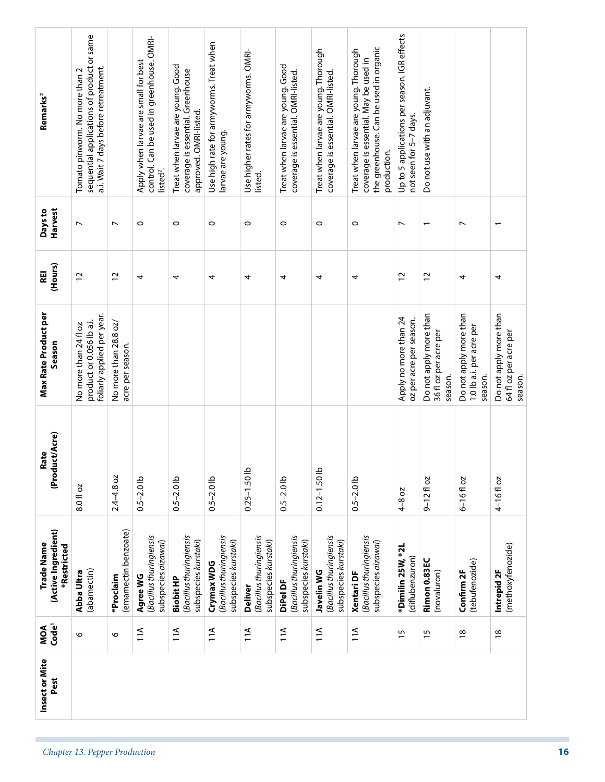| Use high rate for armyworms. Treat when<br>the greenhouse. Can be used in organic<br>Treat when larvae are young. Thorough<br>Treat when larvae are young. Thorough<br>Use higher rates for armyworms. OMRI-<br>coverage is essential. May be used in<br>Apply when larvae are small for best<br>Treat when larvae are young. Good<br>Treat when larvae are young. Good<br>a.i. Wait 7 days before retreatment.<br>Tomato pinworm. No more than 2<br>coverage is essential. Greenhouse<br>coverage is essential. OMRI-listed.<br>coverage is essential. OMRI-listed.<br>Do not use with an adjuvant.<br>approved. OMRI-listed.<br>not seen for 5-7 days.<br>larvae are young.<br>production.<br>listed <sup>2</sup> .<br>listed.<br>$\circ$<br>$\circ$<br>$\circ$<br>$\circ$<br>$\circ$<br>$\circ$<br>$\circ$<br>$\overline{\phantom{0}}$<br>$\overline{ }$<br>$\overline{ }$<br>$\overline{ }$<br>$\overline{\phantom{0}}$<br>$\overline{\phantom{0}}$<br>$\overline{c}$<br>$\overline{c}$<br>$\overline{c}$<br>$\overline{c}$<br>4<br>4<br>4<br>4<br>4<br>4<br>4<br>4<br>4<br>Do not apply more than<br>Do not apply more than<br>Do not apply more than<br>foliarly applied per year.<br>Apply no more than 24<br>oz per acre per season.<br>product or 0.056 lb a.i.<br>No more than 28.8 oz/<br>No more than 24 fl oz<br>1.0 lb a.i. per acre per<br>36 fl oz per acre per<br>64 fl oz per acre per<br>acre per season.<br>season.<br>season.<br>season.<br>$0.25 - 1.50$ lb<br>$0.12 - 1.50$ lb<br>$2.4 - 4.8$ oz<br>$0.5 - 2.0$ lb<br>$0.5 - 2.0$ lb<br>$0.5 - 2.0$ lb<br>$0.5 - 2.0$ lb<br>$0.5 - 2.0$ lb<br>$6 - 16f$ oz<br>4-16 fl oz<br>$9 - 12$ floz<br>8.0 fl oz<br>4-8 oz<br>(emamectin benzoate)<br>(Bacillus thuringiensis<br>(Bacillus thuringiensis<br>(Bacillus thuringiensis<br>(Bacillus thuringiensis<br>(Bacillus thuringiensis<br>(Bacillus thuringiensis<br>(Bacillus thuringiensis<br>subspecies kurstaki)<br>subspecies kurstaki)<br>subspecies kurstaki)<br>subspecies kurstaki)<br>subspecies kurstaki)<br>subspecies aizawai)<br>subspecies aizawai)<br>(methoxyfenozide)<br>*Dimilin 25W, *2L<br>(diflubenzuron)<br>Rimon 0.83EC<br>(tebufenozide)<br>Crymax WDG<br>(abamectin)<br>Intrepid 2F<br>Confirm 2F<br>Javelin WG<br>(novaluron)<br>Abba Ultra<br><b>Xentari DF</b><br>Agree WG<br>*Proclaim<br><b>Biobit HP</b><br>DiPel DF<br><b>Deliver</b><br>11A<br>11A<br>11A<br>11A<br>11A<br>11A<br>11A<br>$\frac{8}{1}$<br>$\frac{8}{18}$<br>$\frac{5}{1}$<br>15<br>O<br>O<br>Chapter 13. Pepper Production | Insect or Mite<br>Pest | Code <sup>1</sup><br>MOA | (Active Ingredient)<br>Trade Name<br>*Restricted | (Product/Acre)<br>Rate | <b>Max Rate Product per</b><br>Season | (Hours)<br>REI | Harvest<br>Days to | Remarks <sup>2</sup>                         |  |
|----------------------------------------------------------------------------------------------------------------------------------------------------------------------------------------------------------------------------------------------------------------------------------------------------------------------------------------------------------------------------------------------------------------------------------------------------------------------------------------------------------------------------------------------------------------------------------------------------------------------------------------------------------------------------------------------------------------------------------------------------------------------------------------------------------------------------------------------------------------------------------------------------------------------------------------------------------------------------------------------------------------------------------------------------------------------------------------------------------------------------------------------------------------------------------------------------------------------------------------------------------------------------------------------------------------------------------------------------------------------------------------------------------------------------------------------------------------------------------------------------------------------------------------------------------------------------------------------------------------------------------------------------------------------------------------------------------------------------------------------------------------------------------------------------------------------------------------------------------------------------------------------------------------------------------------------------------------------------------------------------------------------------------------------------------------------------------------------------------------------------------------------------------------------------------------------------------------------------------------------------------------------------------------------------------------------------------------------------------------------------------------------------------------------------------------------------------------------------------------------------------------------------------------------|------------------------|--------------------------|--------------------------------------------------|------------------------|---------------------------------------|----------------|--------------------|----------------------------------------------|--|
|                                                                                                                                                                                                                                                                                                                                                                                                                                                                                                                                                                                                                                                                                                                                                                                                                                                                                                                                                                                                                                                                                                                                                                                                                                                                                                                                                                                                                                                                                                                                                                                                                                                                                                                                                                                                                                                                                                                                                                                                                                                                                                                                                                                                                                                                                                                                                                                                                                                                                                                                              |                        |                          |                                                  |                        |                                       |                |                    | sequential applications of product or same   |  |
|                                                                                                                                                                                                                                                                                                                                                                                                                                                                                                                                                                                                                                                                                                                                                                                                                                                                                                                                                                                                                                                                                                                                                                                                                                                                                                                                                                                                                                                                                                                                                                                                                                                                                                                                                                                                                                                                                                                                                                                                                                                                                                                                                                                                                                                                                                                                                                                                                                                                                                                                              |                        |                          |                                                  |                        |                                       |                |                    |                                              |  |
|                                                                                                                                                                                                                                                                                                                                                                                                                                                                                                                                                                                                                                                                                                                                                                                                                                                                                                                                                                                                                                                                                                                                                                                                                                                                                                                                                                                                                                                                                                                                                                                                                                                                                                                                                                                                                                                                                                                                                                                                                                                                                                                                                                                                                                                                                                                                                                                                                                                                                                                                              |                        |                          |                                                  |                        |                                       |                |                    | control. Can be used in greenhouse. OMRI-    |  |
|                                                                                                                                                                                                                                                                                                                                                                                                                                                                                                                                                                                                                                                                                                                                                                                                                                                                                                                                                                                                                                                                                                                                                                                                                                                                                                                                                                                                                                                                                                                                                                                                                                                                                                                                                                                                                                                                                                                                                                                                                                                                                                                                                                                                                                                                                                                                                                                                                                                                                                                                              |                        |                          |                                                  |                        |                                       |                |                    |                                              |  |
|                                                                                                                                                                                                                                                                                                                                                                                                                                                                                                                                                                                                                                                                                                                                                                                                                                                                                                                                                                                                                                                                                                                                                                                                                                                                                                                                                                                                                                                                                                                                                                                                                                                                                                                                                                                                                                                                                                                                                                                                                                                                                                                                                                                                                                                                                                                                                                                                                                                                                                                                              |                        |                          |                                                  |                        |                                       |                |                    |                                              |  |
|                                                                                                                                                                                                                                                                                                                                                                                                                                                                                                                                                                                                                                                                                                                                                                                                                                                                                                                                                                                                                                                                                                                                                                                                                                                                                                                                                                                                                                                                                                                                                                                                                                                                                                                                                                                                                                                                                                                                                                                                                                                                                                                                                                                                                                                                                                                                                                                                                                                                                                                                              |                        |                          |                                                  |                        |                                       |                |                    |                                              |  |
|                                                                                                                                                                                                                                                                                                                                                                                                                                                                                                                                                                                                                                                                                                                                                                                                                                                                                                                                                                                                                                                                                                                                                                                                                                                                                                                                                                                                                                                                                                                                                                                                                                                                                                                                                                                                                                                                                                                                                                                                                                                                                                                                                                                                                                                                                                                                                                                                                                                                                                                                              |                        |                          |                                                  |                        |                                       |                |                    |                                              |  |
|                                                                                                                                                                                                                                                                                                                                                                                                                                                                                                                                                                                                                                                                                                                                                                                                                                                                                                                                                                                                                                                                                                                                                                                                                                                                                                                                                                                                                                                                                                                                                                                                                                                                                                                                                                                                                                                                                                                                                                                                                                                                                                                                                                                                                                                                                                                                                                                                                                                                                                                                              |                        |                          |                                                  |                        |                                       |                |                    |                                              |  |
|                                                                                                                                                                                                                                                                                                                                                                                                                                                                                                                                                                                                                                                                                                                                                                                                                                                                                                                                                                                                                                                                                                                                                                                                                                                                                                                                                                                                                                                                                                                                                                                                                                                                                                                                                                                                                                                                                                                                                                                                                                                                                                                                                                                                                                                                                                                                                                                                                                                                                                                                              |                        |                          |                                                  |                        |                                       |                |                    |                                              |  |
|                                                                                                                                                                                                                                                                                                                                                                                                                                                                                                                                                                                                                                                                                                                                                                                                                                                                                                                                                                                                                                                                                                                                                                                                                                                                                                                                                                                                                                                                                                                                                                                                                                                                                                                                                                                                                                                                                                                                                                                                                                                                                                                                                                                                                                                                                                                                                                                                                                                                                                                                              |                        |                          |                                                  |                        |                                       |                |                    | Up to 5 applications per season. IGR effects |  |
|                                                                                                                                                                                                                                                                                                                                                                                                                                                                                                                                                                                                                                                                                                                                                                                                                                                                                                                                                                                                                                                                                                                                                                                                                                                                                                                                                                                                                                                                                                                                                                                                                                                                                                                                                                                                                                                                                                                                                                                                                                                                                                                                                                                                                                                                                                                                                                                                                                                                                                                                              |                        |                          |                                                  |                        |                                       |                |                    |                                              |  |
|                                                                                                                                                                                                                                                                                                                                                                                                                                                                                                                                                                                                                                                                                                                                                                                                                                                                                                                                                                                                                                                                                                                                                                                                                                                                                                                                                                                                                                                                                                                                                                                                                                                                                                                                                                                                                                                                                                                                                                                                                                                                                                                                                                                                                                                                                                                                                                                                                                                                                                                                              |                        |                          |                                                  |                        |                                       |                |                    |                                              |  |
|                                                                                                                                                                                                                                                                                                                                                                                                                                                                                                                                                                                                                                                                                                                                                                                                                                                                                                                                                                                                                                                                                                                                                                                                                                                                                                                                                                                                                                                                                                                                                                                                                                                                                                                                                                                                                                                                                                                                                                                                                                                                                                                                                                                                                                                                                                                                                                                                                                                                                                                                              |                        |                          |                                                  |                        |                                       |                |                    |                                              |  |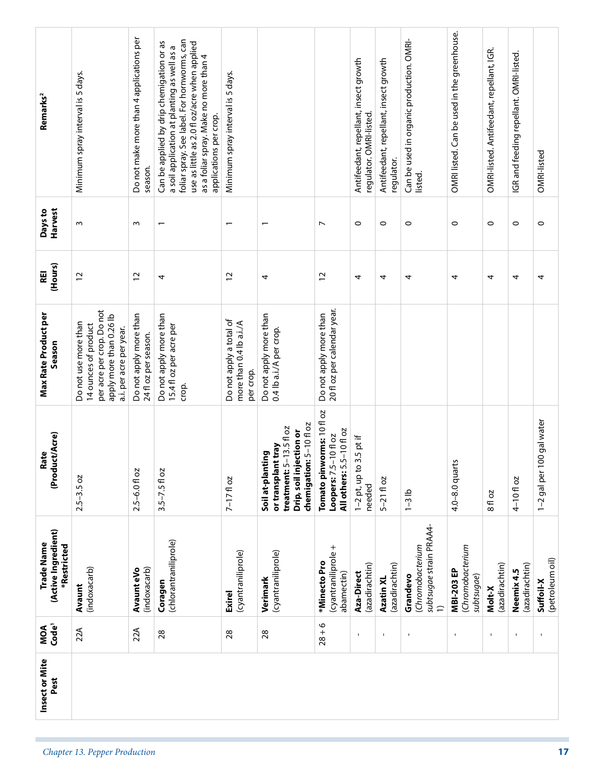| Remarks <sup>2</sup><br>Harvest<br>Days to<br>(Hours)<br>REI<br>Max Rate Product per<br>Season<br>(Product/Acre)<br>Rate | Minimum spray interval is 5 days.<br>$\sim$<br>$\overline{c}$<br>per acre per crop. Do not<br>apply more than 0.26 lb<br>Do not use more than<br>14 ounces of product<br>a.i. per acre per year.<br>$2.5 - 3.5$ oz | Do not make more than 4 applications per<br>season.<br>$\sim$<br>$\overline{c}$<br>Do not apply more than<br>24 fl oz per season.<br>$2.5 - 6.0$ fl oz | foliar spray. See label. For hornworms, can<br>Can be applied by drip chemigation or as<br>use as little as 2.0 fl oz/acre when applied<br>a soil application at planting as well as a<br>as a foliar spray. Make no more than 4<br>applications per crop.<br>$\overline{\phantom{0}}$<br>4<br>Do not apply more than<br>15.4 fl oz per acre per<br>crop.<br>$3.5 - 7.5f$ oz | Minimum spray interval is 5 days.<br>$\overline{\phantom{0}}$<br>12<br>Do not apply a total of<br>more than 0.4 lb a.i./A<br>per crop.<br>$7-171$ oz | 4<br>Do not apply more than<br>0.4 lb a.i./A per crop.<br>chemigation: 5-10 floz<br>treatment: $5-13.5f$ $oz$<br>Drip, soil injection or<br>or transplant tray<br>Soil at-planting | $\overline{ }$<br>$\overline{c}$<br>20 fl oz per calendar year.<br>Do not apply more than<br>Tomato pinworms: 10 floz<br>All others: 5.5-10 fl oz<br>Loopers: 7.5-10 fl oz | Antifeedant, repellant, insect growth<br>regulator. OMRI-listed.<br>$\circ$<br>4<br>$1-2$ pt, up to 3.5 pt if<br>needed | Antifeedant, repellant, insect growth<br>regulator.<br>$\circ$<br>4<br>$5-21$ floz | Can be used in organic production. OMRI-<br>listed.<br>$\circ$<br>4<br>$1-3$ lb | OMRI listed. Can be used in the greenhouse.<br>$\circ$<br>4<br>4.0-8.0 quarts | OMRI-listed. Antifeedant, repellant, IGR.<br>$\circ$<br>4<br>8 fl oz | IGR and feeding repellant. OMRI-listed.<br>$\circ$<br>4<br>4-101 oz | OMRI-listed<br>$\circ$<br>4<br>100 gal water<br>1-2 gal per |
|--------------------------------------------------------------------------------------------------------------------------|--------------------------------------------------------------------------------------------------------------------------------------------------------------------------------------------------------------------|--------------------------------------------------------------------------------------------------------------------------------------------------------|------------------------------------------------------------------------------------------------------------------------------------------------------------------------------------------------------------------------------------------------------------------------------------------------------------------------------------------------------------------------------|------------------------------------------------------------------------------------------------------------------------------------------------------|------------------------------------------------------------------------------------------------------------------------------------------------------------------------------------|----------------------------------------------------------------------------------------------------------------------------------------------------------------------------|-------------------------------------------------------------------------------------------------------------------------|------------------------------------------------------------------------------------|---------------------------------------------------------------------------------|-------------------------------------------------------------------------------|----------------------------------------------------------------------|---------------------------------------------------------------------|-------------------------------------------------------------|
| (Active Ingredient)<br>Trade Name<br>*Restricted                                                                         | (indoxacarb)<br>Avaunt                                                                                                                                                                                             | (indoxacarb)<br>Avaunt eVo                                                                                                                             | (chlorantraniliprole)<br>Coragen                                                                                                                                                                                                                                                                                                                                             | (cyantraniliprole)<br>Exirel                                                                                                                         | (cyantraniliprole)<br>Verimark                                                                                                                                                     | (cyantraniliprole +<br>*Minecto Pro<br>abamectin)                                                                                                                          | (azadirachtin)<br>Aza-Direct                                                                                            | (azadirachtin)<br>Azatin XL                                                        | subtsugae strain PRAA4-<br>(Chromobacterium<br>Grandevo<br>$\overline{1}$       | (Chromobacterium<br><b>MBI-203 EP</b><br>subtsugae)                           | (azadirachtin)<br>Molt-X                                             | (azadirachtin)<br>Neemix 4.5                                        | (petroleum oil)<br>Suffoil-X                                |
| MOA<br>Code <sup>1</sup>                                                                                                 | 22A                                                                                                                                                                                                                | 22A                                                                                                                                                    | 28                                                                                                                                                                                                                                                                                                                                                                           | 28                                                                                                                                                   | 28                                                                                                                                                                                 | $28 + 6$                                                                                                                                                                   | $\mathbf{I}$                                                                                                            | $\mathbf{I}$                                                                       | $\blacksquare$                                                                  | $\mathbf{I}$                                                                  | $\mathbf{I}$                                                         | Ţ                                                                   | Ţ                                                           |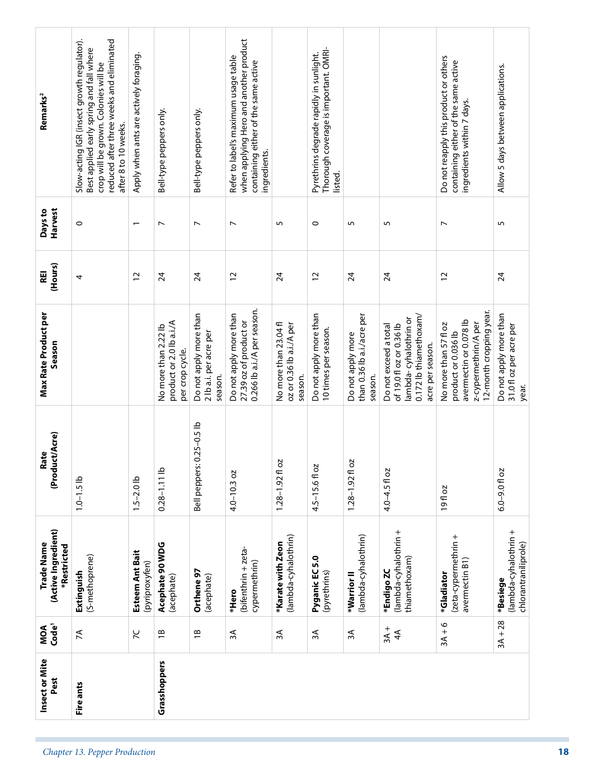| Allow 5 days between applications.<br>5<br>$\overline{24}$<br>Do not apply more than<br>31.0 fl oz per acre per<br>(lambda-cyhalothrin +<br>$3A + 28$ | Do not reapply this product or others<br>containing either of the same active<br>ingredients within 7 days.<br>$\overline{\phantom{a}}$<br>$\overline{c}$<br>12-month cropping year.<br>avermectin or 0.078 lb<br>z-cypermethrin/A per<br>No more than 57 fl oz<br>product or 0.036 lb<br>19fl oz<br>(zeta-cypermethrin +<br>avermectin B1)<br>*Gladiator<br>$3A + 6$ | 5<br>$\overline{24}$<br>0.172 lb thiamethoxam/<br>lambda-cyhalothrin or<br>of 19.0 fl oz or 0.36 lb<br>Do not exceed a total<br>acre per season.<br>4.0-4.5 fl oz<br>(lambda-cyhalothrin +<br>thiamethoxam)<br>*Endigo ZC<br>$3A +$<br>4A | 5<br>$\overline{24}$<br>than 0.36 lb a.i./acre per<br>Do not apply more<br>season.<br>2O<br>$1.28 - 1.92$ fl<br>(lambda-cyhalothrin)<br>*Warrior <sup>II</sup><br>$\approx$ | Thorough coverage is important. OMRI-<br>Pyrethrins degrade rapidly in sunlight.<br>listed.<br>$\circ$<br>$\overline{c}$<br>Do not apply more than<br>10 times per season.<br>Ŋ<br>$4.5 - 15.6f$ o<br>Pyganic EC 5.0<br>(pyrethrins)<br>$\approx$ | 5<br>$\overline{24}$<br>No more than 23.04 fl<br>oz or 0.36 lb a.i./A per<br>season.<br>5<br>$1.28 - 1.92$ fl<br>(lambda-cyhalothrin)<br>*Karate with Zeon<br>ЗÃ | when applying Hero and another product<br>Refer to label's maximum usage table<br>containing either of the same active<br>ingredients.<br>$\overline{\phantom{a}}$<br>$\overline{c}$<br>0.266 lb a.i./A per season.<br>Do not apply more than<br>27.39 oz of product or<br>$4.0 - 10.3$ oz<br>(bifenthrin + zeta-<br>cypermethrin)<br>*Hero<br>3A | Bell-type peppers only.<br>$\overline{\phantom{a}}$<br>$\overline{24}$<br>Do not apply more than<br>2 lb a.i. per acre per<br>season.<br>Bell peppers: 0.25-0.5 lb<br>Orthene 97<br>(acephate)<br>$\overline{1}$ | Slow-acting IGR (insect growth regulator).<br>reduced after three weeks and eliminated<br>Best applied early spring and fall where<br>Apply when ants are actively foraging.<br>crop will be grown. Colonies will be<br>Remarks <sup>2</sup><br>Bell-type peppers only.<br>after 8 to 10 weeks. | Harvest<br>Days to<br>0<br>$\overline{ }$<br>$\overline{\phantom{0}}$ | (Hours)<br>REI<br>$\overline{c}$<br>$\overline{24}$<br>4 | Max Rate Product per<br>product or 2.0 lb a.i./A<br>No more than 2.22 lb<br>Season<br>per crop cycle. | (Product/Acre)<br>Rate<br>$0.28 - 1.11$ lb<br>$6.0 - 9.0$ fl oz<br>$1.5 - 2.0$ lb<br>$1.0 - 1.5$ lb | (Active Ingredient)<br>Trade Name<br>Acephate 90 WDG<br>*Restricted<br>Esteem Ant Bait<br>(S-methoprene)<br>(pyriproxyfen)<br>Extinguish<br>(acephate)<br>*Besiege | MOA<br>Code <sup>1</sup><br>$\tilde{C}$<br>$\lesssim$<br>$\overline{\Xi}$ |
|-------------------------------------------------------------------------------------------------------------------------------------------------------|-----------------------------------------------------------------------------------------------------------------------------------------------------------------------------------------------------------------------------------------------------------------------------------------------------------------------------------------------------------------------|-------------------------------------------------------------------------------------------------------------------------------------------------------------------------------------------------------------------------------------------|-----------------------------------------------------------------------------------------------------------------------------------------------------------------------------|---------------------------------------------------------------------------------------------------------------------------------------------------------------------------------------------------------------------------------------------------|------------------------------------------------------------------------------------------------------------------------------------------------------------------|---------------------------------------------------------------------------------------------------------------------------------------------------------------------------------------------------------------------------------------------------------------------------------------------------------------------------------------------------|------------------------------------------------------------------------------------------------------------------------------------------------------------------------------------------------------------------|-------------------------------------------------------------------------------------------------------------------------------------------------------------------------------------------------------------------------------------------------------------------------------------------------|-----------------------------------------------------------------------|----------------------------------------------------------|-------------------------------------------------------------------------------------------------------|-----------------------------------------------------------------------------------------------------|--------------------------------------------------------------------------------------------------------------------------------------------------------------------|---------------------------------------------------------------------------|
|                                                                                                                                                       |                                                                                                                                                                                                                                                                                                                                                                       |                                                                                                                                                                                                                                           |                                                                                                                                                                             |                                                                                                                                                                                                                                                   |                                                                                                                                                                  |                                                                                                                                                                                                                                                                                                                                                   |                                                                                                                                                                                                                  |                                                                                                                                                                                                                                                                                                 |                                                                       |                                                          |                                                                                                       |                                                                                                     |                                                                                                                                                                    |                                                                           |
|                                                                                                                                                       |                                                                                                                                                                                                                                                                                                                                                                       |                                                                                                                                                                                                                                           |                                                                                                                                                                             |                                                                                                                                                                                                                                                   |                                                                                                                                                                  |                                                                                                                                                                                                                                                                                                                                                   |                                                                                                                                                                                                                  |                                                                                                                                                                                                                                                                                                 |                                                                       |                                                          |                                                                                                       |                                                                                                     |                                                                                                                                                                    |                                                                           |
|                                                                                                                                                       |                                                                                                                                                                                                                                                                                                                                                                       |                                                                                                                                                                                                                                           |                                                                                                                                                                             |                                                                                                                                                                                                                                                   |                                                                                                                                                                  |                                                                                                                                                                                                                                                                                                                                                   |                                                                                                                                                                                                                  |                                                                                                                                                                                                                                                                                                 |                                                                       |                                                          |                                                                                                       |                                                                                                     |                                                                                                                                                                    |                                                                           |
|                                                                                                                                                       |                                                                                                                                                                                                                                                                                                                                                                       |                                                                                                                                                                                                                                           |                                                                                                                                                                             |                                                                                                                                                                                                                                                   |                                                                                                                                                                  |                                                                                                                                                                                                                                                                                                                                                   |                                                                                                                                                                                                                  |                                                                                                                                                                                                                                                                                                 |                                                                       |                                                          |                                                                                                       |                                                                                                     |                                                                                                                                                                    |                                                                           |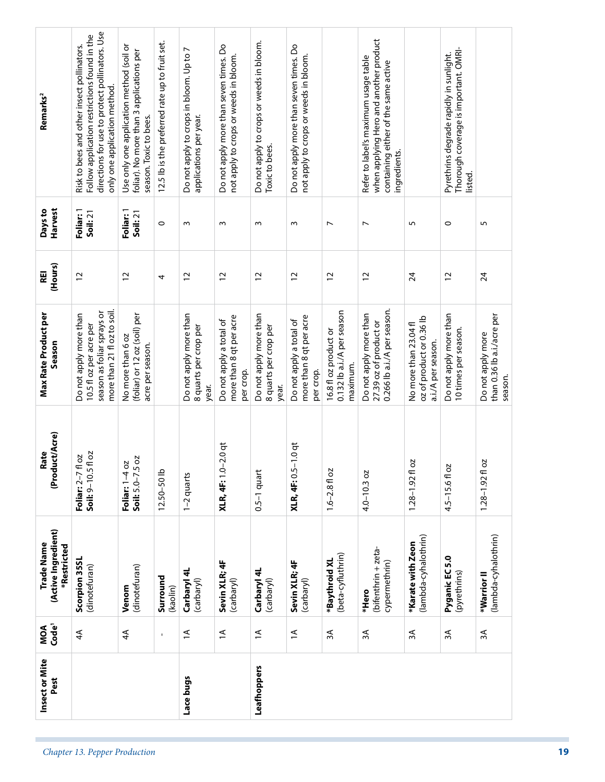| Insect or Mite<br>Pest | Code <sup>1</sup><br>MOA | (Active Ingredient)<br>Trade Name<br>*Restricted | (Product/Acre)<br>Rate                  | <b>Max Rate Product per</b><br>Season                                                                          | (Hours)<br>REI  | Harvest<br>Days to           | Remarks <sup>2</sup>                                                                                                                                                         |
|------------------------|--------------------------|--------------------------------------------------|-----------------------------------------|----------------------------------------------------------------------------------------------------------------|-----------------|------------------------------|------------------------------------------------------------------------------------------------------------------------------------------------------------------------------|
|                        | $\overline{4}$           | Scorpion 35SL<br>(dinotefuran)                   | Soil: 9-10.5 fl oz<br>Foliar: 2-7 fl oz | more than 21 fl oz to soil.<br>season as foliar sprays or<br>Do not apply more than<br>10.5 fl oz per acre per | $\overline{c}$  | Foliar: 1<br>Soil: 21        | directions for use to protect pollinators. Use<br>Follow application restrictions found in the<br>Risk to bees and other insect pollinators.<br>only one application method. |
|                        | $\overline{4}$           | (dinotefuran)<br>Venom                           | SQ<br>Foliar: 1-4 oz<br>Soil: 5.0-7.5   | (foliar) or 12 oz (soil) per<br>No more than 6 oz<br>acre per season.                                          | $\overline{c}$  | Foliar: 1<br><b>Soil: 21</b> | Use only one application method (soil or<br>foliar). No more than 3 applications per<br>season. Toxic to bees.                                                               |
|                        | $\mathbf{I}$             | Surround<br>(kaolin)                             | $12.50 - 50$ lb                         |                                                                                                                | 4               | $\circ$                      | 12.5 lb is the preferred rate up to fruit set.                                                                                                                               |
| Lace bugs              | $\overline{a}$           | Carbaryl 4L<br>(carbaryl)                        | 1-2 quarts                              | Do not apply more than<br>8 quarts per crop per<br>year.                                                       | $\overline{c}$  | $\sim$                       | Do not apply to crops in bloom. Up to 7<br>applications per year.                                                                                                            |
|                        | $\overline{=}$           | Sevin XLR; 4F<br>(carbaryl)                      | <b>XLR, 4F:</b> 1.0-2.0 qt              | more than 8 qt per acre<br>Do not apply a total of<br>per crop.                                                | 12              | S                            | Do not apply more than seven times. Do<br>not apply to crops or weeds in bloom.                                                                                              |
| Leafhoppers            | $\overline{a}$           | Carbaryl 4L<br>(carbaryl)                        | $0.5-1$ quart                           | Do not apply more than<br>8 quarts per crop per<br>year.                                                       | $\overline{c}$  | $\sim$                       | Do not apply to crops or weeds in bloom.<br>Toxic to bees.                                                                                                                   |
|                        | $\overline{=}$           | Sevin XLR; 4F<br>(carbaryl)                      | <b>XLR, 4F: 0.5-1.0 qt</b>              | more than 8 qt per acre<br>Do not apply a total of<br>per crop.                                                | $\overline{c}$  | $\sim$                       | Do not apply more than seven times. Do<br>not apply to crops or weeds in bloom.                                                                                              |
|                        | ЗA                       | (beta-cyfluthrin)<br>*Baythroid XL               | $1.6 - 2.8$ fl oz                       | 0.132 lb a.i./A per season<br>16.8 fl oz product or<br>maximum.                                                | $\overline{c}$  | $\overline{ }$               |                                                                                                                                                                              |
|                        | $\approx$                | (bifenthrin + zeta-<br>cypermethrin)<br>*Hero    | $4.0 - 10.3$ oz                         | 0.266 lb a.i./A per season.<br>Do not apply more than<br>27.39 oz of product or                                | 12              | $\overline{ }$               | when applying Hero and another product<br>Refer to label's maximum usage table<br>containing either of the same active<br>ingredients.                                       |
|                        | 3A                       | (lambda-cyhalothrin)<br>*Karate with Zeon        | S<br>$1.28 - 1.92$ f                    | oz of product or 0.36 lb<br>No more than 23.04 fl<br>a.i./A per season.                                        | 24              | S                            |                                                                                                                                                                              |
|                        | 3A                       | Pyganic EC 5.0<br>(pyrethrins)                   | 4.5-15.6fl oz                           | Do not apply more than<br>10 times per season.                                                                 | $\overline{c}$  | $\circ$                      | Thorough coverage is important. OMRI-<br>Pyrethrins degrade rapidly in sunlight.<br>listed.                                                                                  |
|                        | 3A                       | (lambda-cyhalothrin)<br>*Warrior <sup>II</sup>   | 50<br>$1.28 - 1.92$ f                   | than 0.36 lb a.i./acre per<br>Do not apply more<br>season.                                                     | $\overline{24}$ | 5                            |                                                                                                                                                                              |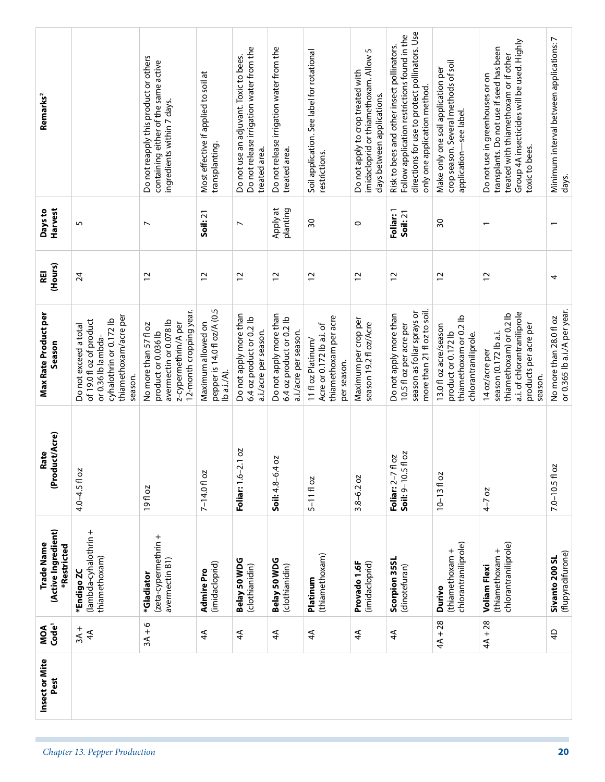| Remarks <sup>2</sup>                             |                                                                                                                                       | Do not reapply this product or others<br>containing either of the same active<br>ingredients within 7 days.               | Most effective if applied to soil at<br>transplanting.           | Do not release irrigation water from the<br>Do not use an adjuvant. Toxic to bees.<br>treated area. | Do not release irrigation water from the<br>treated area.                   | Soil application. See label for rotational<br>restrictions.                            | imidacloprid or thiamethoxam. Allow 5<br>Do not apply to crop treated with<br>days between applications. | directions for use to protect pollinators. Use<br>Follow application restrictions found in the<br>Risk to bees and other insect pollinators.<br>only one application method. | crop season. Several methods of soil<br>Make only one soil application per<br>application-see label. | Group 4A insecticides will be used. Highly<br>transplants. Do not use if seed has been<br>treated with thiamethoxam or if other<br>Do not use in greenhouses or on<br>toxic to bees. | Minimum interval between applications: 7<br>days.       |
|--------------------------------------------------|---------------------------------------------------------------------------------------------------------------------------------------|---------------------------------------------------------------------------------------------------------------------------|------------------------------------------------------------------|-----------------------------------------------------------------------------------------------------|-----------------------------------------------------------------------------|----------------------------------------------------------------------------------------|----------------------------------------------------------------------------------------------------------|------------------------------------------------------------------------------------------------------------------------------------------------------------------------------|------------------------------------------------------------------------------------------------------|--------------------------------------------------------------------------------------------------------------------------------------------------------------------------------------|---------------------------------------------------------|
| Harvest<br>Days to                               | 5                                                                                                                                     | $\overline{ }$                                                                                                            | Soil: 21                                                         | $\overline{ }$                                                                                      | Apply at<br>planting                                                        | 30                                                                                     | $\circ$                                                                                                  | Foliar: 1<br>Soil: 21                                                                                                                                                        | SO                                                                                                   | $\overline{\phantom{0}}$                                                                                                                                                             |                                                         |
| (Hours)<br>REI                                   | $\overline{2}$                                                                                                                        | $\overline{c}$                                                                                                            | $\overline{c}$                                                   | $\overline{c}$                                                                                      | $\overline{c}$                                                              | $\tilde{c}$                                                                            | $\overline{c}$                                                                                           | $\overline{c}$                                                                                                                                                               | $\overline{c}$                                                                                       | $\overline{c}$                                                                                                                                                                       | 4                                                       |
| <b>Max Rate Product per</b><br>Season            | thiamethoxam/acre per<br>cyhalothrin or 0.172 lb<br>of 19.0 floz of product<br>Do not exceed a total<br>or 0.36 lb lambda-<br>season. | 12-month cropping year.<br>avermectin or 0.078 lb<br>z-cypermethrin/A per<br>No more than 57 fl oz<br>product or 0.036 lb | pepper is 14.0 fl oz/A (0.5<br>Maximum allowed on<br>Ib a.i./A). | Do not apply more than<br>6.4 oz product or 0.2 lb<br>a.i./acre per season.                         | Do not apply more than<br>6.4 oz product or 0.2 lb<br>a.i./acre per season. | thiamethoxam per acre<br>Acre or 0.172 lb a.i. of<br>11 fl oz Platinum/<br>per season. | Maximum per crop per<br>season 19.2 fl oz/Acre                                                           | more than 21 fl oz to soil.<br>season as foliar sprays or<br>Do not apply more than<br>10.5 fl oz per acre per                                                               | thiamethoxam or 0.2 lb<br>13.0 fl oz acre/season<br>product or 0.172 lb<br>chlorantraniliprole.      | a.i. of chlorantraniliprole<br>thiamethoxam) or 0.2 lb<br>products per acre per<br>season (0.172 lb a.i.<br>14 oz/acre per<br>season.                                                | or 0.365 lb a.i./A per year.<br>No more than 28.0 fl oz |
| uct/Acre)<br>Rate<br>(Prod                       | $4.0 - 4.5$ fl oz                                                                                                                     | 19fl oz                                                                                                                   | 7-14.0 fl oz                                                     | 2.1 oz<br>Foliar: 1.6-                                                                              | 402<br>Soil: $4.8 - 6.4$                                                    | $5 - 11f$ oz                                                                           | $3.8 - 6.2$ oz                                                                                           | fl oz<br>fl oz<br>Soil: 9-10.5<br>Foliar: 2-7                                                                                                                                | $10 - 1310z$                                                                                         | $4 - 7$ oz                                                                                                                                                                           | $7.0 - 10.5$ fl oz                                      |
| (Active Ingredient)<br>Trade Name<br>*Restricted | (lambda-cyhalothrin +<br>thiamethoxam)<br>*Endigo ZC                                                                                  | (zeta-cypermethrin +<br>avermectin B1)<br>*Gladiator                                                                      | (imidacloprid)<br><b>Admire</b> Pro                              | Belay 50 WDG<br>(clothianidin)                                                                      | Belay 50 WDG<br>(clothianidin)                                              | (thiamethoxam)<br>Platinum                                                             | Provado 1.6F<br>(imidacloprid)                                                                           | Scorpion 35SL<br>(dinotefuran)                                                                                                                                               | chlorantraniliprole)<br>(thiamethoxam +<br>Durivo                                                    | chlorantraniliprole)<br>(thiamethoxam +<br><b>Voliam Flexi</b>                                                                                                                       | (flupyradifurone)<br>Sivanto 200 SL                     |
| Code <sup>1</sup><br>MOA                         | $3A +$<br>$\overline{4}$                                                                                                              | $3A + 6$                                                                                                                  | $\overline{4}$                                                   | $\overline{4}$                                                                                      | $\overline{4}$                                                              | ₹                                                                                      | $\overline{4}$                                                                                           | 4 <sup>4</sup>                                                                                                                                                               | $4A + 28$                                                                                            | $4A + 28$                                                                                                                                                                            | $\overline{4}$                                          |
| Insect or Mite<br>Pest                           |                                                                                                                                       |                                                                                                                           |                                                                  |                                                                                                     |                                                                             |                                                                                        |                                                                                                          |                                                                                                                                                                              |                                                                                                      |                                                                                                                                                                                      |                                                         |
|                                                  | Chapter 13. Pepper Production                                                                                                         |                                                                                                                           |                                                                  |                                                                                                     |                                                                             |                                                                                        |                                                                                                          |                                                                                                                                                                              |                                                                                                      |                                                                                                                                                                                      | 20                                                      |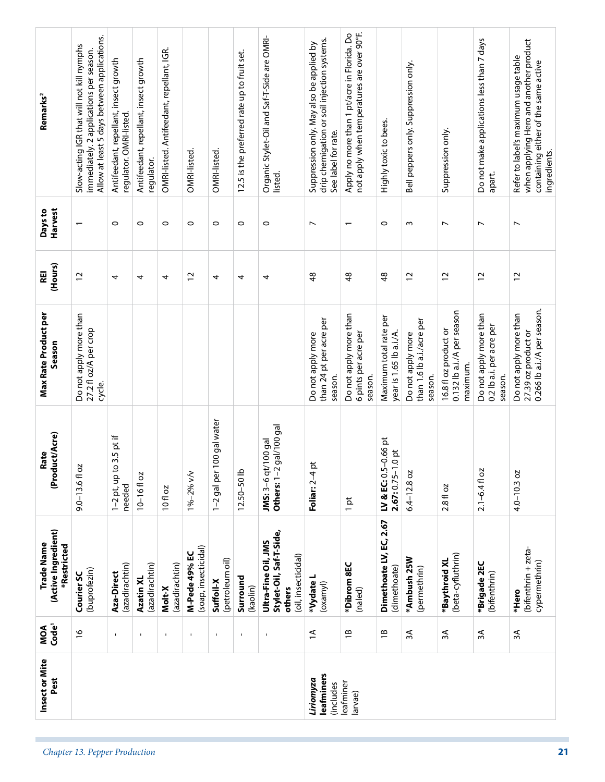| Code <sup>1</sup><br>MOA<br>Insect or Mite<br>Pest | (buprofezin)<br>Courier SC<br>$\frac{9}{2}$                                                                                         | Aza-Direct<br>$\mathbf{I}$                                       | Azatin XL<br>$\mathbf{I}$                           | Molt-X<br>$\blacksquare$                  | $\mathbf{I}$                          | Suffoil-X<br>$\mathbf{I}$    | Surround<br>(kaolin)<br>$\mathbf{I}$        | others<br>$\blacksquare$                                              | *Vydate L<br>(oxamyl)<br>$\overline{\mathcal{L}}$<br>leafminers<br>Liriomyza<br>(includes                      | (naled)<br>$\overline{B}$<br>leafminer<br>larvae)                                         | (dimethoate)<br>$\overline{1}$                        | (permethrin)<br>$\approx$                                 | $\approx$                                                       | (bifenthrin)<br>ЗÃ                                            | *Hero<br>ЗÁ                                                                                                                            |
|----------------------------------------------------|-------------------------------------------------------------------------------------------------------------------------------------|------------------------------------------------------------------|-----------------------------------------------------|-------------------------------------------|---------------------------------------|------------------------------|---------------------------------------------|-----------------------------------------------------------------------|----------------------------------------------------------------------------------------------------------------|-------------------------------------------------------------------------------------------|-------------------------------------------------------|-----------------------------------------------------------|-----------------------------------------------------------------|---------------------------------------------------------------|----------------------------------------------------------------------------------------------------------------------------------------|
| (Active Ingredient)<br>Trade Name<br>*Restricted   |                                                                                                                                     | (azadirachtin)                                                   | (azadirachtin)                                      | (azadirachtin)                            | (soap, insecticidal)<br>M-Pede 49% EC | (petroleum oil)              |                                             | Stylet-Oil, Saf-T-Side,<br>Ultra-Fine Oil, JMS<br>(oil, insecticidal) |                                                                                                                | *Dibrom 8EC                                                                               | Dimethoate LV, EC, 2.67                               | *Ambush 25W                                               | (beta-cyfluthrin)<br>*Baythroid XL                              | *Brigade 2EC                                                  | (bifenthrin + zeta-<br>cypermethrin)                                                                                                   |
| (Product/Acre)<br>Rate                             | $9.0 - 13.6$ fl oz                                                                                                                  | $1-2$ pt, up to 3.5 pt if<br>needed                              | $10 - 16f$ oz                                       | 10 fl oz                                  | 1%-2% v/v                             | 100 gal water<br>1-2 gal per | 12.50-50 lb                                 | gal/100 gal<br>JMS: 3-6 qt/100 gal<br>Others: $1-2$                   | Foliar: 2-4 pt                                                                                                 | $1$ pt                                                                                    | $-0.66$ pt<br>$.0$ pt<br>LV & EC: 0.5<br>$2.67:0.75-$ | $6.4 - 12.8$ oz                                           | 2.8 fl oz                                                       | $2.1 - 6.4$ fl oz                                             | $4.0 - 10.3$ oz                                                                                                                        |
| Max Rate Product per<br>Season                     | Do not apply more than<br>27.2 fl oz/A per crop<br>cycle.                                                                           |                                                                  |                                                     |                                           |                                       |                              |                                             |                                                                       | than 24 pt per acre per<br>Do not apply more<br>season.                                                        | Do not apply more than<br>6 pints per acre per<br>season.                                 | Maximum total rate per<br>year is 1.65 lb a.i./A.     | than 1.6 lb a.i./acre per<br>Do not apply more<br>season. | 0.132 lb a.i./A per season<br>16.8 fl oz product or<br>maximum. | Do not apply more than<br>0.2 lb a.i. per acre per<br>season. | 0.266 lb a.i./A per season.<br>Do not apply more than<br>27.39 oz product or                                                           |
| (Hours)<br>REI                                     | $\overline{c}$                                                                                                                      | 4                                                                | 4                                                   | 4                                         | $\overline{c}$                        | 4                            | 4                                           | 4                                                                     | $\frac{8}{3}$                                                                                                  | $\frac{8}{3}$                                                                             | \$                                                    | $\overline{c}$                                            | $\overline{c}$                                                  | $\overline{c}$                                                | 12                                                                                                                                     |
| Harvest<br>Days to                                 |                                                                                                                                     | $\circ$                                                          | $\circ$                                             | $\circ$                                   | $\circ$                               | $\circ$                      | $\circ$                                     | $\circ$                                                               | $\overline{ }$                                                                                                 | $\overline{\phantom{0}}$                                                                  | $\circ$                                               | $\sim$                                                    | $\overline{ }$                                                  | $\overline{ }$                                                | $\overline{ }$                                                                                                                         |
| Remarks <sup>2</sup>                               | Allow at least 5 days between applications.<br>Slow-acting IGR that will not kill nymphs<br>immediately. 2 applications per season. | Antifeedant, repellant, insect growth<br>regulator. OMRI-listed. | Antifeedant, repellant, insect growth<br>regulator. | OMRI-listed. Antifeedant, repellant, IGR. | OMRI-listed.                          | OMRI-listed.                 | 12.5 is the preferred rate up to fruit set. | Organic Stylet-Oil and Saf-T-Side are OMRI-<br>listed.                | drip chemigation or soil injection systems.<br>Suppression only. May also be applied by<br>See label for rate. | not apply when temperatures are over 90°F.<br>Apply no more than 1 pt/acre in Florida. Do | Highly toxic to bees.                                 | Bell peppers only. Suppression only.                      | Suppression only.                                               | Do not make applications less than 7 days<br>apart.           | when applying Hero and another product<br>Refer to label's maximum usage table<br>containing either of the same active<br>ingredients. |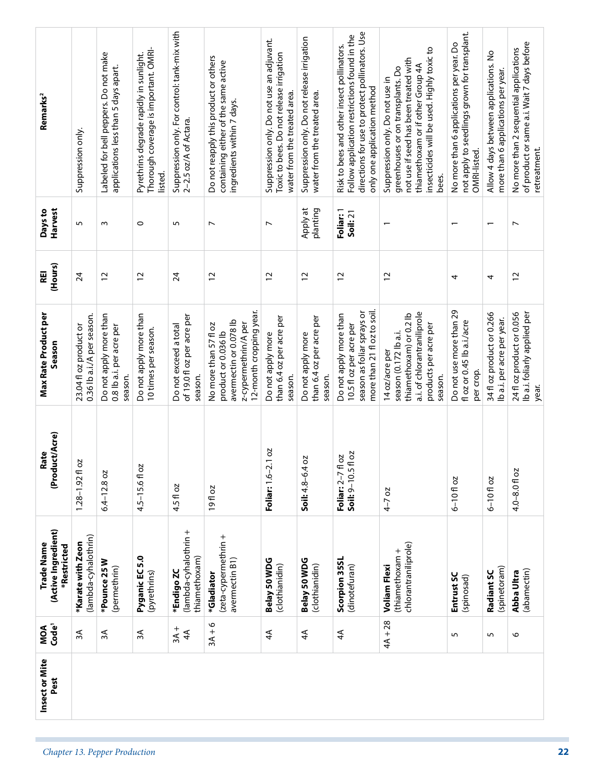| $3A + 6$<br>$3A +$<br>Ψε<br>$\approx$<br>$\approx$<br>$\overline{4}$<br>$\overline{4}$<br>$\overline{4}$<br>Chapter 13. Pepper Production |            | (Active Ingredient)<br>*Restricted                             | (Product/Acre)                                    | Season                                                                                                                                | (Hours)         | Days to<br>Harvest       |                                                                                                                                                                                                           |
|-------------------------------------------------------------------------------------------------------------------------------------------|------------|----------------------------------------------------------------|---------------------------------------------------|---------------------------------------------------------------------------------------------------------------------------------------|-----------------|--------------------------|-----------------------------------------------------------------------------------------------------------------------------------------------------------------------------------------------------------|
|                                                                                                                                           |            | (lambda-cyhalothrin)<br>*Karate with Zeon                      | δ<br>$1.28 - 1.92$ fl                             | 0.36 lb a.i./A per season.<br>23.04 floz product or                                                                                   | $\overline{24}$ | 5                        | Suppression only.                                                                                                                                                                                         |
|                                                                                                                                           |            | *Pounce 25W<br>(permethrin)                                    | $6.4 - 12.8$ oz                                   | Do not apply more than<br>0.8 lb a.i. per acre per<br>season.                                                                         | $\overline{c}$  | $\sim$                   | Labeled for bell peppers. Do not make<br>applications less than 5 days apart.                                                                                                                             |
|                                                                                                                                           |            | Pyganic EC 5.0<br>(pyrethrins)                                 | 4.5-15.6fl oz                                     | Do not apply more than<br>10 times per season.                                                                                        | $\overline{c}$  | $\circ$                  | Thorough coverage is important. OMRI-<br>Pyrethrins degrade rapidly in sunlight.<br>listed.                                                                                                               |
|                                                                                                                                           |            | (lambda-cyhalothrin +<br>thiamethoxam)<br>*Endigo ZC           | 4.5 fl oz                                         | of 19.0 fl oz per acre per<br>Do not exceed a total<br>season.                                                                        | $\overline{24}$ | 5                        | Suppression only. For control: tank-mix with<br>2-2.5 oz/A of Actara.                                                                                                                                     |
|                                                                                                                                           |            | (zeta-cypermethrin +<br>avermectin B1)<br>*Gladiator           | <b>19floz</b>                                     | 12-month cropping year.<br>avermectin or 0.078 lb<br>z-cypermethrin/A per<br>No more than 57 fl oz<br>product or 0.036 lb             | $\overline{c}$  | $\overline{ }$           | Do not reapply this product or others<br>containing either of the same active<br>ingredients within 7 days.                                                                                               |
|                                                                                                                                           |            | Belay 50 WDG<br>(clothianidin)                                 | 2.1 oz<br>Foliar: $1.6 - 7$                       | than 6.4 oz per acre per<br>Do not apply more<br>season.                                                                              | $\overline{c}$  | $\overline{ }$           | Suppression only. Do not use an adjuvant.<br>Toxic to bees. Do not release irrigation<br>water from the treated area.                                                                                     |
|                                                                                                                                           |            | Belay 50 WDG<br>(clothianidin)                                 | S<br>$Soil: 4.8 - 6.4$                            | than 6.4 oz per acre per<br>Do not apply more<br>season.                                                                              | $\overline{c}$  | Apply at<br>planting     | Suppression only. Do not release irrigation<br>water from the treated area.                                                                                                                               |
| $\overline{4}$                                                                                                                            |            | Scorpion 35SL<br>(dinotefuran)                                 | fl oz<br>1 oz<br>Foliar: 2–7 fl<br>Soil: 9–10.5 t | more than 21 fl oz to soil.<br>season as foliar sprays or<br>Do not apply more than<br>10.5 fl oz per acre per                        | $\overline{c}$  | Foliar: 1<br>Soil: 21    | directions for use to protect pollinators. Use<br>Follow application restrictions found in the<br>Risk to bees and other insect pollinators.<br>only one application method                               |
| $4A + 28$                                                                                                                                 |            | chlorantraniliprole)<br>(thiamethoxam +<br><b>Voliam Flexi</b> | $4 - 7$ oz                                        | a.i. of chlorantraniliprole<br>thiamethoxam) or 0.2 lb<br>products per acre per<br>season (0.172 lb a.i.<br>14 oz/acre per<br>season. | 12              |                          | insecticides will be used. Highly toxic to<br>not use if seed has been treated with<br>thiamethoxam or if other Group 4A<br>greenhouses or on transplants. Do<br>Suppression only. Do not use in<br>bees. |
| 5                                                                                                                                         | (spinosad) | Entrust SC                                                     | $6 - 10$ floz                                     | Do not use more than 29<br>flozor 0.45 lb a.i./acre<br>per crop.                                                                      | 4               | $\overline{\phantom{0}}$ | not apply to seedlings grown for transplant.<br>No more than 6 applications per year. Do<br>OMRI-listed.                                                                                                  |
| 5                                                                                                                                         |            | (spinetoram)<br>Radiant SC                                     | $6 - 10f$ oz                                      | 34 fl oz product or 0.266<br>lb a.i. per acre per year.                                                                               | 4               | $\overline{\phantom{0}}$ | Allow 4 days between applications. No<br>more than 6 applications per year.                                                                                                                               |
| $\circ$                                                                                                                                   |            | (abamectin)<br>Abba Ultra                                      | 4.0-8.0 fl oz                                     | Ib a.i. foliarly applied per<br>24 fl oz product or 0.056<br>year.                                                                    | $\overline{c}$  | $\overline{ }$           | of product or same a.i. Wait 7 days before<br>No more than 2 sequential applications<br>retreatment.                                                                                                      |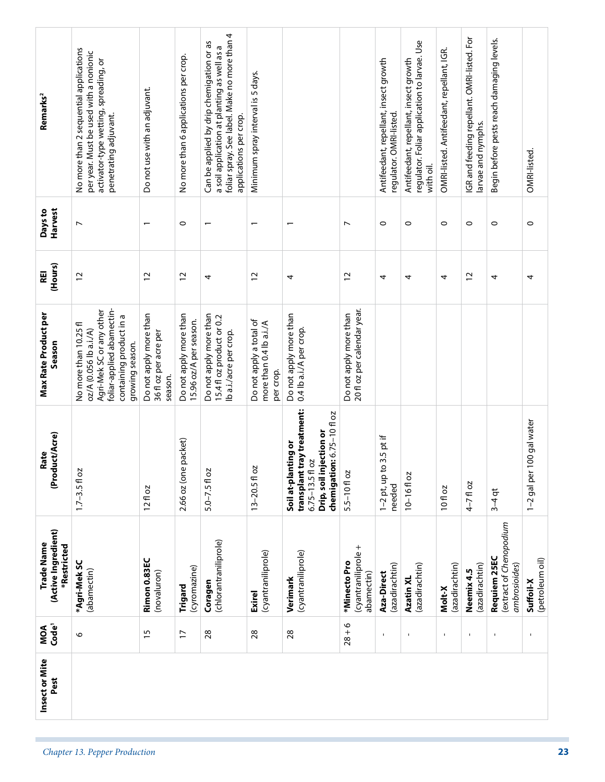| per year. Must be used with a nonionic<br>activator-type wetting, spreading, or<br>penetrating adjuvant. | No more than 2 sequential applications<br>$\overline{ }$                                                                                               | Do not use with an adjuvant.<br>$\overline{\phantom{0}}$   | No more than 6 applications per crop.<br>$\circ$ | foliar spray. See label. Make no more than 4<br>Can be applied by drip chemigation or as<br>a soil application at planting as well as a<br>applications per crop. | Minimum spray interval is 5 days.                               |                                                                                                                                      |                                                       |                                                                  |                                                                                                    |                                           |                                                                   |                                                          |                              |
|----------------------------------------------------------------------------------------------------------|--------------------------------------------------------------------------------------------------------------------------------------------------------|------------------------------------------------------------|--------------------------------------------------|-------------------------------------------------------------------------------------------------------------------------------------------------------------------|-----------------------------------------------------------------|--------------------------------------------------------------------------------------------------------------------------------------|-------------------------------------------------------|------------------------------------------------------------------|----------------------------------------------------------------------------------------------------|-------------------------------------------|-------------------------------------------------------------------|----------------------------------------------------------|------------------------------|
|                                                                                                          |                                                                                                                                                        |                                                            |                                                  |                                                                                                                                                                   |                                                                 |                                                                                                                                      |                                                       | Antifeedant, repellant, insect growth<br>regulator. OMRI-listed. | regulator. Foliar application to larvae. Use<br>Antifeedant, repellant, insect growth<br>with oil. | OMRI-listed. Antifeedant, repellant, IGR. | IGR and feeding repellant. OMRI-listed. For<br>larvae and nymphs. | Begin before pests reach damaging levels.                | OMRI-listed.                 |
|                                                                                                          |                                                                                                                                                        |                                                            |                                                  | $\overline{\phantom{0}}$                                                                                                                                          |                                                                 |                                                                                                                                      | $\overline{ }$                                        | $\circ$                                                          | $\circ$                                                                                            | $\circ$                                   | $\circ$                                                           | $\circ$                                                  | $\circ$                      |
|                                                                                                          | $\overline{c}$                                                                                                                                         | $\overline{c}$                                             | $\overline{c}$                                   | 4                                                                                                                                                                 | $\overline{c}$                                                  | 4                                                                                                                                    | $\overline{c}$                                        | 4                                                                | 4                                                                                                  | 4                                         | $\overline{c}$                                                    | 4                                                        | 4                            |
|                                                                                                          | foliar-applied abamectin-<br>Agri-Mek SC or any other<br>containing product in a<br>No more than 10.25 fl<br>oz/A (0.056 lb a.i./A)<br>growing season. | Do not apply more than<br>36 fl oz per acre per<br>season. | Do not apply more than<br>15.96 oz/A per season. | Do not apply more than<br>15.4 fl oz product or 0.2<br>lb a.i./acre per crop.                                                                                     | Do not apply a total of<br>more than 0.4 lb a.i./A<br>per crop. | Do not apply more than<br>0.4 lb a.i./A per crop.                                                                                    | 20 fl oz per calendar year.<br>Do not apply more than |                                                                  |                                                                                                    |                                           |                                                                   |                                                          |                              |
|                                                                                                          | $1.7 - 3.5 f$ oz                                                                                                                                       | $12f$ oz                                                   | 2.66 oz (one packet)                             | $5.0 - 7.5f$ oz                                                                                                                                                   | 13-20.5 fl oz                                                   | transplant tray treatment:<br>chemigation: 6.75-10 fl oz<br>Drip, soil injection or<br>Soil at-planting or<br>2O<br>$6.75 - 13.5$ fl | $5.5 - 10f$ oz                                        | $1-2$ pt, up to 3.5 pt if<br>needed                              | $10 - 16f$ oz                                                                                      | 10 fl oz                                  | $4 - 7$ fl oz                                                     | $3-4$ qt                                                 | 100 gal water<br>1-2 gal per |
|                                                                                                          | *Agri-Mek SC<br>(abamectin)                                                                                                                            | Rimon 0.83EC<br>(novaluron)                                | (cyromazine)<br>Trigard                          | (chlorantraniliprole)<br>Coragen                                                                                                                                  | (cyantraniliprole)<br>Exirel                                    | (cyantraniliprole)<br>Verimark                                                                                                       | (cyantraniliprole +<br>*Minecto Pro<br>abamectin)     | (azadirachtin)<br>Aza-Direct                                     | (azadirachtin)<br>Azatin XL                                                                        | (azadirachtin)<br>Molt-X                  | (azadirachtin)<br>Neemix 4.5                                      | (extract of Chenopodium<br>Requiem 25EC<br>ambrosioides) | (petroleum oil)<br>Suffoil-X |
|                                                                                                          | $\circ$                                                                                                                                                | $\overline{15}$                                            | $\overline{1}$                                   | 28                                                                                                                                                                | 28                                                              | 28                                                                                                                                   | $28 + 6$                                              | $\mathbf{I}$                                                     | $\mathbf{I}$                                                                                       | $\blacksquare$                            | $\mathbf{I}$                                                      | $\mathbf{I}$                                             | $\blacksquare$               |
|                                                                                                          |                                                                                                                                                        |                                                            |                                                  |                                                                                                                                                                   |                                                                 |                                                                                                                                      |                                                       |                                                                  |                                                                                                    |                                           |                                                                   |                                                          |                              |
|                                                                                                          |                                                                                                                                                        |                                                            |                                                  |                                                                                                                                                                   |                                                                 |                                                                                                                                      |                                                       |                                                                  |                                                                                                    |                                           |                                                                   |                                                          |                              |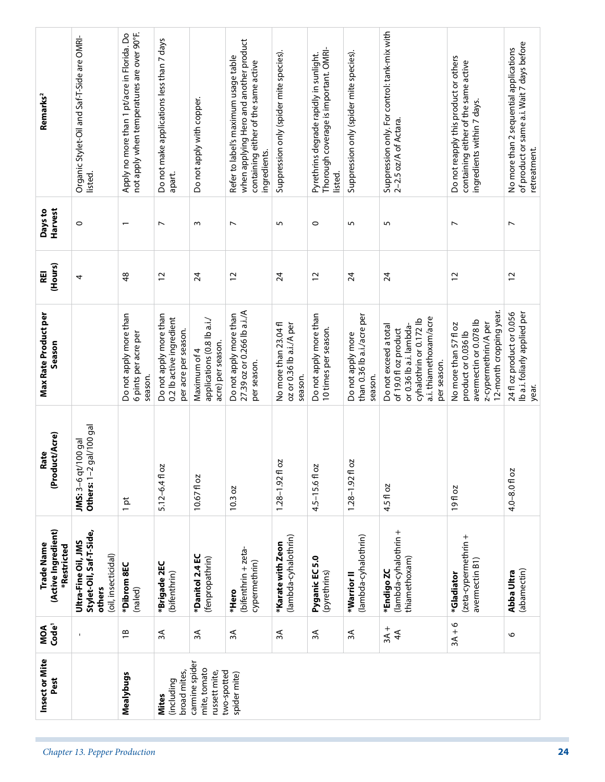| Thorough coverage is important. OMRI-<br>No more than 2 sequential applications<br>Suppression only (spider mite species).<br>Suppression only (spider mite species).<br>Pyrethrins degrade rapidly in sunlight.<br>Do not reapply this product or others<br>Refer to label's maximum usage table<br>containing either of the same active<br>containing either of the same active<br>Do not apply with copper.<br>ingredients within 7 days.<br>2-2.5 oz/A of Actara.<br>retreatment.<br>ingredients.<br>listed.<br>apart.<br>listed.<br>$\circ$<br>$\circ$<br>$\overline{ }$<br>5<br>5<br>5<br>$\overline{ }$<br>$\sim$<br>$\overline{ }$<br>$\overline{ }$<br>$\overline{\phantom{0}}$<br>$\frac{8}{3}$<br>$\overline{c}$<br>$\overline{c}$<br>$\overline{24}$<br>$\overline{c}$<br>24<br>$\overline{c}$<br>24<br>24<br>$\overline{c}$<br>4<br>12-month cropping year.<br>27.39 oz or 0.266 lb a.i./A<br>Ib a.i. foliarly applied per<br>24 fl oz product or 0.056<br>Do not apply more than<br>Do not apply more than<br>Do not apply more than<br>Do not apply more than<br>than 0.36 lb a.i./acre per<br>0.2 lb active ingredient<br>a.i. thiamethoxam/acre<br>applications (0.8 lb a.i./<br>cyhalothrin or 0.172 lb<br>avermectin or 0.078 lb<br>No more than 23.04 fl<br>oz or 0.36 lb a.i./A per<br>z-cypermethrin/A per<br>No more than 57 fl oz<br>or 0.36 lb a.i. lambda-<br>Do not exceed a total<br>10 times per season.<br>of 19.0 fl oz product<br>per acre per season.<br>product or 0.036 lb<br>6 pints per acre per<br>Do not apply more<br>acre) per season.<br>Maximum of 4<br>per season.<br>per season.<br>season.<br>season.<br>season.<br>year.<br>gal/100 gal<br>JMS: 3-6 qt/100 gal<br>S<br>δ<br>4.5-15.6fl oz<br>5.12-6.41 oz<br>Others: $1-2$<br>4.0-8.0 fl oz<br>$1.28 - 1.92$ fl<br>$1.28 - 1.92$ fl<br>10.67fl oz<br>4.5 fl oz<br>10.3 oz<br>19fl oz<br>$1$ pt<br>(lambda-cyhalothrin +<br>Stylet-Oil, Saf-T-Side,<br>(lambda-cyhalothrin)<br>(lambda-cyhalothrin)<br>(zeta-cypermethrin +<br>Ultra-Fine Oil, JMS<br>*Karate with Zeon<br>(bifenthrin + zeta-<br>(oil, insecticidal)<br>*Danitol 2.4 EC<br>Pyganic EC 5.0<br>(fenpropathrin)<br>thiamethoxam)<br>avermectin B1)<br>cypermethrin)<br>*Brigade 2EC<br>*Dibrom 8EC<br>(abamectin)<br>*Endigo ZC<br>(pyrethrins)<br>Abba Ultra<br>(bifenthrin)<br>*Gladiator<br>*Warrior <sup>II</sup><br>others<br>(naled)<br>*Hero<br>$3A + 6$<br>$3A +$<br>$\overline{1}$<br>3A<br>$\overline{4}$<br>3A<br>ЗA<br>ЗA<br>ЗÃ<br>ЗÁ<br>6<br>carmine spider<br>mite, tomato<br>two-spotted<br>broad mites,<br>russett mite,<br>spider mite)<br>Mealybugs<br>(including<br><b>Mites</b><br>Chapter 13. Pepper Production | Insect or Mite<br>Pest | MOA<br>Code <sup>1</sup> | (Active Ingredient)<br>Trade Name<br>*Restricted | (Product/Acre)<br>Rate | <b>Max Rate Product per</b><br>Season | (Hours)<br>REI | Harvest<br>Days to | Remarks <sup>2</sup>                                                                      |
|--------------------------------------------------------------------------------------------------------------------------------------------------------------------------------------------------------------------------------------------------------------------------------------------------------------------------------------------------------------------------------------------------------------------------------------------------------------------------------------------------------------------------------------------------------------------------------------------------------------------------------------------------------------------------------------------------------------------------------------------------------------------------------------------------------------------------------------------------------------------------------------------------------------------------------------------------------------------------------------------------------------------------------------------------------------------------------------------------------------------------------------------------------------------------------------------------------------------------------------------------------------------------------------------------------------------------------------------------------------------------------------------------------------------------------------------------------------------------------------------------------------------------------------------------------------------------------------------------------------------------------------------------------------------------------------------------------------------------------------------------------------------------------------------------------------------------------------------------------------------------------------------------------------------------------------------------------------------------------------------------------------------------------------------------------------------------------------------------------------------------------------------------------------------------------------------------------------------------------------------------------------------------------------------------------------------------------------------------------------------------------------------------------------------------------------------------------------------------------------------------------------------------------------------------------------------------------------------------------------------------------------------------------------------------------------------------|------------------------|--------------------------|--------------------------------------------------|------------------------|---------------------------------------|----------------|--------------------|-------------------------------------------------------------------------------------------|
|                                                                                                                                                                                                                                                                                                                                                                                                                                                                                                                                                                                                                                                                                                                                                                                                                                                                                                                                                                                                                                                                                                                                                                                                                                                                                                                                                                                                                                                                                                                                                                                                                                                                                                                                                                                                                                                                                                                                                                                                                                                                                                                                                                                                                                                                                                                                                                                                                                                                                                                                                                                                                                                                                                  |                        |                          |                                                  |                        |                                       |                |                    | Organic Stylet-Oil and Saf-T-Side are OMRI-                                               |
|                                                                                                                                                                                                                                                                                                                                                                                                                                                                                                                                                                                                                                                                                                                                                                                                                                                                                                                                                                                                                                                                                                                                                                                                                                                                                                                                                                                                                                                                                                                                                                                                                                                                                                                                                                                                                                                                                                                                                                                                                                                                                                                                                                                                                                                                                                                                                                                                                                                                                                                                                                                                                                                                                                  |                        |                          |                                                  |                        |                                       |                |                    | not apply when temperatures are over 90°F.<br>Apply no more than 1 pt/acre in Florida. Do |
|                                                                                                                                                                                                                                                                                                                                                                                                                                                                                                                                                                                                                                                                                                                                                                                                                                                                                                                                                                                                                                                                                                                                                                                                                                                                                                                                                                                                                                                                                                                                                                                                                                                                                                                                                                                                                                                                                                                                                                                                                                                                                                                                                                                                                                                                                                                                                                                                                                                                                                                                                                                                                                                                                                  |                        |                          |                                                  |                        |                                       |                |                    | Do not make applications less than 7 days                                                 |
|                                                                                                                                                                                                                                                                                                                                                                                                                                                                                                                                                                                                                                                                                                                                                                                                                                                                                                                                                                                                                                                                                                                                                                                                                                                                                                                                                                                                                                                                                                                                                                                                                                                                                                                                                                                                                                                                                                                                                                                                                                                                                                                                                                                                                                                                                                                                                                                                                                                                                                                                                                                                                                                                                                  |                        |                          |                                                  |                        |                                       |                |                    |                                                                                           |
|                                                                                                                                                                                                                                                                                                                                                                                                                                                                                                                                                                                                                                                                                                                                                                                                                                                                                                                                                                                                                                                                                                                                                                                                                                                                                                                                                                                                                                                                                                                                                                                                                                                                                                                                                                                                                                                                                                                                                                                                                                                                                                                                                                                                                                                                                                                                                                                                                                                                                                                                                                                                                                                                                                  |                        |                          |                                                  |                        |                                       |                |                    | when applying Hero and another product                                                    |
|                                                                                                                                                                                                                                                                                                                                                                                                                                                                                                                                                                                                                                                                                                                                                                                                                                                                                                                                                                                                                                                                                                                                                                                                                                                                                                                                                                                                                                                                                                                                                                                                                                                                                                                                                                                                                                                                                                                                                                                                                                                                                                                                                                                                                                                                                                                                                                                                                                                                                                                                                                                                                                                                                                  |                        |                          |                                                  |                        |                                       |                |                    |                                                                                           |
|                                                                                                                                                                                                                                                                                                                                                                                                                                                                                                                                                                                                                                                                                                                                                                                                                                                                                                                                                                                                                                                                                                                                                                                                                                                                                                                                                                                                                                                                                                                                                                                                                                                                                                                                                                                                                                                                                                                                                                                                                                                                                                                                                                                                                                                                                                                                                                                                                                                                                                                                                                                                                                                                                                  |                        |                          |                                                  |                        |                                       |                |                    |                                                                                           |
|                                                                                                                                                                                                                                                                                                                                                                                                                                                                                                                                                                                                                                                                                                                                                                                                                                                                                                                                                                                                                                                                                                                                                                                                                                                                                                                                                                                                                                                                                                                                                                                                                                                                                                                                                                                                                                                                                                                                                                                                                                                                                                                                                                                                                                                                                                                                                                                                                                                                                                                                                                                                                                                                                                  |                        |                          |                                                  |                        |                                       |                |                    |                                                                                           |
|                                                                                                                                                                                                                                                                                                                                                                                                                                                                                                                                                                                                                                                                                                                                                                                                                                                                                                                                                                                                                                                                                                                                                                                                                                                                                                                                                                                                                                                                                                                                                                                                                                                                                                                                                                                                                                                                                                                                                                                                                                                                                                                                                                                                                                                                                                                                                                                                                                                                                                                                                                                                                                                                                                  |                        |                          |                                                  |                        |                                       |                |                    | Suppression only. For control: tank-mix with                                              |
|                                                                                                                                                                                                                                                                                                                                                                                                                                                                                                                                                                                                                                                                                                                                                                                                                                                                                                                                                                                                                                                                                                                                                                                                                                                                                                                                                                                                                                                                                                                                                                                                                                                                                                                                                                                                                                                                                                                                                                                                                                                                                                                                                                                                                                                                                                                                                                                                                                                                                                                                                                                                                                                                                                  |                        |                          |                                                  |                        |                                       |                |                    |                                                                                           |
|                                                                                                                                                                                                                                                                                                                                                                                                                                                                                                                                                                                                                                                                                                                                                                                                                                                                                                                                                                                                                                                                                                                                                                                                                                                                                                                                                                                                                                                                                                                                                                                                                                                                                                                                                                                                                                                                                                                                                                                                                                                                                                                                                                                                                                                                                                                                                                                                                                                                                                                                                                                                                                                                                                  |                        |                          |                                                  |                        |                                       |                |                    | of product or same a.i. Wait 7 days before                                                |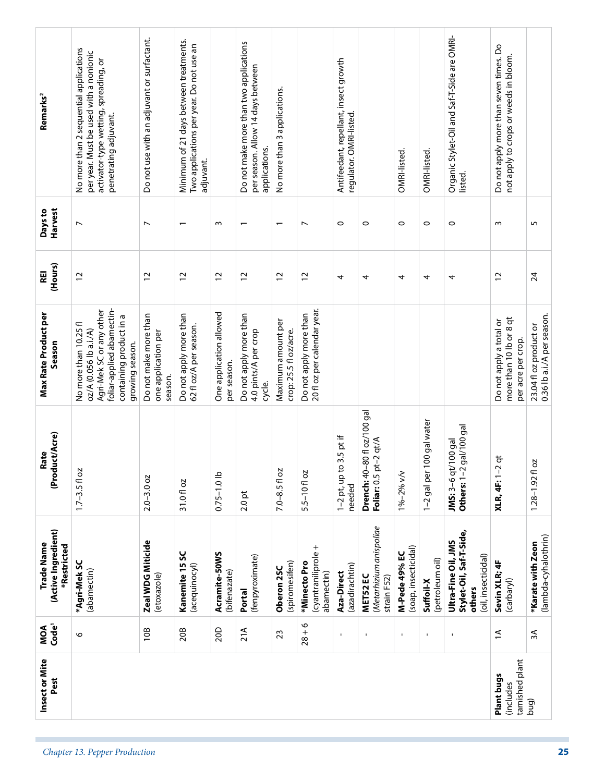|           | Insect or Mite<br>Pest        | MOA<br>Code <sup>1</sup> | (Active Ingredient)<br>Trade Name<br>*Restricted                                | (Product/Acre)<br>Rate                                      | <b>Max Rate Product per</b><br>Season                                                                                                                  | (Hours)<br>REI | Harvest<br>Days to       | Remarks <sup>2</sup>                                                                                                                               |
|-----------|-------------------------------|--------------------------|---------------------------------------------------------------------------------|-------------------------------------------------------------|--------------------------------------------------------------------------------------------------------------------------------------------------------|----------------|--------------------------|----------------------------------------------------------------------------------------------------------------------------------------------------|
|           |                               | $\circ$                  | *Agri-Mek SC<br>(abamectin)                                                     | $1.7 - 3.5 f$ oz                                            | foliar-applied abamectin-<br>Agri-Mek SC or any other<br>containing product in a<br>No more than 10.25 fl<br>oz/A (0.056 lb a.i./A)<br>growing season. | $\overline{c}$ | $\overline{ }$           | No more than 2 sequential applications<br>per year. Must be used with a nonionic<br>activator-type wetting, spreading, or<br>penetrating adjuvant. |
|           |                               | 10B                      | Zeal WDG Miticide<br>(etoxazole)                                                | $2.0 - 3.0$ oz                                              | Do not make more than<br>one application per<br>season.                                                                                                | $\overline{c}$ | $\overline{\phantom{a}}$ | Do not use with an adjuvant or surfactant.                                                                                                         |
|           |                               | 20B                      | Kanemite 15 SC<br>(acequinocyl)                                                 | 31.0 fl oz                                                  | Do not apply more than<br>62 fl oz/A per season.                                                                                                       | $\overline{c}$ | $\overline{ }$           | Minimum of 21 days between treatments.<br>Two applications per year. Do not use an<br>adjuvant.                                                    |
|           |                               | 20D                      | Acramite-50WS<br>(bifenazate)                                                   | $0.75 - 1.0$ lb                                             | One application allowed<br>per season.                                                                                                                 | $\overline{c}$ | $\omega$                 |                                                                                                                                                    |
|           |                               | 21A                      | (fenpyroximate)<br>Portal                                                       | $2.0$ pt                                                    | Do not apply more than<br>4.0 pints/A per crop<br>cycle.                                                                                               | $\overline{c}$ | $\overline{\phantom{0}}$ | Do not make more than two applications<br>per season. Allow 14 days between<br>applications.                                                       |
|           |                               | 23                       | (spiromesifen)<br>Oberon 2SC                                                    | $7.0 - 8.5 f$ oz                                            | Maximum amount per<br>crop: 25.5 fl oz/acre.                                                                                                           | $\overline{c}$ |                          | No more than 3 applications.                                                                                                                       |
|           |                               | $28 + 6$                 | (cyantraniliprole +<br>*Minecto Pro<br>abamectin)                               | 5.5-10floz                                                  | 20 fl oz per calendar year.<br>Do not apply more than                                                                                                  | 12             | $\overline{ }$           |                                                                                                                                                    |
|           |                               | $\mathbf{I}$             | (azadirachtin)<br>Aza-Direct                                                    | $1-2$ pt, up to 3.5 pt if<br>needed                         |                                                                                                                                                        | 4              | $\circ$                  | Antifeedant, repellant, insect growth<br>regulator. OMRI-listed.                                                                                   |
|           |                               | $\mathbf I$              | (Metarhizium anispoliae<br>MET52 EC<br>strain F52)                              | <b>Drench:</b> 40–80 fl oz/100 gal<br>Foliar: 0.5 pt-2 qt/A |                                                                                                                                                        | 4              | $\circ$                  |                                                                                                                                                    |
|           |                               | $\mathbf{I}$             | (soap, insecticidal)<br>M-Pede 49% EC                                           | 1%-2% v/v                                                   |                                                                                                                                                        | 4              | $\circ$                  | OMRI-listed.                                                                                                                                       |
|           |                               | $\mathbf{I}$             | (petroleum oil)<br>Suffoil-X                                                    | 100 gal water<br>1-2 gal per                                |                                                                                                                                                        | 4              | $\circ$                  | OMRI-listed.                                                                                                                                       |
|           |                               | $\mathbf I$              | Stylet-Oil, Saf-T-Side,<br>Ultra-Fine Oil, JMS<br>(oil, insecticidal)<br>others | Others: 1-2 gal/100 gal<br>JMS: 3-6 qt/100 gal              |                                                                                                                                                        | 4              | $\circ$                  | Organic Stylet-Oil and Saf-T-Side are OMRI-<br>listed.                                                                                             |
| (includes | tarnished plant<br>Plant bugs | $\overline{\Xi}$         | Sevin XLR; 4F<br>(carbaryl)                                                     | $2$ qt<br><b>XLR, 4F: 1-</b>                                | more than 10 lb or 8 qt<br>Do not apply a total or<br>per acre per crop.                                                                               | $\overline{c}$ | $\sim$                   | Do not apply more than seven times. Do<br>not apply to crops or weeds in bloom.                                                                    |
| (pud      |                               | ЗÁ                       | (lambda-cyhalothrin)<br>*Karate with Zeon                                       | 20<br>$1.28 - 1.92$ fl                                      | 0.36 lb a.i./A per season.<br>23.04 fl oz product or                                                                                                   | 24             | 5                        |                                                                                                                                                    |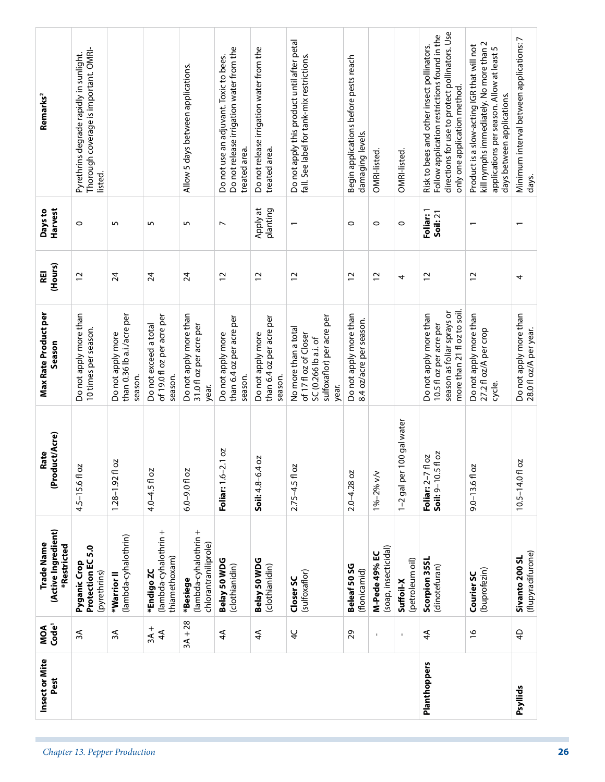|                               | Pest         | MOA<br>Code <sup>1</sup> | (Active Ingredient)<br>*Restricted                        | (Product/Acre)                                   | Season                                                                                                         | (Hours)         | Harvest<br>Days to       | Remarks <sup>2</sup>                                                                                                                                                         |
|-------------------------------|--------------|--------------------------|-----------------------------------------------------------|--------------------------------------------------|----------------------------------------------------------------------------------------------------------------|-----------------|--------------------------|------------------------------------------------------------------------------------------------------------------------------------------------------------------------------|
|                               |              | 3A                       | Protection EC5.0<br>Pyganic Crop<br>(pyrethrins)          | Ñ<br>$4.5 - 15.6f$ 0                             | Do not apply more than<br>10 times per season.                                                                 | $\overline{c}$  | $\circ$                  | Thorough coverage is important. OMRI-<br>Pyrethrins degrade rapidly in sunlight.<br>listed.                                                                                  |
| Chapter 13. Pepper Production |              | λξ                       | (lambda-cyhalothrin)<br>*Warrior II                       | S,<br>$1.28 - 1.92$ fl                           | than 0.36 lb a.i./acre per<br>Do not apply more<br>season.                                                     | 24              | S                        |                                                                                                                                                                              |
|                               |              | $3A +$<br>$\overline{4}$ | (lambda-cyhalothrin +<br>thiamethoxam)<br>*Endigo ZC      | 4.0-4.5 fl oz                                    | of 19.0 fl oz per acre per<br>Do not exceed a total<br>season.                                                 | $\overline{2}$  | 5                        |                                                                                                                                                                              |
|                               |              | $3A + 28$                | (lambda-cyhalothrin +<br>chlorantraniliprole)<br>*Besiege | $6.0 - 9.0$ fl oz                                | Do not apply more than<br>31.0 fl oz per acre per<br>year.                                                     | $\overline{24}$ | 5                        | Allow 5 days between applications.                                                                                                                                           |
|                               |              | $\overline{4}$           | Belay 50 WDG<br>(clothianidin)                            | 2.1 oz<br>Foliar: 1.6-                           | than 6.4 oz per acre per<br>Do not apply more<br>season.                                                       | $\overline{c}$  | $\overline{ }$           | Do not release irrigation water from the<br>Do not use an adjuvant. Toxic to bees.<br>treated area.                                                                          |
|                               |              | $\overline{4}$           | Belay 50 WDG<br>(clothianidin)                            | Soil: 4.8-6.4 oz                                 | than 6.4 oz per acre per<br>Do not apply more<br>season.                                                       | $\overline{c}$  | Apply at<br>planting     | Do not release irrigation water from the<br>treated area.                                                                                                                    |
|                               |              | $\overline{4}$           | (sulfoxaflor)<br>Closer SC                                | Ñ<br>$2.75 - 4.5$ fl o                           | sulfoxaflor) per acre per<br>No more than a total<br>of 17 fl oz of Closer<br>SC (0.266 lb a.i. of<br>year.    | $\overline{c}$  |                          | Do not apply this product until after petal<br>fall. See label for tank-mix restrictions.                                                                                    |
|                               |              | 29                       | Beleaf 50 SG<br>(flonicamid)                              | $2.0 - 4.28$ oz                                  | Do not apply more than<br>8.4 oz/acre per season.                                                              | $\overline{c}$  | $\circ$                  | Begin applications before pests reach<br>damaging levels.                                                                                                                    |
|                               |              | $\mathbf{I}$             | (soap, insecticidal)<br>M-Pede 49% EC                     | 1%-2% v/v                                        |                                                                                                                | $\overline{c}$  | $\circ$                  | OMRI-listed.                                                                                                                                                                 |
|                               |              | $\blacksquare$           | (petroleum oil)<br>Suffoil-X                              | 100 gal water<br>1-2 gal per                     |                                                                                                                | 4               | $\circ$                  | OMRI-listed.                                                                                                                                                                 |
|                               | Planthoppers | $\overline{4}$           | Scorpion 35SL<br>(dinotefuran)                            | fl oz<br>Th oz<br>Foliar: 2–7 fl<br>Soil: 9–10.5 | more than 21 fl oz to soil.<br>season as foliar sprays or<br>Do not apply more than<br>10.5 fl oz per acre per | $\overline{c}$  | Foliar: 1<br>Soil: 21    | directions for use to protect pollinators. Use<br>Follow application restrictions found in the<br>Risk to bees and other insect pollinators.<br>only one application method. |
|                               |              | $\frac{9}{2}$            | (buprofezin)<br>Courier SC                                | $9.0 - 13.6f$ oz                                 | Do not apply more than<br>27.2 fl oz/A per crop<br>cycle.                                                      | 12              | $\overline{\phantom{0}}$ | kill nymphs immediately. No more than 2<br>Product is a slow-acting IGR that will not<br>applications per season. Allow at least 5<br>days between applications.             |
|                               | Psyllids     | $\overline{4}$           | (flupyradifurone)<br>Sivanto 200 SL                       | 2O<br>$10.5 - 14.0$ fl                           | Do not apply more than<br>28.0 fl oz/A per year.                                                               | 4               | $\overline{\phantom{0}}$ | Minimum interval between applications: 7<br>days.                                                                                                                            |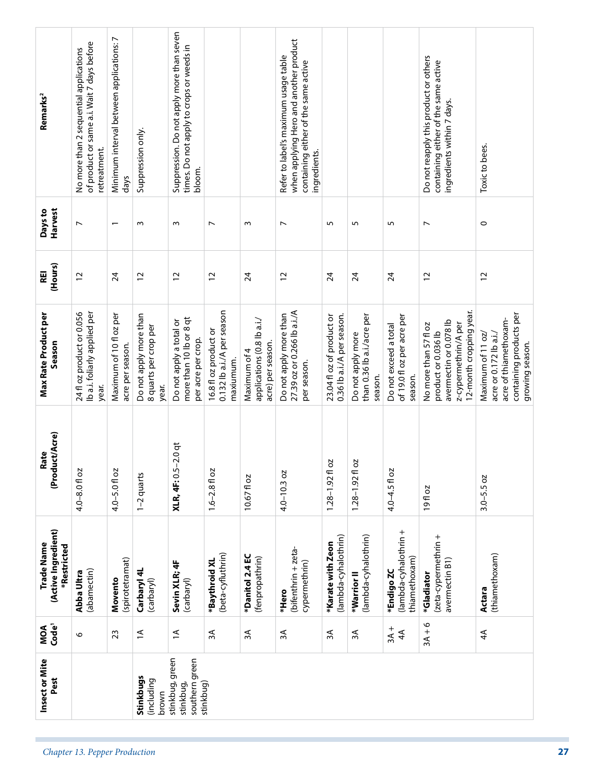|                               | Insect or Mite<br>Pest                                      | MOA<br>Code <sup>1</sup> | (Active Ingredient)<br>Trade Name<br>*Restricted     | (Product/Acre)<br>Rate           | <b>Max Rate Product per</b><br>Season                                                                                     | (Hours)<br>REI  | Harvest<br>Days to       | Remarks <sup>2</sup>                                                                                                                   |
|-------------------------------|-------------------------------------------------------------|--------------------------|------------------------------------------------------|----------------------------------|---------------------------------------------------------------------------------------------------------------------------|-----------------|--------------------------|----------------------------------------------------------------------------------------------------------------------------------------|
| Chapter 13. Pepper Production |                                                             | $\circ$                  | (abamectin)<br>Abba Ultra                            | $4.0 - 8.0$ fl oz                | Ib a.i. foliarly applied per<br>24 fl oz product or 0.056<br>year.                                                        | $\overline{c}$  | $\overline{ }$           | of product or same a.i. Wait 7 days before<br>No more than 2 sequential applications<br>retreatment.                                   |
|                               |                                                             | 23                       | (spirotetramat)<br>Movento                           | 4.0-5.0 fl oz                    | Maximum of 10 fl oz per<br>acre per season.                                                                               | $\overline{2}$  | $\overline{\phantom{0}}$ | Minimum interval between applications: 7<br>days                                                                                       |
|                               | Stinkbugs<br>(including<br>brown                            | $\overline{a}$           | Carbaryl 4L<br>(carbaryl)                            | 1-2 quarts                       | Do not apply more than<br>8 quarts per crop per<br>year.                                                                  | $\overline{c}$  | $\sim$                   | Suppression only.                                                                                                                      |
|                               | stinkbug, green<br>southern green<br>stinkbug)<br>stinkbug, | $\overline{\mathbf{r}}$  | Sevin XLR; 4F<br>(carbaryl)                          | $-2.0$ qt<br><b>XLR, 4F: 0.5</b> | more than 10 lb or 8 qt<br>Do not apply a total or<br>per acre per crop.                                                  | $\overline{c}$  | $\sim$                   | Suppression. Do not apply more than seven<br>times. Do not apply to crops or weeds in<br>bloom.                                        |
|                               |                                                             | 3A                       | (beta-cyfluthrin)<br>*Baythroid XL                   | $1.6 - 2.8$ fl oz                | 0.132 lb a.i./A per season<br>16.8 fl oz product or<br>maxiumum.                                                          | $\overline{c}$  | $\overline{ }$           |                                                                                                                                        |
|                               |                                                             | 3A                       | *Danitol 2.4 EC<br>(fenpropathrin)                   | 10.67fl oz                       | applications (0.8 lb a.i./<br>acre) per season.<br>Maximum of 4                                                           | $\overline{24}$ | $\sim$                   |                                                                                                                                        |
|                               |                                                             | ЗA                       | (bifenthrin + zeta-<br>cypermethrin)<br>*Hero        | $4.0 - 10.3$ oz                  | 27.39 oz or 0.266 lb a.i./A<br>Do not apply more than<br>per season.                                                      | $\overline{c}$  | $\overline{ }$           | when applying Hero and another product<br>Refer to label's maximum usage table<br>containing either of the same active<br>ingredients. |
|                               |                                                             | ЗÃ                       | (lambda-cyhalothrin)<br>*Karate with Zeon            | 20<br>$1.28 - 1.92$ fl           | 0.36 lb a.i./A per season.<br>23.04 floz of product or                                                                    | 24              | 5                        |                                                                                                                                        |
|                               |                                                             | ЗA                       | (lambda-cyhalothrin)<br>*Warrior II                  | 5<br>$1.28 - 1.92$ f             | than 0.36 lb a.i./acre per<br>Do not apply more<br>season.                                                                | $\overline{24}$ | 5                        |                                                                                                                                        |
|                               |                                                             | $3A +$<br>$\overline{4}$ | (lambda-cyhalothrin +<br>thiamethoxam)<br>*Endigo ZC | 4.0-4.5 fl oz                    | of 19.0 fl oz per acre per<br>Do not exceed a total<br>season.                                                            | $\overline{24}$ | 5                        |                                                                                                                                        |
|                               |                                                             | $3A + 6$                 | (zeta-cypermethrin +<br>avermectin B1)<br>*Gladiator | 19fl oz                          | 12-month cropping year.<br>avermectin or 0.078 lb<br>z-cypermethrin/A per<br>No more than 57 fl oz<br>product or 0.036 lb | $\overline{c}$  | $\overline{ }$           | Do not reapply this product or others<br>containing either of the same active<br>ingredients within 7 days.                            |
|                               |                                                             | $\overline{4}$           | (thiamethoxam)<br>Actara                             | $3.0 - 5.5$ oz                   | containing products per<br>acre of thiamethoxam-<br>Maximum of 11 oz/<br>acre or 0.172 lb a.i./<br>growing season.        | $\overline{c}$  | $\circ$                  | Toxic to bees.                                                                                                                         |
| 27                            |                                                             |                          |                                                      |                                  |                                                                                                                           |                 |                          |                                                                                                                                        |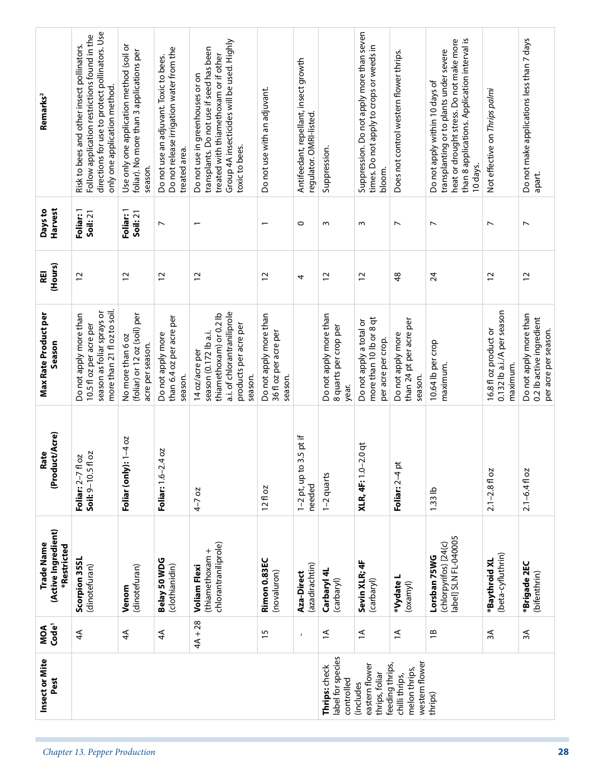| Remarks <sup>2</sup><br>Harvest<br>Days to<br>(Hours)<br>REI<br><b>Max Rate Product per</b><br>Season<br>(Product/Acre)<br>Rate<br>(Active Ingredient)<br>Trade Name<br>*Restricted<br>MOA<br>Code' | directions for use to protect pollinators. Use<br>Follow application restrictions found in the<br>Risk to bees and other insect pollinators.<br>only one application method.<br>Foliar: 1<br>Soil: 21<br>$\overline{c}$<br>more than 21 fl oz to soil.<br>season as foliar sprays or<br>Do not apply more than<br>10.5 fl oz per acre per<br>Soil: 9-10.5 fl oz<br>Foliar: 2-7 fl oz<br>Scorpion 35SL<br>(dinotefuran)<br>$\overline{4}$ | Use only one application method (soil or<br>foliar). No more than 3 applications per<br>season.<br>Foliar: 1<br>Soil: 21<br>$\overline{c}$<br>(foliar) or 12 oz (soil) per<br>No more than 6 oz<br>acre per season.<br>Foliar (only): 1-4 oz<br>(dinotefuran)<br>Venom<br>$\overline{4}$ | Do not release irrigation water from the<br>Do not use an adjuvant. Toxic to bees.<br>treated area.<br>$\overline{ }$<br>$\overline{c}$<br>than 6.4 oz per acre per<br>Do not apply more<br>season.<br>Foliar: 1.6-2.4 oz<br>Belay 50 WDG<br>(clothianidin)<br>$\overline{4}$ | Group 4A insecticides will be used. Highly<br>transplants. Do not use if seed has been<br>treated with thiamethoxam or if other<br>Do not use in greenhouses or on<br>toxic to bees.<br>12<br>a.i. of chlorantraniliprole<br>thiamethoxam) or 0.2 lb<br>products per acre per<br>season (0.172 lb a.i.<br>14 oz/acre per<br>season.<br>$4 - 7$ oz<br>chlorantraniliprole)<br>(thiamethoxam +<br><b>Voliam Flexi</b><br>$4A + 28$ | Do not use with an adjuvant.<br>2<br>Do not apply more than<br>36 fl oz per acre per<br>season.<br>$12f$ oz<br>Rimon 0.83EC<br>(novaluron)<br>$\frac{15}{2}$ | Antifeedant, repellant, insect growth<br>regulator. OMRI-listed.<br>$\circ$<br>4<br>$3.5$ pt if<br>$1-2$ pt, up to<br>needed<br>(azadirachtin)<br>Aza-Direct<br>1 | Suppression.<br>ω<br>$\overline{c}$<br>Do not apply more than<br>8 quarts per crop per<br>year.<br>1-2 quarts<br>Carbaryl 4L<br>(carbaryl)<br>$\overline{z}$ | Suppression. Do not apply more than seven<br>times. Do not apply to crops or weeds in<br>bloom.<br>w<br>$\overline{c}$<br>more than 10 lb or 8 qt<br>Do not apply a total or<br>per acre per crop.<br><b>XLR, 4F:</b> 1.0-2.0 qt<br>Sevin XLR; 4F<br>(carbaryl)<br>$\overline{1}$ | Does not control western flower thrips.<br>$\overline{ }$<br>$\frac{8}{3}$<br>than 24 pt per acre per<br>Do not apply more<br>season.<br>Foliar: 2-4 pt<br>*Vydate L<br>(oxamyl)<br>$\overline{a}$ | than 8 applications. Application interval is<br>heat or drought stress. Do not make more<br>transplanting or to plants under severe<br>Do not apply within 10 days of<br>10 days.<br>$\overline{ }$<br>24<br>10.64 lb per crop<br>maximum.<br>$1.33$ lb<br>(chlorpyrifos) [24(c)<br>label] SLN FL-040005<br>Lorsban 75WG<br>$\overline{1}$ | Not effective on Thrips palmi<br>$\overline{ }$<br>$\overline{c}$<br>0.132 lb a.i./A per season<br>16.8 fl oz product or<br>maximum.<br>$2.1 - 2.8$ fl oz<br>(beta-cyfluthrin)<br>*Baythroid XL<br>3A | Do not make applications less than 7 days<br>apart.<br>$\overline{ }$<br>$\overline{c}$<br>Do not apply more than<br>0.2 lb active ingredient<br>per acre per season.<br>$2.1 - 6.4$ fl oz<br>*Brigade 2EC<br>(bifenthrin)<br>ЗÁ |
|-----------------------------------------------------------------------------------------------------------------------------------------------------------------------------------------------------|------------------------------------------------------------------------------------------------------------------------------------------------------------------------------------------------------------------------------------------------------------------------------------------------------------------------------------------------------------------------------------------------------------------------------------------|------------------------------------------------------------------------------------------------------------------------------------------------------------------------------------------------------------------------------------------------------------------------------------------|-------------------------------------------------------------------------------------------------------------------------------------------------------------------------------------------------------------------------------------------------------------------------------|----------------------------------------------------------------------------------------------------------------------------------------------------------------------------------------------------------------------------------------------------------------------------------------------------------------------------------------------------------------------------------------------------------------------------------|--------------------------------------------------------------------------------------------------------------------------------------------------------------|-------------------------------------------------------------------------------------------------------------------------------------------------------------------|--------------------------------------------------------------------------------------------------------------------------------------------------------------|-----------------------------------------------------------------------------------------------------------------------------------------------------------------------------------------------------------------------------------------------------------------------------------|----------------------------------------------------------------------------------------------------------------------------------------------------------------------------------------------------|--------------------------------------------------------------------------------------------------------------------------------------------------------------------------------------------------------------------------------------------------------------------------------------------------------------------------------------------|-------------------------------------------------------------------------------------------------------------------------------------------------------------------------------------------------------|----------------------------------------------------------------------------------------------------------------------------------------------------------------------------------------------------------------------------------|
| Insect or Mite<br>Pest                                                                                                                                                                              |                                                                                                                                                                                                                                                                                                                                                                                                                                          |                                                                                                                                                                                                                                                                                          |                                                                                                                                                                                                                                                                               |                                                                                                                                                                                                                                                                                                                                                                                                                                  |                                                                                                                                                              |                                                                                                                                                                   | label for species<br>Thrips: check<br>controlled                                                                                                             | eastern flower<br>thrips, foliar<br>(includes                                                                                                                                                                                                                                     | western flower<br>feeding thrips,<br>melon thrips,<br>chilli thrips,                                                                                                                               | thrips)                                                                                                                                                                                                                                                                                                                                    |                                                                                                                                                                                                       |                                                                                                                                                                                                                                  |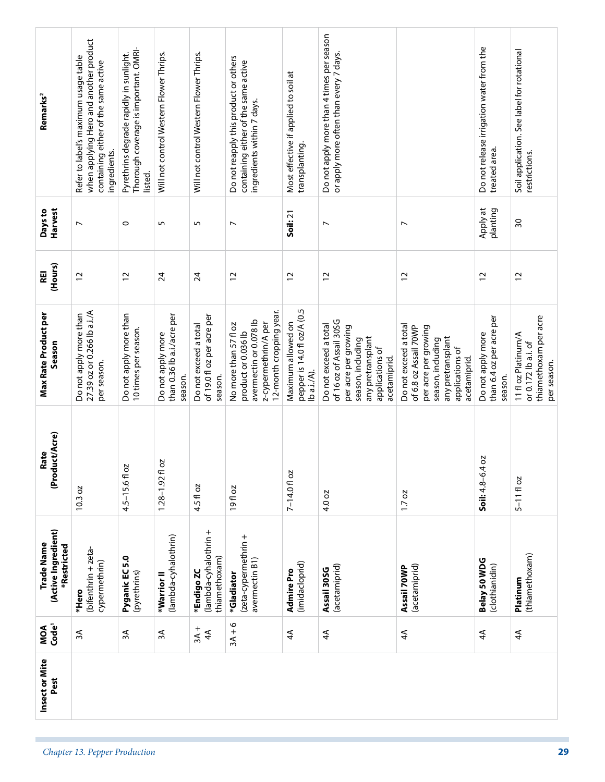| Remarks <sup>2</sup>                             | when applying Hero and another product<br>Refer to label's maximum usage table<br>containing either of the same active<br>ingredients. | Thorough coverage is important. OMRI-<br>Pyrethrins degrade rapidly in sunlight.<br>listed. | Will not control Western Flower Thrips.                    | Will not control Western Flower Thrips.                        | Do not reapply this product or others<br>containing either of the same active<br>ingredients within 7 days.               | Most effective if applied to soil at<br>transplanting.           | Do not apply more than 4 times per season<br>or apply more often than every 7 days.                                                                   |                                                                                                                                                     | Do not release irrigation water from the<br>treated area. | Soil application. See label for rotational<br>restrictions.                        |
|--------------------------------------------------|----------------------------------------------------------------------------------------------------------------------------------------|---------------------------------------------------------------------------------------------|------------------------------------------------------------|----------------------------------------------------------------|---------------------------------------------------------------------------------------------------------------------------|------------------------------------------------------------------|-------------------------------------------------------------------------------------------------------------------------------------------------------|-----------------------------------------------------------------------------------------------------------------------------------------------------|-----------------------------------------------------------|------------------------------------------------------------------------------------|
| Harvest<br>Days to                               | $\overline{ }$                                                                                                                         | $\circ$                                                                                     | 5                                                          | 5                                                              | $\overline{ }$                                                                                                            | Soil: 21                                                         | $\overline{ }$                                                                                                                                        | $\overline{ }$                                                                                                                                      | Apply at<br>planting                                      | 50                                                                                 |
| (Hours)<br>REI                                   | 12                                                                                                                                     | $\overline{c}$                                                                              | $\overline{24}$                                            | 24                                                             | $\overline{c}$                                                                                                            | $\overline{c}$                                                   | $\overline{c}$                                                                                                                                        | $\overline{c}$                                                                                                                                      | $\overline{c}$                                            | $\overline{c}$                                                                     |
| Max Rate Product per<br>Season                   | 27.39 oz or 0.266 lb a.i./A<br>Do not apply more than<br>per season.                                                                   | Do not apply more than<br>10 times per season.                                              | than 0.36 lb a.i./acre per<br>Do not apply more<br>season. | of 19.0 fl oz per acre per<br>Do not exceed a total<br>season. | 12-month cropping year.<br>avermectin or 0.078 lb<br>z-cypermethrin/A per<br>No more than 57 fl oz<br>product or 0.036 lb | pepper is 14.0 fl oz/A (0.5<br>Maximum allowed on<br>lb a.i./A). | of 16 oz of Assail 30SG<br>Do not exceed a total<br>per acre per growing<br>any pretransplant<br>season, including<br>applications of<br>acetamiprid. | Do not exceed a total<br>of 6.8 oz Assail 70WP<br>per acre per growing<br>any pretransplant<br>season, including<br>applications of<br>acetamiprid. | than 6.4 oz per acre per<br>Do not apply more<br>season.  | thiamethoxam per acre<br>11 fl oz Platinum/A<br>or 0.172 lb a.i. of<br>per season. |
| (Product/Acre)<br>Rate                           | 10.3 oz                                                                                                                                | 4.5-15.6fl oz                                                                               | 2O<br>$1.28 - 1.92$ fl                                     | 4.5 fl oz                                                      | 19fl oz                                                                                                                   | 7-14.0 fl oz                                                     | 4.0 oz                                                                                                                                                | 1.7 oz                                                                                                                                              | 2O<br>$Soli: 4.8 - 6.4$                                   | $5 - 11$ floz                                                                      |
| (Active Ingredient)<br>Trade Name<br>*Restricted | (bifenthrin + zeta-<br>cypermethrin)<br>*Hero                                                                                          | Pyganic EC 5.0<br>(pyrethrins)                                                              | (lambda-cyhalothrin)<br>*Warrior <sup>II</sup>             | (lambda-cyhalothrin +<br>thiamethoxam)<br>*Endigo ZC           | (zeta-cypermethrin +<br>avermectin B1)<br>*Gladiator                                                                      | (imidacloprid)<br>Admire Pro                                     | (acetamiprid)<br>Assail 30SG                                                                                                                          | (acetamiprid)<br>Assail 70WP                                                                                                                        | Belay 50 WDG<br>(clothianidin)                            | (thiamethoxam)<br>Platinum                                                         |
| MOA<br>Code <sup>1</sup>                         | $\approx$                                                                                                                              | $\approx$                                                                                   | 3A                                                         | $3A +$<br>$\overline{4}$                                       | $3A + 6$                                                                                                                  | $\overline{4}$                                                   | $\overline{4}$                                                                                                                                        | $\overline{4}$                                                                                                                                      | $\overline{4}$                                            | $\spadesuit$                                                                       |
| Insect or Mite<br>Pest                           |                                                                                                                                        |                                                                                             |                                                            |                                                                |                                                                                                                           |                                                                  |                                                                                                                                                       |                                                                                                                                                     |                                                           |                                                                                    |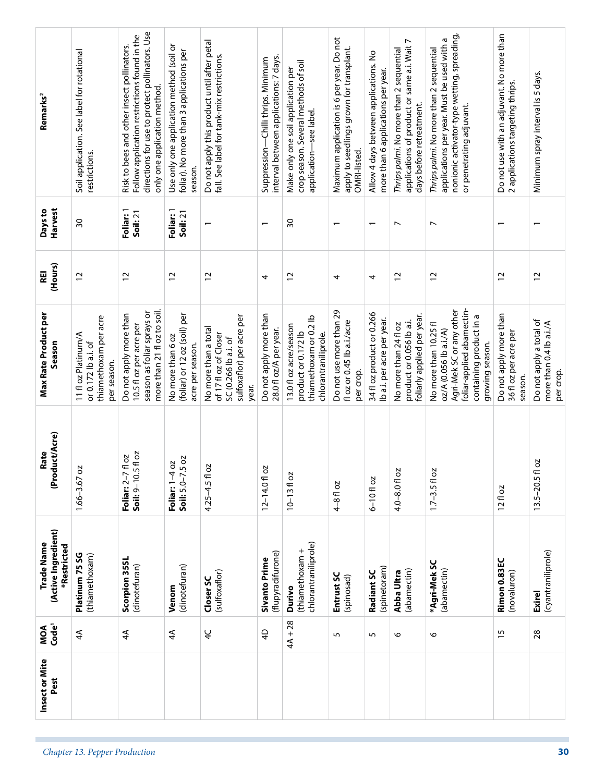| Remarks <sup>2</sup><br>Harvest<br>Days to       | Soil application. See label for rotational<br>restrictions.<br>SO                  | directions for use to protect pollinators. Use<br>Follow application restrictions found in the<br>Risk to bees and other insect pollinators.<br>only one application method.<br>Foliar: 1<br>Soil: 21 | Use only one application method (soil or<br>foliar). No more than 3 applications per<br>season.<br>Foliar: 1<br>Soil: 21 | Do not apply this product until after petal<br>fall. See label for tank-mix restrictions.                   | interval between applications: 7 days.<br>Suppression-Chilli thrips. Minimum<br>$\overline{\phantom{0}}$ | crop season. Several methods of soil<br>Make only one soil application per<br>application-see label.<br>$\overline{30}$ | Maximum application is 6 per year. Do not<br>apply to seedlings grown for transplant.<br>OMRI-listed. | Allow 4 days between applications. No<br>more than 6 applications per year.<br>$\overline{\phantom{0}}$ | applications of product or same a.i. Wait 7<br>Thrips palmi. No more than 2 sequential<br>days before retreatment.<br>$\overline{ }$ | nonionic activator-type wetting, spreading,<br>applications per year. Must be used with a<br>Thrips palmi. No more than 2 sequential<br>or penetrating adjuvant.<br>$\overline{ }$ | Do not use with an adjuvant. No more than<br>2 applications targeting thrips. | Minimum spray interval is 5 days.                               |
|--------------------------------------------------|------------------------------------------------------------------------------------|-------------------------------------------------------------------------------------------------------------------------------------------------------------------------------------------------------|--------------------------------------------------------------------------------------------------------------------------|-------------------------------------------------------------------------------------------------------------|----------------------------------------------------------------------------------------------------------|-------------------------------------------------------------------------------------------------------------------------|-------------------------------------------------------------------------------------------------------|---------------------------------------------------------------------------------------------------------|--------------------------------------------------------------------------------------------------------------------------------------|------------------------------------------------------------------------------------------------------------------------------------------------------------------------------------|-------------------------------------------------------------------------------|-----------------------------------------------------------------|
| (Hours)<br>REI                                   | $\overline{c}$                                                                     | $\overline{c}$                                                                                                                                                                                        | 12                                                                                                                       | 12                                                                                                          | 4                                                                                                        | $\overline{c}$                                                                                                          | 4                                                                                                     | 4                                                                                                       | $\overline{c}$                                                                                                                       | $\overline{c}$                                                                                                                                                                     | $\overline{c}$                                                                | $\overline{c}$                                                  |
| <b>Max Rate Product per</b><br>Season            | thiamethoxam per acre<br>11 fl oz Platinum/A<br>or 0.172 lb a.i. of<br>per season. | more than 21 fl oz to soil.<br>season as foliar sprays or<br>Do not apply more than<br>10.5 fl oz per acre per                                                                                        | (foliar) or 12 oz (soil) per<br>No more than 6 oz<br>acre per season.                                                    | sulfoxaflor) per acre per<br>No more than a total<br>of 17 fl oz of Closer<br>SC (0.266 lb a.i. of<br>year. | Do not apply more than<br>28.0 fl oz/A per year.                                                         | thiamethoxam or 0.2 lb<br>13.0 fl oz acre/season<br>product or 0.172 lb<br>chlorantraniliprole.                         | Do not use more than 29<br>floz or 0.45 lb a.i./acre<br>per crop.                                     | 34 fl oz product or 0.266<br>Ib a.i. per acre per year.                                                 | foliarly applied per year.<br>product or 0.056 lb a.i.<br>No more than 24 fl oz                                                      | foliar-applied abamectin-<br>Agri-Mek SC or any other<br>containing product in a<br>No more than 10.25 fl<br>oz/A (0.056 lb a.i./A)<br>growing season.                             | Do not apply more than<br>36 fl oz per acre per<br>season.                    | Do not apply a total of<br>more than 0.4 lb a.i./A<br>per crop. |
| (Product/Acre)<br>Rate                           | $1.66 - 3.67$ oz                                                                   | fl oz<br>fl oz<br>Soil: 9-10.5<br>Foliar: $2-7$                                                                                                                                                       | $\overline{50}$<br>Foliar: 1-4 oz<br>Soil: $5.0 - 7.5$                                                                   | 4.25-4.5 fl oz                                                                                              | $12 - 14.0 f$ oz                                                                                         | $10 - 1310z$                                                                                                            | $4 - 8$ fl oz                                                                                         | $6 - 10$ floz                                                                                           | 4.0-8.0 fl oz                                                                                                                        | $1.7 - 3.5 f$ oz                                                                                                                                                                   | 12f1oz                                                                        | ŏ<br>$13.5 - 20.5$ fl                                           |
| (Active Ingredient)<br>Trade Name<br>*Restricted | Platinum 75 SG<br>(thiamethoxam)                                                   | Scorpion 35SL<br>(dinotefuran)                                                                                                                                                                        | (dinotefuran)<br>Venom                                                                                                   | (sulfoxaflor)<br>Closer SC                                                                                  | (flupyradifurone)<br><b>Sivanto Prime</b>                                                                | chlorantraniliprole)<br>(thiamethoxam +<br>Durivo                                                                       | Entrust SC<br>(spinosad)                                                                              | (spinetoram)<br>Radiant SC                                                                              | (abamectin)<br>Abba Ultra                                                                                                            | *Agri-Mek SC<br>(abamectin)                                                                                                                                                        | Rimon 0.83EC<br>(novaluron)                                                   | (cyantraniliprole)<br><b>Exirel</b>                             |
| MOA<br>Code'                                     | $\overline{4}$                                                                     | $\overline{4}$                                                                                                                                                                                        | $\overline{4}$                                                                                                           | $\frac{1}{4}$                                                                                               | $\overline{4}$                                                                                           | $4A + 28$                                                                                                               | 5                                                                                                     | 5                                                                                                       | 6                                                                                                                                    | O                                                                                                                                                                                  | $\overline{15}$                                                               | 28                                                              |
| Insect or Mite<br>Pest                           |                                                                                    |                                                                                                                                                                                                       |                                                                                                                          |                                                                                                             |                                                                                                          |                                                                                                                         |                                                                                                       |                                                                                                         |                                                                                                                                      |                                                                                                                                                                                    |                                                                               |                                                                 |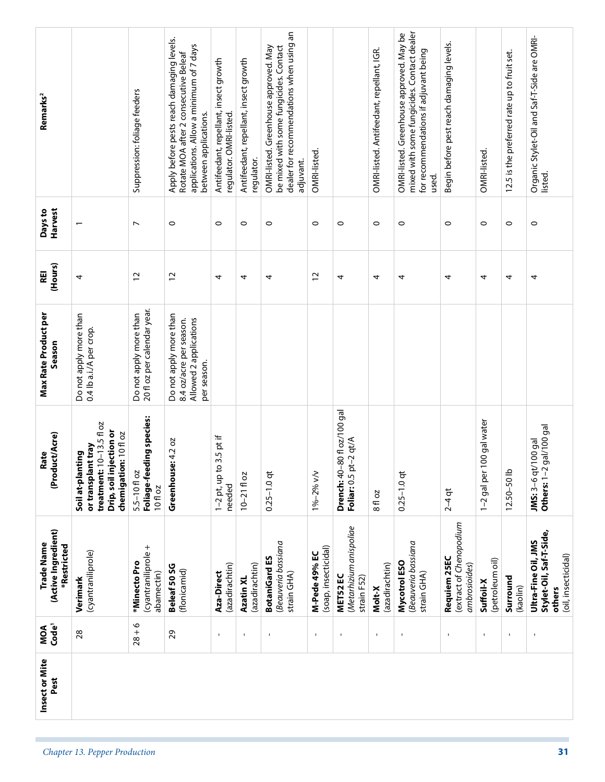| Remarks <sup>2</sup>                             |                                                                                                                        | Suppression: foliage feeders                          | Apply before pests reach damaging levels.<br>applications. Allow a minimum of 7 days<br>Rotate MOA after 2 consecutive Beleaf<br>between applications. | Antifeedant, repellant, insect growth<br>regulator. OMRI-listed. | Antifeedant, repellant, insect growth<br>regulator. | dealer for recommendations when using an<br>OMRI-listed. Greenhouse approved. May<br>be mixed with some fungicides. Contact<br>adjuvant. | OMRI-listed.                          |                                                             | OMRI-listed. Antifeedant, repellant, IGR. | mixed with some fungicides. Contact dealer<br>OMRI-listed. Greenhouse approved. May be<br>for recommendations if adjuvant being<br>used. | Begin before pest reach damaging levels.                | OMRI-listed                  | 12.5 is the preferred rate up to fruit set. | Organic Stylet-Oil and Saf-T-Side are OMRI-<br>listed.                          |
|--------------------------------------------------|------------------------------------------------------------------------------------------------------------------------|-------------------------------------------------------|--------------------------------------------------------------------------------------------------------------------------------------------------------|------------------------------------------------------------------|-----------------------------------------------------|------------------------------------------------------------------------------------------------------------------------------------------|---------------------------------------|-------------------------------------------------------------|-------------------------------------------|------------------------------------------------------------------------------------------------------------------------------------------|---------------------------------------------------------|------------------------------|---------------------------------------------|---------------------------------------------------------------------------------|
| Harvest<br>Days to                               |                                                                                                                        | $\overline{ }$                                        | $\circ$                                                                                                                                                | $\circ$                                                          | $\circ$                                             | $\circ$                                                                                                                                  | $\circ$                               | $\circ$                                                     | $\circ$                                   | $\circ$                                                                                                                                  | $\circ$                                                 | $\circ$                      | $\circ$                                     | $\circ$                                                                         |
| (Hours)<br>REI                                   | 4                                                                                                                      | $\overline{c}$                                        | $\overline{c}$                                                                                                                                         | 4                                                                | 4                                                   | 4                                                                                                                                        | $\overline{c}$                        | 4                                                           | 4                                         | 4                                                                                                                                        | 4                                                       | 4                            | 4                                           | 4                                                                               |
| <b>Max Rate Product per</b><br>Season            | Do not apply more than<br>0.4 lb a.i./A per crop.                                                                      | 20 fl oz per calendar year.<br>Do not apply more than | Do not apply more than<br>Allowed 2 applications<br>8.4 oz/acre per season.<br>per season.                                                             |                                                                  |                                                     |                                                                                                                                          |                                       |                                                             |                                           |                                                                                                                                          |                                                         |                              |                                             |                                                                                 |
| (Product/Acre)<br>Rate                           | treatment: $10-13.5f1oz$<br>Drip, soil injection or<br>chemigation: 10 fl oz<br>or transplant tray<br>Soil at-planting | Foliage-feeding species:<br>5.5-10 fl oz<br>10fl oz   | e: 4.2 oz<br>Greenhous                                                                                                                                 | $3.5$ pt if<br>$1-2$ pt, up to<br>needed                         | $10 - 2110$ oz                                      | $0.25 - 1.0$ qt                                                                                                                          | 1%-2% v/v                             | <b>Drench:</b> 40-80 fl oz/100 gal<br>Foliar: 0.5 pt-2 qt/A | 8 fl oz                                   | $0.25 - 1.0$ qt                                                                                                                          | $2 - 4$ qt                                              | 100 gal water<br>1-2 gal per | $12.50 - 50$ lb                             | Others: 1-2 gal/100 gal<br>JMS: 3-6 qt/100 gal                                  |
| (Active Ingredient)<br>Trade Name<br>*Restricted | (cyantraniliprole)<br>Verimark                                                                                         | (cyantraniliprole +<br>*Minecto Pro<br>abamectin)     | Beleaf 50 SG<br>(flonicamid)                                                                                                                           | (azadirachtin)<br>Aza-Direct                                     | (azadirachtin)<br>Azatin XL                         | Beauveria bassiana<br><b>BotaniGard ES</b><br>strain GHA)                                                                                | (soap, insecticidal)<br>M-Pede 49% EC | (Metarhizium anispoliae<br>MET52 EC<br>strain F52)          | (azadirachtin)<br>Molt-X                  | Beauveria bassiana<br>Mycotrol ESO<br>strain GHA)                                                                                        | extract of Chenopodium<br>Requiem 25EC<br>ambrosioides) | (petroleum oil)<br>Suffoil-X | Surround<br>(kaolin)                        | Stylet-Oil, Saf-T-Side,<br>Ultra-Fine Oil, JMS<br>(oil, insecticidal)<br>others |
| MOA<br>Code <sup>1</sup>                         | 28                                                                                                                     | $28 + 6$                                              | 29                                                                                                                                                     | $\mathbf I$                                                      | $\mathbf{I}$                                        | $\blacksquare$                                                                                                                           | $\mathbf{I}$                          | $\blacksquare$                                              | $\mathbf{I}$                              | $\blacksquare$                                                                                                                           | $\mathbf{I}$                                            | $\blacksquare$               | $\blacksquare$                              | $\mathbf{I}$                                                                    |
| Insect or Mite<br>Pest                           |                                                                                                                        |                                                       |                                                                                                                                                        |                                                                  |                                                     |                                                                                                                                          |                                       |                                                             |                                           |                                                                                                                                          |                                                         |                              |                                             |                                                                                 |
|                                                  | Chapter 13. Pepper Production                                                                                          |                                                       |                                                                                                                                                        |                                                                  |                                                     |                                                                                                                                          |                                       |                                                             |                                           |                                                                                                                                          |                                                         |                              |                                             | 31                                                                              |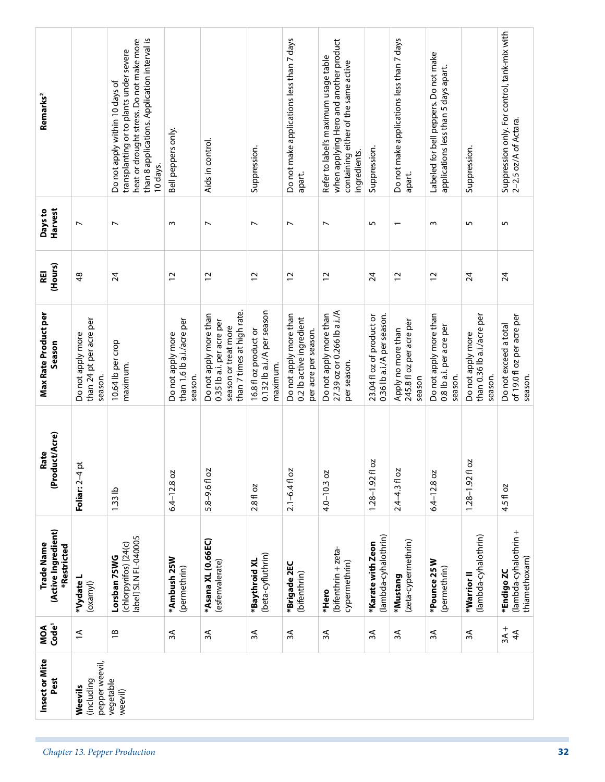| Suppression.<br>Suppression.<br>ingredients.<br>apart.<br>5<br>$\sim$<br>5<br>5<br>$\overline{\phantom{0}}$<br>$\overline{24}$<br>$\overline{c}$<br>$\overline{c}$<br>$\overline{24}$<br>$\overline{24}$<br>Do not apply more than<br>0.36 lb a.i./A per season.<br>than 0.36 lb a.i./acre per<br>of 19.0 fl oz per acre per<br>23.04 fl oz of product or<br>Apply no more than<br>245.8 fl oz per acre per<br>Do not exceed a total<br>0.8 lb a.i. per acre per<br>Do not apply more<br>per season.<br>season.<br>season.<br>season<br>20<br>5<br>$1.28 - 1.92$ f<br>$2.4 - 4.3$ fl oz<br>$1.28 - 1.92$ f<br>$6.4 - 12.8$ oz<br>4.5 fl oz<br>(lambda-cyhalothrin +<br>(lambda-cyhalothrin)<br>(lambda-cyhalothrin)<br>(zeta-cypermethrin)<br>*Karate with Zeon<br>*Pounce 25W<br>cypermethrin)<br>(permethrin)<br>*Endigo ZC<br>*Warrior II<br>*Mustang | ЗÁ | containing either of the same active<br>$\overline{ }$<br>$\overline{c}$<br>27.39 oz or 0.266 lb a.i./A<br>Do not apply more than<br>$4.0 - 10.3$ oz<br>(bifenthrin + zeta-<br>*Hero<br>3A | apart.<br>$\overline{ }$<br>$\overline{c}$<br>Do not apply more than<br>0.2 lb active ingredient<br>per acre per season.<br>$2.1 - 6.4$ fl oz<br>*Brigade 2EC<br>(bifenthrin)<br>3A | Suppression.<br>$\overline{\phantom{a}}$<br>$\overline{c}$<br>0.132 lb a.i./A per season<br>16.8 fl oz product or<br>maximum.<br>2.8 fl oz<br>(beta-cyfluthrin)<br>*Baythroid XL<br>3A | Aids in control.<br>$\overline{ }$<br>$\overline{c}$<br>than 7 times at high rate.<br>Do not apply more than<br>0.35 lb a.i. per acre per<br>season or treat more<br>5.8-9.6fl oz<br>*Asana XL (0.66EC)<br>(esfenvalerate)<br>$\approx$ | Bell peppers only.<br>w<br>$\overline{c}$<br>than 1.6 lb a.i./acre per<br>Do not apply more<br>season.<br>$6.4 - 12.8$ oz<br>*Ambush 25W<br>(permethrin)<br>ЗÃ | transplanting or to plants under severe<br>Do not apply within 10 days of<br>10 days.<br>$\overline{ }$<br>$\overline{24}$<br>10.64 lb per crop<br>maximum.<br>1.33 <sub>lb</sub><br>abel] SLN FL-040005<br>(chlorpyrifos) [24(c)<br>Lorsban 75WG<br>$\overline{1}$ | $\overline{ }$<br>$\frac{8}{3}$<br>than 24 pt per acre per<br>Do not apply more<br>season.<br>$\frac{1}{2}$<br>Foliar: 2-4<br>*Vydate L<br>(oxamyl)<br>$\overline{\Xi}$ | Remarks <sup>2</sup><br>Harvest<br>Days to<br>(Hours)<br>REI<br><b>Max Rate Product per</b><br>Season<br>(Product/Acre)<br>Rate<br>(Active Ingredient)<br>Trade Name<br>*Restricted<br>MOA<br>Code <sup>1</sup> | Suppression only. For control, tank-mix with<br>2–2.5 oz/A of Actara.<br>than 8 applications. Application interval is<br>heat or drought stress. Do not make more<br>Do not make applications less than 7 days<br>when applying Hero and another product<br>Do not make applications less than 7 days<br>Labeled for bell peppers. Do not make<br>Refer to label's maximum usage table<br>applications less than 5 days apart. |  |  |  |  |  | $3A +$<br>$\overline{4}$<br>3A<br>3A<br>ЗA |
|----------------------------------------------------------------------------------------------------------------------------------------------------------------------------------------------------------------------------------------------------------------------------------------------------------------------------------------------------------------------------------------------------------------------------------------------------------------------------------------------------------------------------------------------------------------------------------------------------------------------------------------------------------------------------------------------------------------------------------------------------------------------------------------------------------------------------------------------------------|----|--------------------------------------------------------------------------------------------------------------------------------------------------------------------------------------------|-------------------------------------------------------------------------------------------------------------------------------------------------------------------------------------|----------------------------------------------------------------------------------------------------------------------------------------------------------------------------------------|-----------------------------------------------------------------------------------------------------------------------------------------------------------------------------------------------------------------------------------------|----------------------------------------------------------------------------------------------------------------------------------------------------------------|---------------------------------------------------------------------------------------------------------------------------------------------------------------------------------------------------------------------------------------------------------------------|-------------------------------------------------------------------------------------------------------------------------------------------------------------------------|-----------------------------------------------------------------------------------------------------------------------------------------------------------------------------------------------------------------|--------------------------------------------------------------------------------------------------------------------------------------------------------------------------------------------------------------------------------------------------------------------------------------------------------------------------------------------------------------------------------------------------------------------------------|--|--|--|--|--|--------------------------------------------|
|----------------------------------------------------------------------------------------------------------------------------------------------------------------------------------------------------------------------------------------------------------------------------------------------------------------------------------------------------------------------------------------------------------------------------------------------------------------------------------------------------------------------------------------------------------------------------------------------------------------------------------------------------------------------------------------------------------------------------------------------------------------------------------------------------------------------------------------------------------|----|--------------------------------------------------------------------------------------------------------------------------------------------------------------------------------------------|-------------------------------------------------------------------------------------------------------------------------------------------------------------------------------------|----------------------------------------------------------------------------------------------------------------------------------------------------------------------------------------|-----------------------------------------------------------------------------------------------------------------------------------------------------------------------------------------------------------------------------------------|----------------------------------------------------------------------------------------------------------------------------------------------------------------|---------------------------------------------------------------------------------------------------------------------------------------------------------------------------------------------------------------------------------------------------------------------|-------------------------------------------------------------------------------------------------------------------------------------------------------------------------|-----------------------------------------------------------------------------------------------------------------------------------------------------------------------------------------------------------------|--------------------------------------------------------------------------------------------------------------------------------------------------------------------------------------------------------------------------------------------------------------------------------------------------------------------------------------------------------------------------------------------------------------------------------|--|--|--|--|--|--------------------------------------------|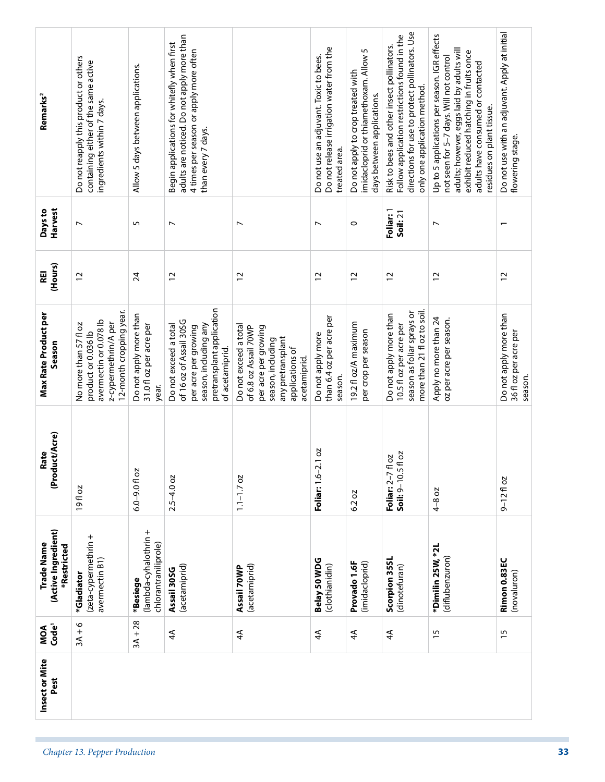| $3A + 28$<br>$3A + 6$<br>Code <sup>1</sup><br>MOA<br>15<br>$\overline{4}$<br>$\overline{4}$<br>$\overline{4}$<br>15<br>$\overline{4}$<br>$\overline{4}$ | Harvest<br>Days to<br>(Hours)<br>REI<br>Max Rate Product per<br>Season<br>(Product/Acre)<br>Rate<br>(Active Ingredient)<br>Trade Name<br>*Restricted<br>Insect or Mite | Do not reapply this product or others<br>containing either of the same active<br>ingredients within 7 days.<br>$\overline{ }$<br>$\overline{c}$<br>12-month cropping year.<br>avermectin or 0.078 lb<br>z-cypermethrin/A per<br>No more than 57 fl oz<br>product or 0.036 lb<br>19fl oz<br>(zeta-cypermethrin +<br>avermectin B1)<br>*Gladiator | Allow 5 days between applications.<br>5<br>$\overline{24}$<br>Do not apply more than<br>31.0 fl oz per acre per<br>year.<br>$6.0 - 9.0$ fl oz<br>(lambda-cyhalothrin +<br>chlorantraniliprole)<br>*Besiege | adults are noticed. Do not apply more than<br>Begin applications for whitefly when first<br>4 times per season or apply more often<br>than every 7 days.<br>$\overline{ }$<br>$\overline{c}$<br>pretransplant application<br>of 16 oz of Assail 305G<br>season, including any<br>Do not exceed a total<br>per acre per growing<br>of acetamiprid.<br>$2.5 - 4.0$ oz<br>(acetamiprid)<br>Assail 30SG | $\overline{ }$<br>$\overline{c}$<br>Do not exceed a total<br>of 6.8 oz Assail 70WP<br>per acre per growing<br>any pretransplant<br>season, including<br>applications of<br>acetamiprid<br>$1.1 - 1.7$ oz<br>(acetamiprid)<br>Assail 70WP | Do not release irrigation water from the<br>Do not use an adjuvant. Toxic to bees.<br>treated area.<br>$\overline{ }$<br>$\overline{c}$<br>than 6.4 oz per acre per<br>Do not apply more<br>season.<br>2.1 oz<br>Foliar: 1.6-<br>Belay 50 WDG<br>(clothianidin) | imidacloprid or thiamethoxam. Allow 5<br>Do not apply to crop treated with<br>days between applications.<br>$\circ$<br>$\overline{c}$<br>19.2 fl oz/A maximum<br>per crop per season<br>6.2 oz<br>Provado 1.6F<br>(imidacloprid) | directions for use to protect pollinators. Use<br>Follow application restrictions found in the<br>Risk to bees and other insect pollinators.<br>only one application method.<br>Foliar: 1<br>Soil: 21<br>$\overline{c}$<br>more than 21 fl oz to soil.<br>season as foliar sprays or<br>Do not apply more than<br>10.5 fl oz per acre per<br>fl oz<br>Π oz<br>Soil: 9-10.5<br>Foliar: 2-7 <sup>t</sup><br>Scorpion 35SL<br>(dinotefuran) | Up to 5 applications per season. IGR effects<br>adults; however, eggs laid by adults will<br>exhibit reduced hatching in fruits once<br>not seen for 5-7 days. Will not control<br>adults have consumed or contacted<br>residues on plant tissue.<br>N<br>$\overline{c}$<br>Apply no more than 24<br>oz per acre per season.<br>4-8 oz<br>*Dimilin 25W, *2L<br>(diflubenzuron) | Do not use with an adjuvant. Apply at initial<br>flowering stage.<br>$\overline{\phantom{0}}$<br>12<br>Do not apply more than<br>36 fl oz per acre per<br>$9 - 1210z$<br>Rimon 0.83EC<br>(novaluron) |
|---------------------------------------------------------------------------------------------------------------------------------------------------------|------------------------------------------------------------------------------------------------------------------------------------------------------------------------|-------------------------------------------------------------------------------------------------------------------------------------------------------------------------------------------------------------------------------------------------------------------------------------------------------------------------------------------------|------------------------------------------------------------------------------------------------------------------------------------------------------------------------------------------------------------|-----------------------------------------------------------------------------------------------------------------------------------------------------------------------------------------------------------------------------------------------------------------------------------------------------------------------------------------------------------------------------------------------------|------------------------------------------------------------------------------------------------------------------------------------------------------------------------------------------------------------------------------------------|-----------------------------------------------------------------------------------------------------------------------------------------------------------------------------------------------------------------------------------------------------------------|----------------------------------------------------------------------------------------------------------------------------------------------------------------------------------------------------------------------------------|------------------------------------------------------------------------------------------------------------------------------------------------------------------------------------------------------------------------------------------------------------------------------------------------------------------------------------------------------------------------------------------------------------------------------------------|--------------------------------------------------------------------------------------------------------------------------------------------------------------------------------------------------------------------------------------------------------------------------------------------------------------------------------------------------------------------------------|------------------------------------------------------------------------------------------------------------------------------------------------------------------------------------------------------|
|---------------------------------------------------------------------------------------------------------------------------------------------------------|------------------------------------------------------------------------------------------------------------------------------------------------------------------------|-------------------------------------------------------------------------------------------------------------------------------------------------------------------------------------------------------------------------------------------------------------------------------------------------------------------------------------------------|------------------------------------------------------------------------------------------------------------------------------------------------------------------------------------------------------------|-----------------------------------------------------------------------------------------------------------------------------------------------------------------------------------------------------------------------------------------------------------------------------------------------------------------------------------------------------------------------------------------------------|------------------------------------------------------------------------------------------------------------------------------------------------------------------------------------------------------------------------------------------|-----------------------------------------------------------------------------------------------------------------------------------------------------------------------------------------------------------------------------------------------------------------|----------------------------------------------------------------------------------------------------------------------------------------------------------------------------------------------------------------------------------|------------------------------------------------------------------------------------------------------------------------------------------------------------------------------------------------------------------------------------------------------------------------------------------------------------------------------------------------------------------------------------------------------------------------------------------|--------------------------------------------------------------------------------------------------------------------------------------------------------------------------------------------------------------------------------------------------------------------------------------------------------------------------------------------------------------------------------|------------------------------------------------------------------------------------------------------------------------------------------------------------------------------------------------------|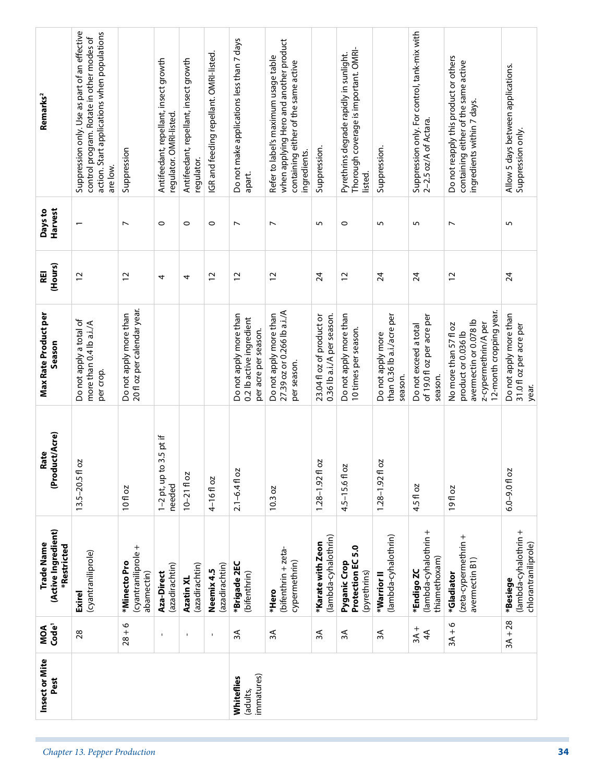| Pest                                 | MOA<br>Code <sup>1</sup> | (Active Ingredient)<br>Trade Name<br>*Restricted          | (Product/Acre)<br>Rate              | <b>Max Rate Product per</b><br>Season                                                                                     | (Hours)<br>REI | Harvest<br>Days to       | Remarks <sup>2</sup>                                                                                                                                  |
|--------------------------------------|--------------------------|-----------------------------------------------------------|-------------------------------------|---------------------------------------------------------------------------------------------------------------------------|----------------|--------------------------|-------------------------------------------------------------------------------------------------------------------------------------------------------|
|                                      | 28                       | (cyantraniliprole)<br><b>Exirel</b>                       | 20<br>$13.5 - 20.5$ fl              | Do not apply a total of<br>more than 0.4 lb a.i./A<br>per crop.                                                           | $\overline{c}$ |                          | Suppression only. Use as part of an effective<br>action. Start applications when populations<br>control program. Rotate in other modes of<br>are low. |
|                                      | $28 + 6$                 | (cyantraniliprole +<br>*Minecto Pro<br>abamectin)         | 10 fl oz                            | 20 fl oz per calendar year.<br>Do not apply more than                                                                     | $\overline{c}$ | $\overline{ }$           | Suppression                                                                                                                                           |
|                                      | $\overline{\phantom{a}}$ | (azadirachtin)<br>Aza-Direct                              | $1-2$ pt, up to 3.5 pt if<br>needed |                                                                                                                           | 4              | $\circ$                  | Antifeedant, repellant, insect growth<br>regulator. OMRI-listed.                                                                                      |
|                                      | $\mathbf{I}$             | (azadirachtin)<br>Azatin XL                               | $10 - 2110z$                        |                                                                                                                           | 4              | $\circ$                  | Antifeedant, repellant, insect growth<br>regulator.                                                                                                   |
|                                      | $\mathbf I$              | (azadirachtin)<br>Neemix 4.5                              | $4-16f$ oz                          |                                                                                                                           | $\overline{c}$ | $\circ$                  | IGR and feeding repellant. OMRI-listed.                                                                                                               |
| immatures)<br>Whiteflies<br>(adults, | $\approx$                | *Brigade 2EC<br>(bifenthrin)                              | $2.1 - 6.4$ fl oz                   | Do not apply more than<br>0.2 lb active ingredient<br>per acre per season.                                                | $\overline{c}$ | $\overline{ }$           | Do not make applications less than 7 days<br>apart.                                                                                                   |
|                                      | ЗÃ                       | (bifenthrin + zeta-<br>cypermethrin)<br>*Hero             | 10.3 oz                             | 27.39 oz or 0.266 lb a.i./A<br>Do not apply more than<br>per season.                                                      | $\overline{c}$ | $\overline{\phantom{a}}$ | when applying Hero and another product<br>Refer to label's maximum usage table<br>containing either of the same active<br>ingredients.                |
|                                      | 3A                       | (lambda-cyhalothrin)<br>*Karate with Zeon                 | S<br>$1.28 - 1.92$ fl               | 23.04 fl oz of product or<br>0.36 lb a.i./A per season.                                                                   | 24             | 5                        | Suppression.                                                                                                                                          |
|                                      | ЗA                       | Protection EC5.0<br>Pyganic Crop<br>(pyrethrins)          | 4.5-15.6 fl oz                      | Do not apply more than<br>10 times per season.                                                                            | $\overline{c}$ | $\circ$                  | Thorough coverage is important. OMRI-<br>Pyrethrins degrade rapidly in sunlight.<br>listed.                                                           |
|                                      | $\approx$                | (lambda-cyhalothrin)<br>*Warrior II                       | 2O<br>$1.28 - 1.92$ fl              | than 0.36 lb a.i./acre per<br>Do not apply more<br>season.                                                                | 24             | S                        | Suppression.                                                                                                                                          |
|                                      | $3A +$<br>4 <sup>4</sup> | (lambda-cyhalothrin +<br>thiamethoxam)<br>*Endigo ZC      | 4.5 fl oz                           | of 19.0 fl oz per acre per<br>Do not exceed a total<br>season.                                                            | 24             | 5                        | Suppression only. For control, tank-mix with<br>2-2.5 oz/A of Actara.                                                                                 |
|                                      | $3A + 6$                 | (zeta-cypermethrin +<br>avermectin B1)<br>*Gladiator      | 19fl oz                             | 12-month cropping year.<br>avermectin or 0.078 lb<br>z-cypermethrin/A per<br>No more than 57 fl oz<br>product or 0.036 lb | 12             | $\overline{ }$           | Do not reapply this product or others<br>containing either of the same active<br>ingredients within 7 days.                                           |
|                                      | $3A + 28$                | (lambda-cyhalothrin +<br>chlorantraniliprole)<br>*Besiege | $6.0 - 9.0$ fl oz                   | Do not apply more than<br>31.0 fl oz per acre per<br>year.                                                                | 24             | 5                        | Allow 5 days between applications.<br>Suppression only.                                                                                               |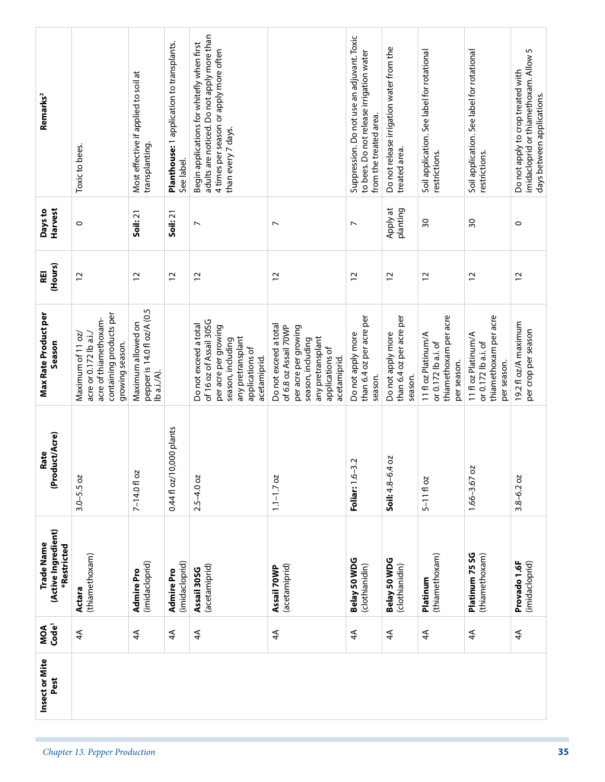| Remarks <sup>2</sup>                             | Toxic to bees.                                                                                                     | Most effective if applied to soil at<br>transplanting.           | Planthouse: 1 application to transplants.<br>See label. | adults are noticed. Do not apply more than<br>Begin applications for whitefly when first<br>4 times per season or apply more often<br>than every 7 days. |                                                                                                                                                     | Suppression. Do not use an adjuvant. Toxic<br>to bees. Do not release irrigation water<br>from the treated area. | Do not release irrigation water from the<br>treated area. | Soil application. See label for rotational<br>restrictions.                        | Soil application. See label for rotational<br>restrictions.                        | imidacloprid or thiamethoxam. Allow 5<br>Do not apply to crop treated with<br>days between applications. |
|--------------------------------------------------|--------------------------------------------------------------------------------------------------------------------|------------------------------------------------------------------|---------------------------------------------------------|----------------------------------------------------------------------------------------------------------------------------------------------------------|-----------------------------------------------------------------------------------------------------------------------------------------------------|------------------------------------------------------------------------------------------------------------------|-----------------------------------------------------------|------------------------------------------------------------------------------------|------------------------------------------------------------------------------------|----------------------------------------------------------------------------------------------------------|
| Harvest<br>Days to                               | $\circ$                                                                                                            | Soil: 21                                                         | Soil: 21                                                | $\overline{ }$                                                                                                                                           | $\overline{ }$                                                                                                                                      | $\overline{ }$                                                                                                   | Apply at<br>planting                                      | $\overline{30}$                                                                    | వి                                                                                 | $\circ$                                                                                                  |
| (Hours)<br>REI                                   | $\overline{c}$                                                                                                     | $\overline{c}$                                                   | $\overline{c}$                                          | $\overline{c}$                                                                                                                                           | $\overline{c}$                                                                                                                                      | $\overline{c}$                                                                                                   | 12                                                        | $\overline{c}$                                                                     | $\overline{c}$                                                                     | $\overline{c}$                                                                                           |
| <b>Max Rate Product per</b><br>Season            | containing products per<br>acre of thiamethoxam-<br>acre or 0.172 lb a.i./<br>Maximum of 11 oz/<br>growing season. | pepper is 14.0 fl oz/A (0.5<br>Maximum allowed on<br>lb a.i./A). |                                                         | of 16 oz of Assail 30SG<br>Do not exceed a total<br>per acre per growing<br>any pretransplant<br>season, including<br>applications of<br>acetamiprid.    | Do not exceed a total<br>of 6.8 oz Assail 70WP<br>per acre per growing<br>any pretransplant<br>season, including<br>applications of<br>acetamiprid. | than 6.4 oz per acre per<br>Do not apply more<br>season.                                                         | than 6.4 oz per acre per<br>Do not apply more<br>season.  | thiamethoxam per acre<br>11 fl oz Platinum/A<br>or 0.172 lb a.i. of<br>per season. | thiamethoxam per acre<br>11 fl oz Platinum/A<br>or 0.172 lb a.i. of<br>per season. | 19.2 fl oz/A maximum<br>per crop per season                                                              |
| uct/Acre)<br>Rate<br>(Prodi                      | $3.0 - 5.5$ oz                                                                                                     | 7-14.0 fl oz                                                     | 000 plants<br>$0.44f$ oz/10,                            | $2.5 - 4.0$ oz                                                                                                                                           | $1.1 - 1.7$ oz                                                                                                                                      | Ņ<br><b>Foliar:</b> 1.6–3                                                                                        | <b>b</b><br>Soil: 4.8-6.4                                 | $5 - 1110z$                                                                        | $1.66 - 3.67$ oz                                                                   | $3.8 - 6.2$ oz                                                                                           |
| (Active Ingredient)<br>Trade Name<br>*Restricted | (thiamethoxam)<br>Actara                                                                                           | (imidacloprid)<br>Admire Pro                                     | (imidacloprid)<br>Admire Pro                            | (acetamiprid)<br>Assail 30SG                                                                                                                             | (acetamiprid)<br>Assail 70WP                                                                                                                        | Belay 50 WDG<br>(clothianidin)                                                                                   | Belay 50 WDG<br>(clothianidin)                            | (thiamethoxam)<br>Platinum                                                         | Platinum 75 SG<br>(thiamethoxam)                                                   | Provado 1.6F<br>(imidacloprid)                                                                           |
| MOA<br>Code <sup>1</sup>                         | $\overline{4}$                                                                                                     | $\overline{4}$                                                   | $\overline{4}$                                          | $\overline{4}$                                                                                                                                           | $\overline{4}$                                                                                                                                      | $\overline{4}$                                                                                                   | $\overline{4}$                                            | $\overline{4}$                                                                     | $\overline{4}$                                                                     | $\overline{4}$                                                                                           |
| Insect or Mite<br>Pest                           |                                                                                                                    |                                                                  |                                                         |                                                                                                                                                          |                                                                                                                                                     |                                                                                                                  |                                                           |                                                                                    |                                                                                    |                                                                                                          |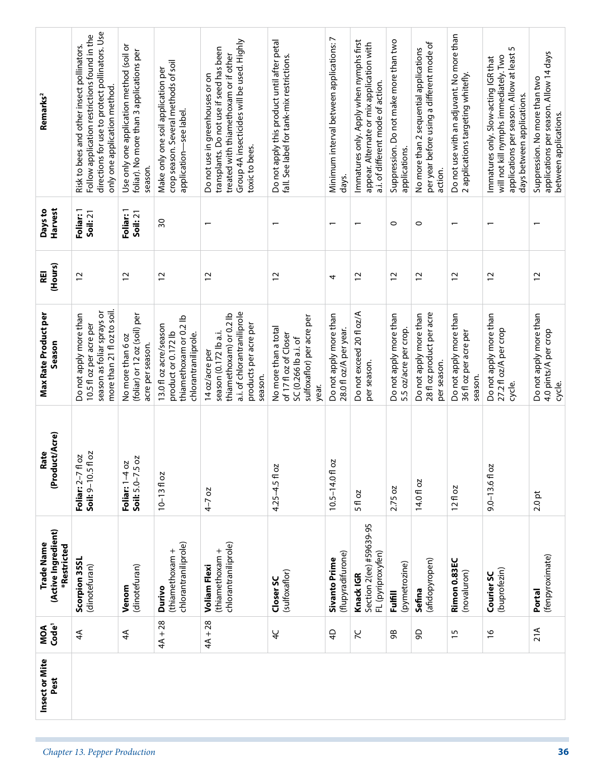| Remarks <sup>2</sup>                             | directions for use to protect pollinators. Use<br>Follow application restrictions found in the<br>Risk to bees and other insect pollinators.<br>only one application method. | Use only one application method (soil or<br>foliar). No more than 3 applications per<br>season. | crop season. Several methods of soil<br>Make only one soil application per<br>application-see label. | Group 4A insecticides will be used. Highly<br>transplants. Do not use if seed has been<br>treated with thiamethoxam or if other<br>Do not use in greenhouses or on<br>toxic to bees. | Do not apply this product until after petal<br>fall. See label for tank-mix restrictions.                   | Minimum interval between applications: 7<br>days. | Immatures only. Apply when nymphs first<br>appear. Alternate or mix application with<br>a.i. of different mode of action. | Suppression. Do not make more than two<br>applications. | per year before using a different mode of<br>No more than 2 sequential applications<br>action. | Do not use with an adjuvant. No more than<br>2 applications targeting whitefly. | applications per season. Allow at least 5<br>will not kill nymphs immediately. Two<br>Immatures only. Slow-acting IGR that<br>days between applications. | applications per season. Allow 14 days<br>Suppression. No more than two<br>between applications. |
|--------------------------------------------------|------------------------------------------------------------------------------------------------------------------------------------------------------------------------------|-------------------------------------------------------------------------------------------------|------------------------------------------------------------------------------------------------------|--------------------------------------------------------------------------------------------------------------------------------------------------------------------------------------|-------------------------------------------------------------------------------------------------------------|---------------------------------------------------|---------------------------------------------------------------------------------------------------------------------------|---------------------------------------------------------|------------------------------------------------------------------------------------------------|---------------------------------------------------------------------------------|----------------------------------------------------------------------------------------------------------------------------------------------------------|--------------------------------------------------------------------------------------------------|
| Harvest<br>Days to                               | Foliar: 1<br>Soil: 21                                                                                                                                                        | Foliar: 1<br>Soil: 21                                                                           | $\overline{\mathrm{30}}$                                                                             |                                                                                                                                                                                      | $\overline{ }$                                                                                              | $\overline{\phantom{0}}$                          | $\overline{\phantom{0}}$                                                                                                  | $\circ$                                                 | $\circ$                                                                                        | $\overline{\phantom{0}}$                                                        |                                                                                                                                                          |                                                                                                  |
| (Hours)<br>REI                                   | $\overline{c}$                                                                                                                                                               | $\overline{c}$                                                                                  | $\overline{c}$                                                                                       | $\overline{c}$                                                                                                                                                                       | $\overline{c}$                                                                                              | 4                                                 | $\overline{c}$                                                                                                            | $\overline{c}$                                          | $\overline{c}$                                                                                 | $\overline{c}$                                                                  | $\overline{c}$                                                                                                                                           | $\overline{c}$                                                                                   |
| Max Rate Product per<br>Season                   | more than 21 fl oz to soil.<br>season as foliar sprays or<br>Do not apply more than<br>10.5 fl oz per acre per                                                               | (foliar) or 12 oz (soil) per<br>No more than 6 oz<br>acre per season.                           | thiamethoxam or 0.2 lb<br>13.0 fl oz acre/season<br>product or 0.172 lb<br>chlorantraniliprole.      | a.i. of chlorantraniliprole<br>thiamethoxam) or 0.2 lb<br>products per acre per<br>season (0.172 lb a.i.<br>14 oz/acre per<br>season.                                                | sulfoxaflor) per acre per<br>No more than a total<br>of 17 fl oz of Closer<br>SC (0.266 lb a.i. of<br>year. | Do not apply more than<br>28.0 fl oz/A per year.  | Do not exceed 20 fl oz/A<br>per season.                                                                                   | Do not apply more than<br>5.5 oz/acre per crop.         | 28 fl oz product per acre<br>Do not apply more than<br>per season.                             | Do not apply more than<br>36 fl oz per acre per<br>season.                      | Do not apply more than<br>27.2 fl oz/A per crop<br>cycle.                                                                                                | Do not apply more than<br>4.0 pints/A per crop<br>cycle.                                         |
| (Product/Acre)<br>Rate                           | fl oz<br>T oz<br>Soil: 9-10.5<br>Foliar: 2-7                                                                                                                                 | SO<br>Foliar: 1-4 oz<br>Soil: 5.0-7.5                                                           | $10 - 1310z$                                                                                         | $4 - 7$ oz                                                                                                                                                                           | 4.25-4.5 fl oz                                                                                              | δ<br>$10.5 - 14.0$ fl                             | 5 fl oz                                                                                                                   | 2.75 oz                                                 | 14.0 fl oz                                                                                     | 12f1oz                                                                          | $9.0 - 13.6$ fl oz                                                                                                                                       | $2.0$ pt                                                                                         |
| (Active Ingredient)<br>Trade Name<br>*Restricted | Scorpion 35SL<br>(dinotefuran)                                                                                                                                               | (dinotefuran)<br>Venom                                                                          | chlorantraniliprole)<br>(thiamethoxam +<br>Durivo                                                    | chlorantraniliprole)<br>thiamethoxam +<br><b>Voliam Flexi</b>                                                                                                                        | (sulfoxaflor)<br>Closer SC                                                                                  | (flupyradifurone)<br><b>Sivanto Prime</b>         | Section 2(ee) #59639-95<br>FL (pyriproxyfen)<br>Knack IGR                                                                 | (pymetrozine)<br><b>Fulfill</b>                         | (afidopyropen)<br>Sefina                                                                       | Rimon 0.83EC<br>(novaluron)                                                     | (buprofezin)<br>Courier SC                                                                                                                               | (fenpyroximate)<br>Portal                                                                        |
| Code <sup>1</sup><br>MOA                         | $\overline{4}$                                                                                                                                                               | $\overline{4}$                                                                                  | $4A + 28$                                                                                            | $4A + 28$                                                                                                                                                                            | $\overline{4}$                                                                                              | $\overline{4}$                                    | 57                                                                                                                        | ஜ                                                       | 90                                                                                             | $\frac{15}{2}$                                                                  | $\frac{8}{1}$                                                                                                                                            | 21A                                                                                              |
| Insect or Mite<br>Pest                           |                                                                                                                                                                              |                                                                                                 |                                                                                                      |                                                                                                                                                                                      |                                                                                                             |                                                   |                                                                                                                           |                                                         |                                                                                                |                                                                                 |                                                                                                                                                          |                                                                                                  |
|                                                  | Chapter 13. Pepper Production                                                                                                                                                |                                                                                                 |                                                                                                      |                                                                                                                                                                                      |                                                                                                             |                                                   |                                                                                                                           |                                                         |                                                                                                |                                                                                 |                                                                                                                                                          |                                                                                                  |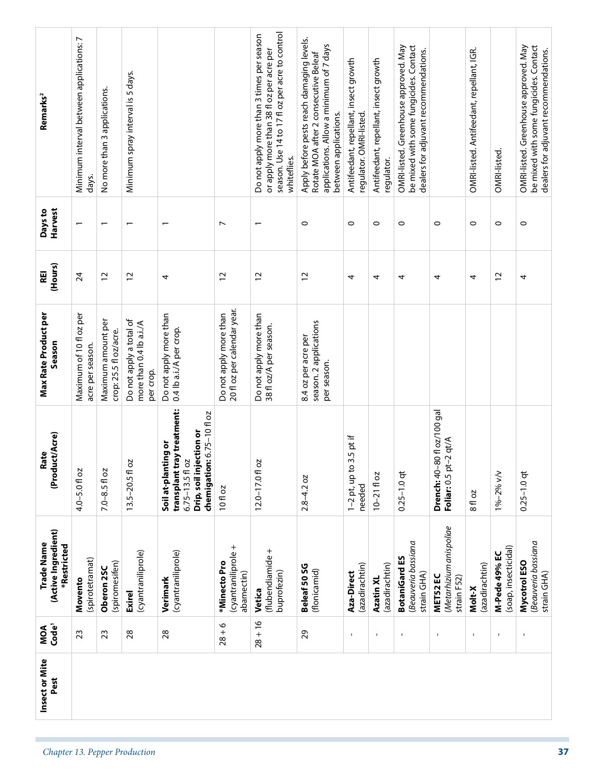| Remarks <sup>2</sup>                             | Minimum interval between applications: 7<br>days. | No more than 3 applications.                 | Minimum spray interval is 5 days.                               |                                                                                                                                 |                                                       | season. Use 14 to 17 fl oz per acre to control<br>Do not apply more than 3 times per season<br>or apply more than 38 fl oz per acre per<br>whiteflies. | Apply before pests reach damaging levels.<br>applications. Allow a minimum of 7 days<br>Rotate MOA after 2 consecutive Beleaf<br>between applications. | Antifeedant, repellant, insect growth<br>regulator. OMRI-listed. | Antifeedant, repellant, insect growth<br>regulator. | be mixed with some fungicides. Contact<br>OMRI-listed. Greenhouse approved. May<br>dealers for adjuvant recommendations. |                                                             | OMRI-listed. Antifeedant, repellant, IGR. | OMRI-listed.                          | OMRI-listed. Greenhouse approved. May<br>be mixed with some fungicides. Contact<br>dealers for adjuvant recommendations. |
|--------------------------------------------------|---------------------------------------------------|----------------------------------------------|-----------------------------------------------------------------|---------------------------------------------------------------------------------------------------------------------------------|-------------------------------------------------------|--------------------------------------------------------------------------------------------------------------------------------------------------------|--------------------------------------------------------------------------------------------------------------------------------------------------------|------------------------------------------------------------------|-----------------------------------------------------|--------------------------------------------------------------------------------------------------------------------------|-------------------------------------------------------------|-------------------------------------------|---------------------------------------|--------------------------------------------------------------------------------------------------------------------------|
| Harvest<br>Days to                               | $\overline{ }$                                    | $\overline{\phantom{0}}$                     | $\overline{ }$                                                  |                                                                                                                                 | $\overline{ }$                                        | $\overline{ }$                                                                                                                                         | $\circ$                                                                                                                                                | $\circ$                                                          | $\circ$                                             | $\circ$                                                                                                                  | $\circ$                                                     | $\circ$                                   | $\circ$                               | $\circ$                                                                                                                  |
| (Hours)<br>REI                                   | $\overline{24}$                                   | $\overline{c}$                               | $\overline{c}$                                                  | 4                                                                                                                               | $\overline{c}$                                        | 12                                                                                                                                                     | $\overline{c}$                                                                                                                                         | 4                                                                | 4                                                   | 4                                                                                                                        | 4                                                           | 4                                         | $\overline{c}$                        | 4                                                                                                                        |
| Max Rate Product per<br>Season                   | Maximum of 10 fl oz per<br>acre per season.       | Maximum amount per<br>crop: 25.5 fl oz/acre. | Do not apply a total of<br>more than 0.4 lb a.i./A<br>per crop. | Do not apply more than<br>0.4 lb a.i./A per crop.                                                                               | 20 fl oz per calendar year.<br>Do not apply more than | Do not apply more than<br>38 fl oz/A per season.                                                                                                       | season. 2 applications<br>8.4 oz per acre per<br>per season.                                                                                           |                                                                  |                                                     |                                                                                                                          |                                                             |                                           |                                       |                                                                                                                          |
| (Product/Acre)<br>Rate                           | $4.0 - 5.0$ fl oz                                 | $7.0 - 8.5$ fl oz                            | 50<br>$13.5 - 20.5$ fl                                          | transplant tray treatment:<br>chemigation: 6.75-10 fl oz<br>Drip, soil injection or<br>Soil at-planting or<br>$6.75 - 13.5f$ oz | 10 fl oz                                              | 5<br>$12.0 - 17.0$ fl                                                                                                                                  | $2.8 - 4.2$ oz                                                                                                                                         | $1-2$ pt, up to 3.5 pt if<br>needed                              | $10 - 2110z$                                        | $0.25 - 1.0$ qt                                                                                                          | <b>Drench:</b> 40–80 fl oz/100 gal<br>Foliar: 0.5 pt-2 qt/A | 8 fl oz                                   | 1%-2% v/v                             | $0.25 - 1.0$ qt                                                                                                          |
| (Active Ingredient)<br>Trade Name<br>*Restricted | (spirotetramat)<br>Movento                        | (spiromesifen)<br>Oberon 25C                 | (cyantraniliprole)<br><b>Exirel</b>                             | (cyantraniliprole)<br>Verimark                                                                                                  | (cyantraniliprole +<br>*Minecto Pro<br>abamectin)     | (flubendiamide +<br>buprofezin)<br>Vetica                                                                                                              | Beleaf 50 SG<br>(flonicamid)                                                                                                                           | (azadirachtin)<br>Aza-Direct                                     | (azadirachtin)<br>Azatin XL                         | Beauveria bassiana<br><b>BotaniGard ES</b><br>strain GHA)                                                                | (Metarhizium anispoliae<br>MET52 EC<br>strain F52)          | (azadirachtin)<br>Molt-X                  | (soap, insecticidal)<br>M-Pede 49% EC | Beauveria bassiana<br>Mycotrol ESO<br>strain GHA)                                                                        |
| MOA<br>Code <sup>1</sup>                         | 23                                                | 23                                           | 28                                                              | 28                                                                                                                              | $28 + 6$                                              | $28 + 16$                                                                                                                                              | 29                                                                                                                                                     | $\blacksquare$                                                   | $\mathbf{I}$                                        | $\mathbf I$                                                                                                              | $\mathbf{I}$                                                | $\mathbf{I}$                              | $\mathbf{I}$                          | $\blacksquare$                                                                                                           |
| Insect or Mite<br>Pest                           |                                                   |                                              |                                                                 |                                                                                                                                 |                                                       |                                                                                                                                                        |                                                                                                                                                        |                                                                  |                                                     |                                                                                                                          |                                                             |                                           |                                       |                                                                                                                          |
|                                                  |                                                   |                                              | Chapter 13. Pepper Production                                   |                                                                                                                                 |                                                       |                                                                                                                                                        |                                                                                                                                                        |                                                                  |                                                     |                                                                                                                          |                                                             |                                           |                                       |                                                                                                                          |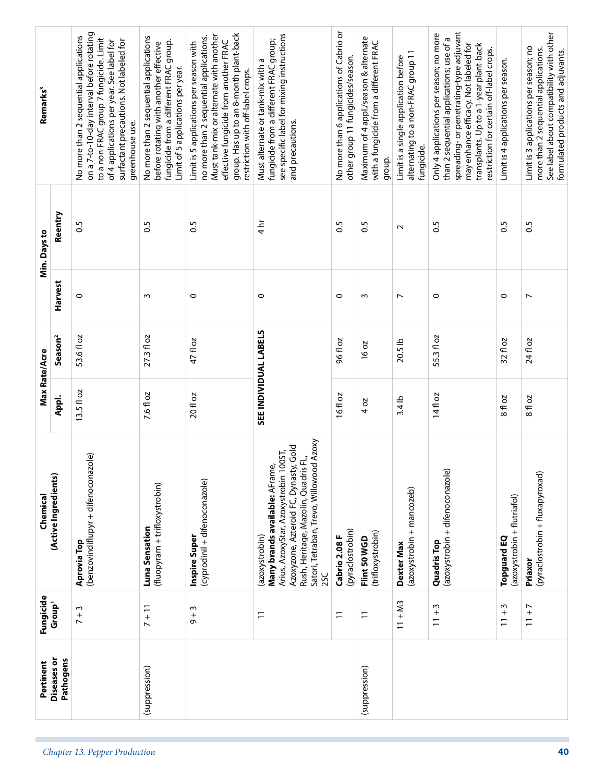|                               | Pertinent                | Fungicide                    | Chemical                                                                                                                                                                                                                        | Max Rate/Acre |                       |                | Min. Days to      | Remarks <sup>3</sup>                                                                                                                                                                                                                                         |
|-------------------------------|--------------------------|------------------------------|---------------------------------------------------------------------------------------------------------------------------------------------------------------------------------------------------------------------------------|---------------|-----------------------|----------------|-------------------|--------------------------------------------------------------------------------------------------------------------------------------------------------------------------------------------------------------------------------------------------------------|
|                               | Diseases or<br>Pathogens | Group <sup>1</sup>           | (Active Ingredients)                                                                                                                                                                                                            | Appl.         | Season <sup>2</sup>   | Harvest        | Reentry           |                                                                                                                                                                                                                                                              |
| Chapter 13. Pepper Production |                          | $7 + 3$                      | ole)<br>(benzovindiflupyr + difenoconaz<br>Aprovia Top                                                                                                                                                                          | $13.5f$ loz   | 53.6 fl oz            | 0              | 0.5               | on a 7-to-10-day interval before rotating<br>No more than 2 sequential applications<br>to a non-FRAC group 7 fungicide. Limit<br>of 4 applications per year. See label for<br>surfactant precautions. Not labeled for<br>greenhouse use.                     |
|                               | (suppression)            | $7 + 11$                     | (fluopyram + trifloxystrobin)<br>Luna Sensation                                                                                                                                                                                 | 7.6 fl oz     | 27.3 fl oz            | $\sim$         | $\overline{0}$    | No more than 2 sequential applications<br>fungicide from a different FRAC group.<br>before rotating with another effective<br>Limit of 5 applications per year.                                                                                              |
|                               |                          | $\sim$<br>$\frac{1}{\sigma}$ | (cyprodinil + difenoconazole)<br>Inspire Super                                                                                                                                                                                  | 20 fl oz      | 47 fl oz              | 0              | $\overline{0}$ .5 | group. Has up to an 8-month plant-back<br>Must tank-mix or alternate with another<br>no more than 2 sequential applications.<br>effective fungicide from another FRAC<br>Limit is 5 applications per season with<br>restriction with off-label crops.        |
|                               |                          | $\overline{1}$               | Satori, Tetraban, Trevo, Willowood Azoxy<br>Azoxyzone, Azteroid FC, Dynasty, Gold<br>Arius, AzoxyStar, Azoxystrobin 100ST,<br>군,<br>Many brands available: AFrame,<br>Rush, Heritage, Mazolin, Quadris<br>(azoxystrobin)<br>2SC |               | SEE INDIVIDUAL LABELS | $\circ$        | $\frac{4}{\pi}$   | see specific label for mixing instructions<br>fungicide from a different FRAC group;<br>Must alternate or tank-mix with a<br>and precautions.                                                                                                                |
|                               |                          | $\overline{1}$               | (pyraclostrobin)<br>Cabrio 2.08 F                                                                                                                                                                                               | 16fl oz       | 96 fl oz              | $\circ$        | $\overline{0}$    | No more than 6 applications of Cabrio or<br>other group 11 fungicides/season.                                                                                                                                                                                |
|                               | (suppression)            | $\overline{1}$               | (trifloxystrobin)<br>Flint 50 WGD                                                                                                                                                                                               | 4 oz          | 16 oz                 | ω              | 0.5               | Maximum of 4 appl./season & alternate<br>with a fungicide from a different FRAC<br>group.                                                                                                                                                                    |
|                               |                          | $11 + M3$                    | (azoxystrobin + mancozeb)<br>Dexter Max                                                                                                                                                                                         | $3.4$ lb      | 20.5 lb               | $\overline{ }$ | $\sim$            | alternating to a non-FRAC group 11<br>Limit is a single application before<br>fungicide.                                                                                                                                                                     |
|                               |                          | w<br>$\frac{+}{-}$           | (azoxystrobin + difenoconazole)<br><b>Quadris Top</b>                                                                                                                                                                           | 14fl oz       | 55.3 fl oz            | $\circ$        | $\overline{0}$    | spreading-or penetrating-type adjuvant<br>Only 4 applications per season; no more<br>than 2 sequential applications; use of a<br>may enhance efficacy. Not labeled for<br>transplants. Up to a 1-year plant-back<br>restriction for certain off-label crops. |
|                               |                          | w<br>$11 +$                  | (azoxystrobin + flutriafol)<br>Topguard EQ                                                                                                                                                                                      | 8 fl oz       | 32 fl oz              | 0              | S.O               | Limit is 4 applications per season.                                                                                                                                                                                                                          |
| 40                            |                          | $11 + 7$                     | (pyraclostrobin + fluxapyroxad)<br>Priaxor                                                                                                                                                                                      | 8 fl oz       | 24 fl oz              | $\overline{ }$ | 0.5               | See label about compatibility with other<br>Limit is 3 applications per season; no<br>more than 2 sequential applications.<br>formulated products and adjuvants.                                                                                             |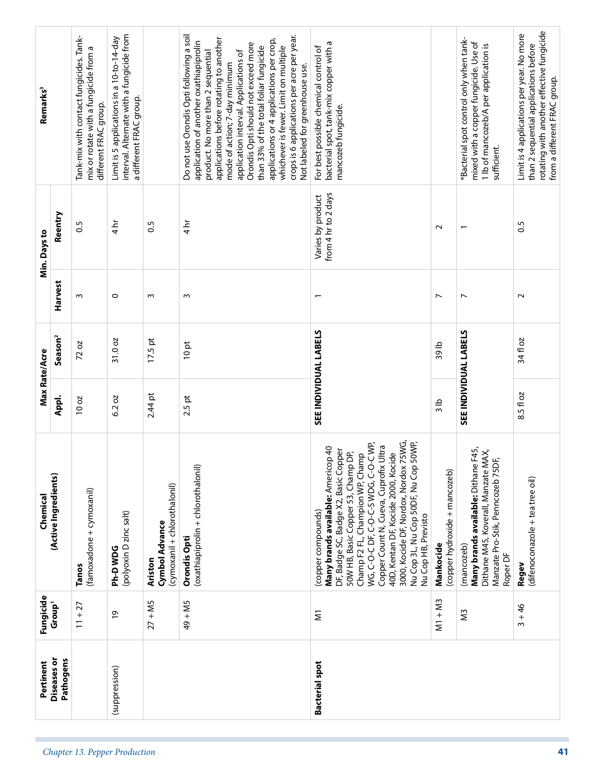| Remarks <sup>3</sup> | Reentry                  | Tank-mix with contact fungicides. Tank-<br>mix or rotate with a fungicide from a<br>different FRAC group.<br>S.O | interval. Alternate with a fungicide from<br>Limit is 5 applications in a 10-to-14-day<br>a different FRAC group.<br>$4\,\mathrm{hr}$ | $\frac{5}{2}$                                             | Do not use Orondis Opti following a soil<br>crops is 6 applications per acre per year.<br>applications before rotating to another<br>applications or 4 applications per crop,<br>application of another oxathiapiprolin<br>Orondis Opti should not exceed more<br>than 33% of the total foliar fungicide<br>whichever is fewer. Limit on multiple<br>product. No more than 2 sequential<br>application interval. Applications of<br>mode of action; 7-day minimum<br>Not labeled for greenhouse use.<br>$4 \text{ hr}$ | bacterial spot, tank-mix copper with a<br>For best possible chemical control of<br>mancozeb fungicide.<br>from 4 hr to 2 days<br>Varies by product                                                                                                                                                                                                                                                        | $\sim$                                     | *Bacterial spot control only when tank-<br>mixed with a copper fungicide. Use of<br>1 lb of mancozeb/A per application is<br>sufficient.     | rotating with another effective fungicide<br>Limit is 4 applications per year. No more<br>than 2 sequential applications before<br>from a different FRAC group.<br>S.O |
|----------------------|--------------------------|------------------------------------------------------------------------------------------------------------------|---------------------------------------------------------------------------------------------------------------------------------------|-----------------------------------------------------------|------------------------------------------------------------------------------------------------------------------------------------------------------------------------------------------------------------------------------------------------------------------------------------------------------------------------------------------------------------------------------------------------------------------------------------------------------------------------------------------------------------------------|-----------------------------------------------------------------------------------------------------------------------------------------------------------------------------------------------------------------------------------------------------------------------------------------------------------------------------------------------------------------------------------------------------------|--------------------------------------------|----------------------------------------------------------------------------------------------------------------------------------------------|------------------------------------------------------------------------------------------------------------------------------------------------------------------------|
| Min. Days to         | Harvest                  | ω                                                                                                                | $\circ$                                                                                                                               | $\sim$                                                    | ω                                                                                                                                                                                                                                                                                                                                                                                                                                                                                                                      | $\overline{ }$                                                                                                                                                                                                                                                                                                                                                                                            | $\overline{ }$                             | $\overline{ }$                                                                                                                               | $\sim$                                                                                                                                                                 |
| Max Rate/Acre        | Season <sup>2</sup>      | 72 oz                                                                                                            | 31.0 oz                                                                                                                               | $17.5$ pt                                                 | 10pt                                                                                                                                                                                                                                                                                                                                                                                                                                                                                                                   | <b>SEE INDIVIDUAL LABELS</b>                                                                                                                                                                                                                                                                                                                                                                              | 39 lb                                      | SEE INDIVIDUAL LABELS                                                                                                                        | 34 fl oz                                                                                                                                                               |
|                      | Appl.                    | 10 oz                                                                                                            | 6.2 oz                                                                                                                                | $2.44$ pt                                                 | $2.5$ pt                                                                                                                                                                                                                                                                                                                                                                                                                                                                                                               |                                                                                                                                                                                                                                                                                                                                                                                                           | $\frac{1}{2}$                              |                                                                                                                                              | 8.5 fl oz                                                                                                                                                              |
| Chemical             | (Active Ingredients)     | (famoxadone + cymoxanil)<br><b>Tanos</b>                                                                         | (polyoxin D zinc salt)<br>Ph-DWDG                                                                                                     | (cymoxanil + chlorothalonil)<br>Cymbol Advance<br>Ariston | (oxathiapiprolin + chlorothalonil)<br>Orondis Opti                                                                                                                                                                                                                                                                                                                                                                                                                                                                     | 3000, Kocide DF, Nordox, Nordox 75WG,<br>Nu Cop 3L, Nu Cop 50DF, Nu Cop 50WP,<br>WG, C-O-C DF, C-O-C-S WDG, C-O-C WP,<br>Copper Count N, Cueva, Cuprofix Ultra<br>Many brands available: Americop 40<br>DF, Badge SC, Badge X2, Basic Copper<br>40D, Kentan DF, Kocide 2000, Kocide<br>50W HB, Basic Copper 53, Champ DP,<br>Champ F2 FL, Champion WP, Champ<br>(copper compounds)<br>Nu Cop HB, Previsto | (copper hydroxide + mancozeb)<br>Mankocide | Many brands available: Dithane F45,<br>MAX,<br>Manzate Pro-Stik, Penncozeb 75DF,<br>Dithane M45, Koverall, Manzate<br>(mancozeb)<br>Roper DF | (difenoconazole + tea tree oil)<br>Regev                                                                                                                               |
| Fungicide            | Group <sup>1</sup>       | $11 + 27$                                                                                                        | $\overline{6}$                                                                                                                        | $27 + MS$                                                 | 49 + M5                                                                                                                                                                                                                                                                                                                                                                                                                                                                                                                | $\overline{\mathsf{s}}$                                                                                                                                                                                                                                                                                                                                                                                   | $M1 + M3$                                  | Μ3                                                                                                                                           | $3 + 46$                                                                                                                                                               |
| Pertinent            | Diseases or<br>Pathogens |                                                                                                                  | (suppression)                                                                                                                         |                                                           |                                                                                                                                                                                                                                                                                                                                                                                                                                                                                                                        | <b>Bacterial spot</b>                                                                                                                                                                                                                                                                                                                                                                                     |                                            |                                                                                                                                              |                                                                                                                                                                        |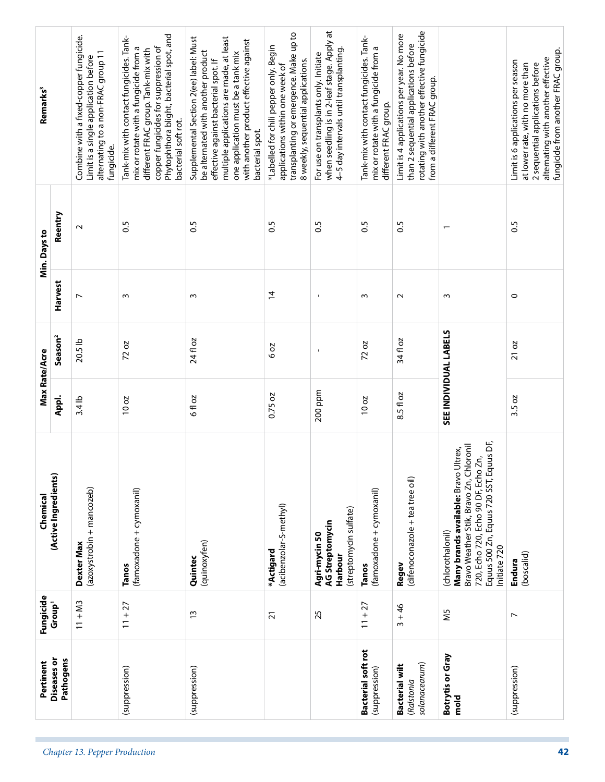| Remarks <sup>3</sup> |                          | Combine with a fixed-copper fungicide.<br>alternating to a non-FRAC group 11<br>Limit is a single application before<br>fungicide. | Phytophthora blight, bacterial spot, and<br>Tank-mix with contact fungicides. Tank-<br>copper fungicides for suppression of<br>mix or rotate with a fungicide from a<br>different FRAC group. Tank-mix with<br>bacterial soft rot. | multiple applications are made, at least<br>Supplemental Section 2(ee) label: Must<br>with another product effective against<br>be alternated with another product<br>one application must be a tank mix<br>effective against bacterial spot. If<br>bacterial spot. | transplanting or emergence. Make up to<br>*Labelled for chili pepper only. Begin<br>8 weekly, sequential applications.<br>applications within one week of | when seedling is in 2-leaf stage. Apply at<br>4-5 day intervals until transplanting.<br>For use on transplants only. Initiate | Tank-mix with contact fungicides. Tank-<br>mix or rotate with a fungicide from a<br>different FRAC group. | rotating with another effective fungicide<br>Limit is 4 applications per year. No more<br>than 2 sequential applications before<br>from a different FRAC group. |                                                                                                                                                                                                     | fungicide from another FRAC group.<br>alternating with another effective<br>Limit is 6 applications per season<br>at lower rate, with no more than<br>2 sequential applications before |
|----------------------|--------------------------|------------------------------------------------------------------------------------------------------------------------------------|------------------------------------------------------------------------------------------------------------------------------------------------------------------------------------------------------------------------------------|---------------------------------------------------------------------------------------------------------------------------------------------------------------------------------------------------------------------------------------------------------------------|-----------------------------------------------------------------------------------------------------------------------------------------------------------|-------------------------------------------------------------------------------------------------------------------------------|-----------------------------------------------------------------------------------------------------------|-----------------------------------------------------------------------------------------------------------------------------------------------------------------|-----------------------------------------------------------------------------------------------------------------------------------------------------------------------------------------------------|----------------------------------------------------------------------------------------------------------------------------------------------------------------------------------------|
| Min. Days to         | Reentry                  | $\sim$                                                                                                                             | $\frac{5}{2}$                                                                                                                                                                                                                      | C.S                                                                                                                                                                                                                                                                 | S.O                                                                                                                                                       | $\overline{0}$                                                                                                                | 0.5                                                                                                       | 0.5                                                                                                                                                             | $\overline{\phantom{0}}$                                                                                                                                                                            | 0.5                                                                                                                                                                                    |
|                      | Harvest                  | $\overline{ }$                                                                                                                     | m                                                                                                                                                                                                                                  | w                                                                                                                                                                                                                                                                   | $\overline{4}$                                                                                                                                            |                                                                                                                               | S                                                                                                         | $\sim$                                                                                                                                                          | $\sim$                                                                                                                                                                                              | 0                                                                                                                                                                                      |
|                      | Season <sup>2</sup>      | 20.5 lb                                                                                                                            | 20<br>72                                                                                                                                                                                                                           | 24 fl oz                                                                                                                                                                                                                                                            | 6 oz                                                                                                                                                      | $\blacksquare$                                                                                                                | 72 oz                                                                                                     | 34 fl oz                                                                                                                                                        |                                                                                                                                                                                                     | 21 oz                                                                                                                                                                                  |
| Max Rate/Acre        | Appl.                    | 3.4 lb                                                                                                                             | 10 oz                                                                                                                                                                                                                              | 6 fl oz                                                                                                                                                                                                                                                             | 0.75 oz                                                                                                                                                   | 200 ppm                                                                                                                       | 10 oz                                                                                                     | 8.5 fl oz                                                                                                                                                       | SEE INDIVIDUAL LABELS                                                                                                                                                                               | 3.5 oz                                                                                                                                                                                 |
| Chemical             | (Active Ingredients)     | (azoxystrobin + mancozeb)<br>Dexter Max                                                                                            | (famoxadone + cymoxanil)<br><b>Tanos</b>                                                                                                                                                                                           | (quinoxyfen)<br>Quintec                                                                                                                                                                                                                                             | (acibenzolar-S-methyl)<br>*Actigard                                                                                                                       | (streptomycin sulfate)<br>AG Streptomycin<br>Agri-mycin 50<br>Harbour                                                         | (famoxadone + cymoxanil)<br>Tanos                                                                         | (difenoconazole + tea tree oil)<br>Regev                                                                                                                        | Equus 500 Zn, Equus 720 SST, Equus DF,<br>Bravo Weather Stik, Bravo Zn, Chloronil<br>Many brands available: Bravo Ultrex,<br>720, Echo 720, Echo 90 DF, Echo Zn,<br>(chlorothalonil)<br>nitiate 720 | (boscalid)<br>Endura                                                                                                                                                                   |
| Fungicide            | Group <sup>1</sup>       | $11 + M3$                                                                                                                          | $11 + 27$                                                                                                                                                                                                                          | $\tilde{1}$                                                                                                                                                                                                                                                         | $\overline{2}1$                                                                                                                                           | 25                                                                                                                            | $11 + 27$                                                                                                 | $3 + 46$                                                                                                                                                        | Μ5                                                                                                                                                                                                  | $\overline{ }$                                                                                                                                                                         |
| Pertinent            | Pathogens<br>Diseases or |                                                                                                                                    | (suppression)                                                                                                                                                                                                                      | (suppression)                                                                                                                                                                                                                                                       |                                                                                                                                                           |                                                                                                                               | <b>Bacterial soft rot</b><br>(suppression)                                                                | solanacearum)<br><b>Bacterial wilt</b><br>(Ralstonia                                                                                                            | Botrytis or Gray<br>mold                                                                                                                                                                            | (suppression)                                                                                                                                                                          |
|                      |                          | Chapter 13. Pepper Production                                                                                                      |                                                                                                                                                                                                                                    |                                                                                                                                                                                                                                                                     |                                                                                                                                                           |                                                                                                                               |                                                                                                           |                                                                                                                                                                 |                                                                                                                                                                                                     | 42                                                                                                                                                                                     |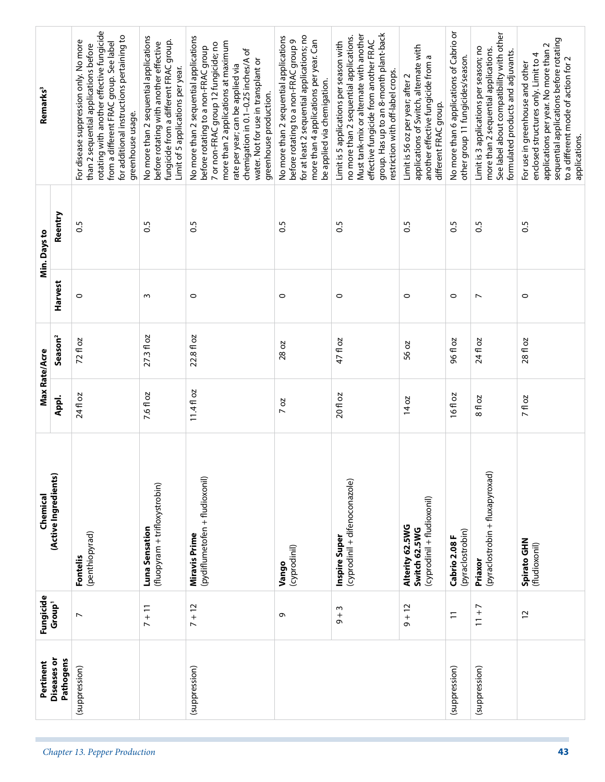| Remarks <sup>3</sup> |                          | rotating with another effective fungicide<br>for additional instructions pertaining to<br>For disease suppression only. No more<br>from a different FRAC group. See label<br>than 2 sequential applications before<br>greenhouse usage. | No more than 2 sequential applications<br>fungicide from a different FRAC group.<br>before rotating with another effective<br>Limit of 5 applications per year. | No more than 2 sequential applications<br>more than 2 applications at maximum<br>7 or non-FRAC group 12 fungicide; no<br>before rotating to a non-FRAC group<br>chemigation in 0.1-0.25 inches/A of<br>water. Not for use in transplant or<br>rate per year; can be applied via<br>greenhouse production. | for at least 2 sequential applications; no<br>No more than 2 sequential applications<br>before rotating to a non-FRAC group 9<br>more than 4 applications per year. Can<br>be applied via chemigation. | group. Has up to an 8-month plant-back<br>Must tank-mix or alternate with another<br>no more than 2 sequential applications.<br>effective fungicide from another FRAC<br>Limit is 5 applications per season with<br>restriction with off-label crops. | applications of Switch, alternate with<br>another effective fungicide from a<br>Limit is 56 oz per year; after 2<br>different FRAC group. | No more than 6 applications of Cabrio or<br>other group 11 fungicides/season. | See label about compatibility with other<br>Limit is 3 applications per season; no<br>more than 2 sequential applications.<br>formulated products and adjuvants. | sequential applications before rotating<br>applications per year. No more than 2<br>enclosed structures only. Limit to 4<br>to a different mode of action for 2<br>For use in greenhouse and other |
|----------------------|--------------------------|-----------------------------------------------------------------------------------------------------------------------------------------------------------------------------------------------------------------------------------------|-----------------------------------------------------------------------------------------------------------------------------------------------------------------|-----------------------------------------------------------------------------------------------------------------------------------------------------------------------------------------------------------------------------------------------------------------------------------------------------------|--------------------------------------------------------------------------------------------------------------------------------------------------------------------------------------------------------|-------------------------------------------------------------------------------------------------------------------------------------------------------------------------------------------------------------------------------------------------------|-------------------------------------------------------------------------------------------------------------------------------------------|-------------------------------------------------------------------------------|------------------------------------------------------------------------------------------------------------------------------------------------------------------|----------------------------------------------------------------------------------------------------------------------------------------------------------------------------------------------------|
| Min. Days to         | Reentry                  | 3.0                                                                                                                                                                                                                                     | $\overline{0}$                                                                                                                                                  | $\overline{0.5}$                                                                                                                                                                                                                                                                                          | $\overline{0}$                                                                                                                                                                                         | $\overline{0}$                                                                                                                                                                                                                                        | $\frac{5}{2}$                                                                                                                             | $\overline{0.5}$                                                              | C.S                                                                                                                                                              | $\frac{5}{2}$                                                                                                                                                                                      |
|                      | Harvest                  | $\circ$                                                                                                                                                                                                                                 | ω                                                                                                                                                               | $\circ$                                                                                                                                                                                                                                                                                                   | $\circ$                                                                                                                                                                                                | $\circ$                                                                                                                                                                                                                                               | $\circ$                                                                                                                                   | $\circ$                                                                       | $\overline{ }$                                                                                                                                                   | $\circ$                                                                                                                                                                                            |
| Max Rate/Acre        | Season <sup>2</sup>      | 72 fl oz                                                                                                                                                                                                                                | 27.3 fl oz                                                                                                                                                      | 22.8 fl oz                                                                                                                                                                                                                                                                                                | 28 oz                                                                                                                                                                                                  | 47 fl oz                                                                                                                                                                                                                                              | 56 oz                                                                                                                                     | 96 fl oz                                                                      | 24 fl oz                                                                                                                                                         | 28 fl oz                                                                                                                                                                                           |
|                      | Appl.                    | 24 fl oz                                                                                                                                                                                                                                | 7.6 fl oz                                                                                                                                                       | $11.4$ floz                                                                                                                                                                                                                                                                                               | $7$ oz                                                                                                                                                                                                 | 20 fl oz                                                                                                                                                                                                                                              | 14 oz                                                                                                                                     | 16fl oz                                                                       | 8 fl oz                                                                                                                                                          | <b>7fl oz</b>                                                                                                                                                                                      |
| Chemical             | (Active Ingredients)     | (penthiopyrad)<br>Fontelis                                                                                                                                                                                                              | (fluopyram + trifloxystrobin)<br>Luna Sensation                                                                                                                 | (pydiflumetofen + fludioxonil)<br><b>Miravis Prime</b>                                                                                                                                                                                                                                                    | (cyprodinil)<br>Vango                                                                                                                                                                                  | (cyprodinil + difenoconazole)<br>Inspire Super                                                                                                                                                                                                        | (cyprodinil + fludioxonil)<br>Alterity 62.5WG<br>Switch 62.5WG                                                                            | (pyraclostrobin)<br>Cabrio 2.08 F                                             | (pyraclostrobin + fluxapyroxad)<br>Priaxor                                                                                                                       | Spirato GHN<br>(fludioxonil)                                                                                                                                                                       |
| Fungicide            | Group <sup>1</sup>       | $\overline{ }$                                                                                                                                                                                                                          | $7 + 11$                                                                                                                                                        | $7 + 12$                                                                                                                                                                                                                                                                                                  | G                                                                                                                                                                                                      | $\sim$<br>$\sigma^+$                                                                                                                                                                                                                                  | $9 + 12$                                                                                                                                  | $\overline{1}$                                                                | $11 + 7$                                                                                                                                                         | $\overline{c}$                                                                                                                                                                                     |
| Pertinent            | Diseases or<br>Pathogens | (suppression)                                                                                                                                                                                                                           |                                                                                                                                                                 | (suppression)                                                                                                                                                                                                                                                                                             |                                                                                                                                                                                                        |                                                                                                                                                                                                                                                       |                                                                                                                                           | (suppression)                                                                 | (suppression)                                                                                                                                                    |                                                                                                                                                                                                    |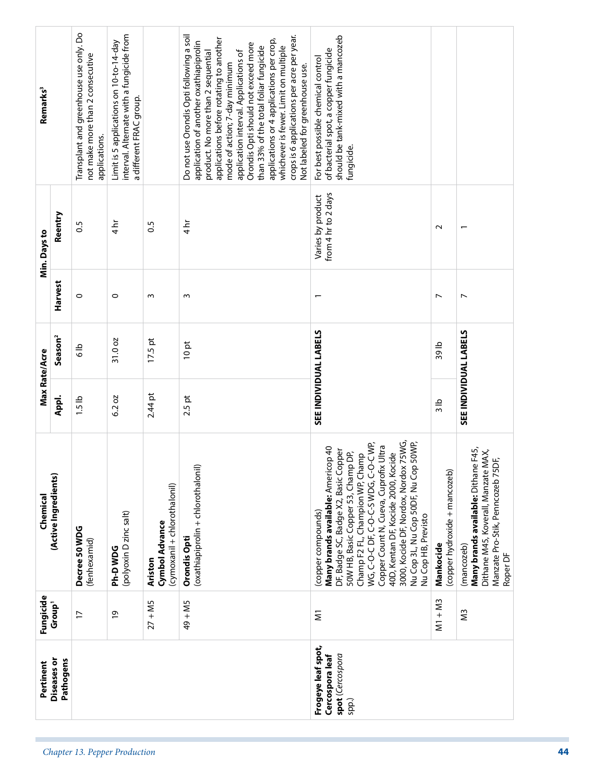| Remarks <sup>3</sup> |                          | Transplant and greenhouse use only. Do<br>not make more than 2 consecutive<br>applications. | interval. Alternate with a fungicide from<br>Limit is 5 applications on 10-to-14-day<br>a different FRAC group. |                                                                  | Do not use Orondis Opti following a soil<br>crops is 6 applications per acre per year.<br>applications before rotating to another<br>applications or 4 applications per crop,<br>application of another oxathiapiprolin<br>Orondis Opti should not exceed more<br>than 33% of the total foliar fungicide<br>whichever is fewer. Limit on multiple<br>product. No more than 2 sequential<br>application interval. Applications of<br>mode of action; 7-day minimum<br>Not labeled for greenhouse use. | should be tank-mixed with a mancozeb<br>of bacterial spot, a copper fungicide<br>For best possible chemical control<br>fungicide.                                                                                                                                                                                                                                                                         |                                            |                                                                                                                                              |
|----------------------|--------------------------|---------------------------------------------------------------------------------------------|-----------------------------------------------------------------------------------------------------------------|------------------------------------------------------------------|------------------------------------------------------------------------------------------------------------------------------------------------------------------------------------------------------------------------------------------------------------------------------------------------------------------------------------------------------------------------------------------------------------------------------------------------------------------------------------------------------|-----------------------------------------------------------------------------------------------------------------------------------------------------------------------------------------------------------------------------------------------------------------------------------------------------------------------------------------------------------------------------------------------------------|--------------------------------------------|----------------------------------------------------------------------------------------------------------------------------------------------|
| Min. Days to         | Reentry                  | $\overline{0}$                                                                              | $4\overline{h}$                                                                                                 | $\overline{0}$                                                   | $4\overline{h}$                                                                                                                                                                                                                                                                                                                                                                                                                                                                                      | from 4 hr to 2 days<br>Varies by product                                                                                                                                                                                                                                                                                                                                                                  | $\sim$                                     | $\overline{\phantom{0}}$                                                                                                                     |
|                      | Harvest                  | $\circ$                                                                                     | $\circ$                                                                                                         | S                                                                | S                                                                                                                                                                                                                                                                                                                                                                                                                                                                                                    | $\overline{\phantom{0}}$                                                                                                                                                                                                                                                                                                                                                                                  | L                                          | L                                                                                                                                            |
| Max Rate/Acre        | Season <sup>2</sup>      | <u>م</u><br>ه                                                                               | 31.0 oz                                                                                                         | $17.5$ pt                                                        | 10pt                                                                                                                                                                                                                                                                                                                                                                                                                                                                                                 | SEE INDIVIDUAL LABELS                                                                                                                                                                                                                                                                                                                                                                                     | 39 lb                                      | SEE INDIVIDUAL LABELS                                                                                                                        |
|                      | Appl.                    | $1.5$ lb                                                                                    | 6.2 oz                                                                                                          | $2.44$ pt                                                        | $2.5$ pt                                                                                                                                                                                                                                                                                                                                                                                                                                                                                             |                                                                                                                                                                                                                                                                                                                                                                                                           | $\frac{1}{3}$                              |                                                                                                                                              |
| Chemical             | (Active Ingredients)     | Decree 50 WDG<br>(fenhexamid)                                                               | (polyoxin D zinc salt)<br>Ph-DWDG                                                                               | (cymoxanil + chlorothalonil)<br>Cymbol Advance<br><b>Ariston</b> | (oxathiapiprolin + chlorothalonil)<br>Orondis Opti                                                                                                                                                                                                                                                                                                                                                                                                                                                   | 3000, Kocide DF, Nordox, Nordox 75WG,<br>Nu Cop 3L, Nu Cop 50DF, Nu Cop 50WP,<br>WG, C-O-C DF, C-O-C-S WDG, C-O-C WP,<br>Copper Count N, Cueva, Cuprofix Ultra<br>Many brands available: Americop 40<br>DF, Badge SC, Badge X2, Basic Copper<br>40D, Kentan DF, Kocide 2000, Kocide<br>50W HB, Basic Copper 53, Champ DP,<br>Champ F2 FL, Champion WP, Champ<br>(copper compounds)<br>Nu Cop HB, Previsto | (copper hydroxide + mancozeb)<br>Mankocide | Many brands available: Dithane F45,<br>MAX,<br>Manzate Pro-Stik, Penncozeb 75DF,<br>Dithane M45, Koverall, Manzate<br>(mancozeb)<br>Roper DF |
| Fungicide            | Group <sup>1</sup>       | $\overline{1}$                                                                              | $\overline{0}$                                                                                                  | $27 + MS$                                                        | $49 + MS$                                                                                                                                                                                                                                                                                                                                                                                                                                                                                            | $\overline{\mathsf{s}}$                                                                                                                                                                                                                                                                                                                                                                                   | $M1 + M3$                                  | ΣS                                                                                                                                           |
| Pertinent            | Diseases or<br>Pathogens |                                                                                             |                                                                                                                 |                                                                  |                                                                                                                                                                                                                                                                                                                                                                                                                                                                                                      | Frogeye leaf spot,<br>Cercospora leaf<br>spot (Cercospora<br>spp.)                                                                                                                                                                                                                                                                                                                                        |                                            |                                                                                                                                              |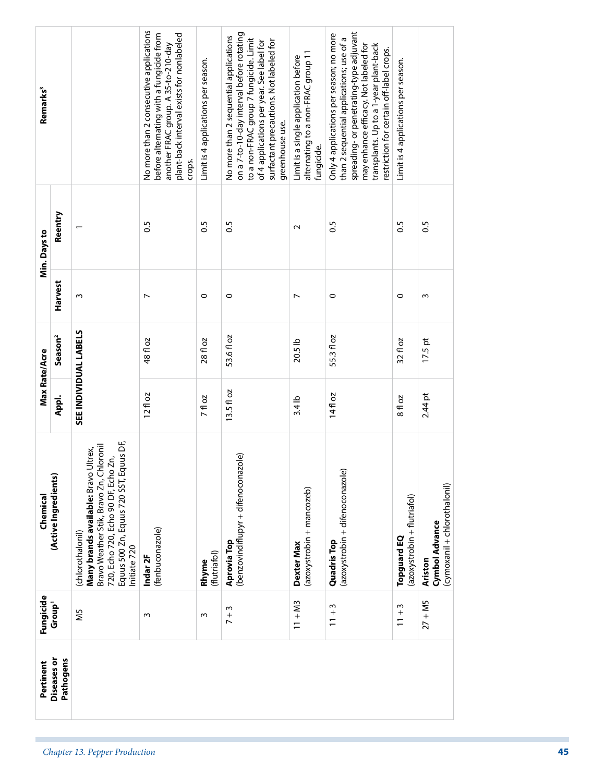|                               | Pertinent                | Fungicide                          | Chemical                                                                                                                                                                                                  |               | Max Rate/Acre         |                | Min. Days to     | Remarks <sup>3</sup>                                                                                                                                                                                                                                         |  |
|-------------------------------|--------------------------|------------------------------------|-----------------------------------------------------------------------------------------------------------------------------------------------------------------------------------------------------------|---------------|-----------------------|----------------|------------------|--------------------------------------------------------------------------------------------------------------------------------------------------------------------------------------------------------------------------------------------------------------|--|
|                               | Diseases or<br>Pathogens | Group <sup>1</sup>                 | (Active Ingredients)                                                                                                                                                                                      | Appl.         | Season <sup>2</sup>   | Harvest        | Reentry          |                                                                                                                                                                                                                                                              |  |
| Chapter 13. Pepper Production |                          | N <sub>5</sub>                     | luus DF,<br>Bravo Weather Stik, Bravo Zn, Chloronil<br>Many brands available: Bravo Ultrex,<br>720, Echo 720, Echo 90 DF, Echo Zn,<br>Equus 500 Zn, Equus 720 SST, Eq<br>(chlorothalonil)<br>Initiate 720 |               | SEE INDIVIDUAL LABELS | S              |                  |                                                                                                                                                                                                                                                              |  |
|                               |                          | $\sim$                             | (fenbuconazole)<br>Indar <sub>2F</sub>                                                                                                                                                                    | $12f$ l oz    | 48 fl oz              | $\overline{ }$ | $\overline{0.5}$ | No more than 2 consecutive applications<br>before alternating with a fungicide from<br>another FRAC group. A 35-to-210-day<br>plant-back interval exists for nonlabeled<br>crops.                                                                            |  |
|                               |                          | $\sim$                             | (flutriafol)<br>Rhyme                                                                                                                                                                                     | <b>7fl oz</b> | 28 fl oz              | $\circ$        | 0.5              | Limit is 4 applications per season.                                                                                                                                                                                                                          |  |
|                               |                          | S<br>$^{+}$<br>$\overline{ }$      | (benzovindiflupyr + difenoconazole)<br>Aprovia Top                                                                                                                                                        | $13.5f$ loz   | 53.6 fl oz            | $\circ$        | S.O              | on a 7-to-10-day interval before rotating<br>No more than 2 sequential applications<br>to a non-FRAC group 7 fungicide. Limit<br>of 4 applications per year. See label for<br>surfactant precautions. Not labeled for<br>greenhouse use.                     |  |
|                               |                          | $11 + M3$                          | (azoxystrobin + mancozeb)<br>Dexter Max                                                                                                                                                                   | $3.4$ lb      | 20.5 lb               | $\overline{ }$ | $\sim$           | alternating to a non-FRAC group 11<br>Limit is a single application before<br>fungicide.                                                                                                                                                                     |  |
|                               |                          | $\sim$<br>$\frac{+}{11}$           | (azoxystrobin + difenoconazole)<br>Quadris Top                                                                                                                                                            | 14fl oz       | 55.3 fl oz            | $\circ$        | $\overline{0}$   | spreading-or penetrating-type adjuvant<br>Only 4 applications per season; no more<br>than 2 sequential applications; use of a<br>may enhance efficacy. Not labeled for<br>transplants. Up to a 1-year plant-back<br>restriction for certain off-label crops. |  |
|                               |                          | $\sim$<br>$^{+}$<br>$\overline{1}$ | (azoxystrobin + flutriafol)<br>Topguard EQ                                                                                                                                                                | 8 fl oz       | 32 fl oz              | 0              | 0.5              | Limit is 4 applications per season.                                                                                                                                                                                                                          |  |
|                               |                          | $27 + MS$                          | (cymoxanil + chlorothalonil)<br>Cymbol Advance<br><b>Ariston</b>                                                                                                                                          | $2.44$ pt     | $17.5$ pt             | w              | $\frac{5}{2}$    |                                                                                                                                                                                                                                                              |  |
|                               |                          |                                    |                                                                                                                                                                                                           |               |                       |                |                  |                                                                                                                                                                                                                                                              |  |
| 45                            |                          |                                    |                                                                                                                                                                                                           |               |                       |                |                  |                                                                                                                                                                                                                                                              |  |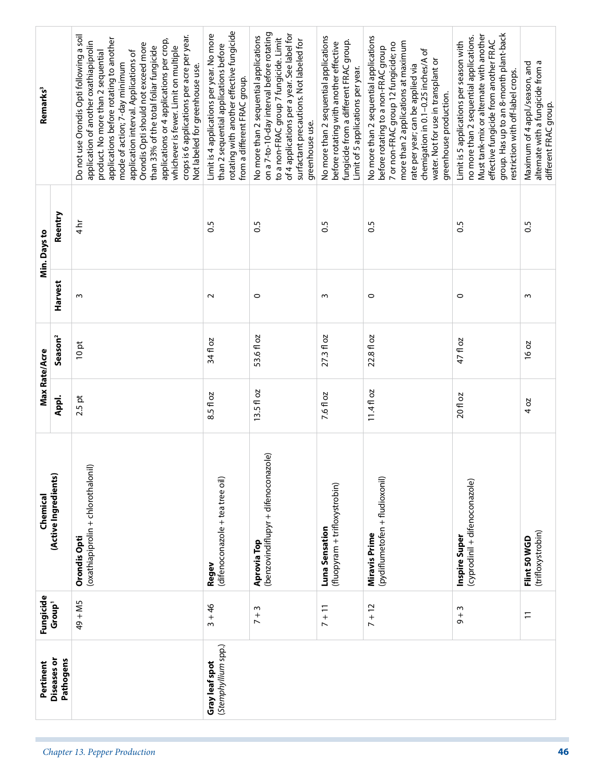| Remarks <sup>3</sup> |                          | Do not use Orondis Opti following a soil<br>crops is 6 applications per acre per year.<br>applications before rotating to another<br>applications or 4 applications per crop,<br>application of another oxathiapiprolin<br>Orondis Opti should not exceed more<br>than 33% of the total foliar fungicide<br>whichever is fewer. Limit on multiple<br>product. No more than 2 sequential<br>application interval. Applications of<br>mode of action; 7-day minimum<br>Not labeled for greenhouse use. | rotating with another effective fungicide<br>Limit is 4 applications per year. No more<br>than 2 sequential applications before<br>from a different FRAC group. | on a 7-to-10-day interval before rotating<br>of 4 applications per a year. See label for<br>No more than 2 sequential applications<br>to a non-FRAC group 7 fungicide. Limit<br>surfactant precautions. Not labeled for<br>greenhouse use. | No more than 2 sequential applications<br>fungicide from a different FRAC group.<br>before rotating with another effective<br>Limit of 5 applications per year. | No more than 2 sequential applications<br>more than 2 applications at maximum<br>7 or non-FRAC group 12 fungicide; no<br>before rotating to a non-FRAC group<br>chemigation in 0.1-0.25 inches/A of<br>water. Not for use in transplant or<br>rate per year; can be applied via<br>greenhouse production. | group. Has up to an 8-month plant-back<br>Must tank-mix or alternate with another<br>no more than 2 sequential applications.<br>effective fungicide from another FRAC<br>Limit is 5 applications per season with<br>restriction with off-label crops. | Maximum of 4 appl./season, and<br>altemate with a fungicide from a<br>different FRAC group. |
|----------------------|--------------------------|------------------------------------------------------------------------------------------------------------------------------------------------------------------------------------------------------------------------------------------------------------------------------------------------------------------------------------------------------------------------------------------------------------------------------------------------------------------------------------------------------|-----------------------------------------------------------------------------------------------------------------------------------------------------------------|--------------------------------------------------------------------------------------------------------------------------------------------------------------------------------------------------------------------------------------------|-----------------------------------------------------------------------------------------------------------------------------------------------------------------|-----------------------------------------------------------------------------------------------------------------------------------------------------------------------------------------------------------------------------------------------------------------------------------------------------------|-------------------------------------------------------------------------------------------------------------------------------------------------------------------------------------------------------------------------------------------------------|---------------------------------------------------------------------------------------------|
| Min. Days to         | Reentry                  | $\frac{1}{4}$                                                                                                                                                                                                                                                                                                                                                                                                                                                                                        | $\frac{5}{2}$                                                                                                                                                   | $\overline{0}$                                                                                                                                                                                                                             | $\frac{5}{2}$                                                                                                                                                   | $\overline{0}$                                                                                                                                                                                                                                                                                            | $\overline{0}$                                                                                                                                                                                                                                        | S.O                                                                                         |
|                      | Harvest                  | $\sim$                                                                                                                                                                                                                                                                                                                                                                                                                                                                                               | $\sim$                                                                                                                                                          | $\circ$                                                                                                                                                                                                                                    | S                                                                                                                                                               | $\circ$                                                                                                                                                                                                                                                                                                   | $\circ$                                                                                                                                                                                                                                               | $\sim$                                                                                      |
| Max Rate/Acre        | Season <sup>2</sup>      | 10pt                                                                                                                                                                                                                                                                                                                                                                                                                                                                                                 | 34 fl oz                                                                                                                                                        | 53.6 fl oz                                                                                                                                                                                                                                 | 27.3 fl oz                                                                                                                                                      | 22.8 fl oz                                                                                                                                                                                                                                                                                                | 47 fl oz                                                                                                                                                                                                                                              | 16 oz                                                                                       |
|                      | Appl.                    | $2.5$ pt                                                                                                                                                                                                                                                                                                                                                                                                                                                                                             | 8.5 fl oz                                                                                                                                                       | $13.5f$ loz                                                                                                                                                                                                                                | 7.6 fl oz                                                                                                                                                       | $11.4f$ loz                                                                                                                                                                                                                                                                                               | 20 fl oz                                                                                                                                                                                                                                              | 4 oz                                                                                        |
| Chemical             | (Active Ingredients)     | (oxathiapiprolin + chlorothalonil)<br>Orondis Opti                                                                                                                                                                                                                                                                                                                                                                                                                                                   | (difenoconazole + tea tree oil)<br>Regev                                                                                                                        | (benzovindiflupyr + difenoconazole)<br>Aprovia Top                                                                                                                                                                                         | (fluopyram + trifloxystrobin)<br>Luna Sensation                                                                                                                 | (pydiflumetofen + fludioxonil)<br><b>Miravis Prime</b>                                                                                                                                                                                                                                                    | (cyprodinil + difenoconazole)<br>Inspire Super                                                                                                                                                                                                        | (trifloxystrobin)<br>Flint 50 WGD                                                           |
| Fungicide            | Group <sup>1</sup>       | 49 + M5                                                                                                                                                                                                                                                                                                                                                                                                                                                                                              | $3 + 46$                                                                                                                                                        | m<br>$\frac{1}{2}$                                                                                                                                                                                                                         | $7 + 11$                                                                                                                                                        | $7 + 12$                                                                                                                                                                                                                                                                                                  | $9 + 3$                                                                                                                                                                                                                                               | $\Xi$                                                                                       |
| Pertinent            | Diseases or<br>Pathogens |                                                                                                                                                                                                                                                                                                                                                                                                                                                                                                      | (Stemphyllium spp.)<br>Gray leaf spot                                                                                                                           |                                                                                                                                                                                                                                            |                                                                                                                                                                 |                                                                                                                                                                                                                                                                                                           |                                                                                                                                                                                                                                                       |                                                                                             |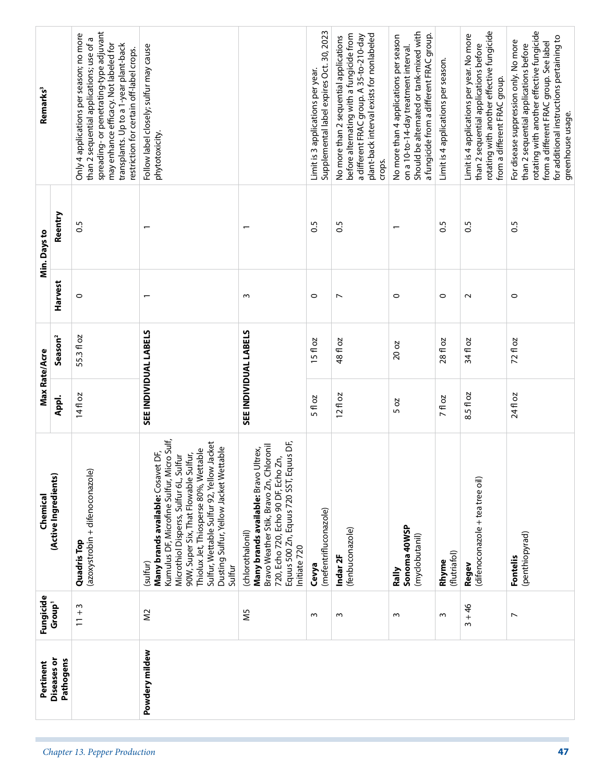| Remarks <sup>3</sup> |                          | spreading-or penetrating-type adjuvant<br>Only 4 applications per season; no more<br>than 2 sequential applications; use of a<br>may enhance efficacy. Not labeled for<br>transplants. Up to a 1-year plant-back<br>restriction for certain off-label crops. | Follow label closely; sulfur may cause<br>phytotoxicity.                                                                                                                                                                                                                                                                     |                                                                                                                                                                                                     | Supplemental label expires Oct. 30, 2023<br>Limit is 3 applications per year. | plant-back interval exists for nonlabeled<br>before alternating with a fungicide from<br>a different FRAC group. A 35-to-210-day<br>No more than 2 sequential applications<br>crops. | Should be alternated or tank-mixed with<br>a fungicide from a different FRAC group.<br>No more than 4 applications per season<br>on a 10-to-14-day treatment interval. | Limit is 4 applications per season. | rotating with another effective fungicide<br>Limit is 4 applications per year. No more<br>than 2 sequential applications before<br>from a different FRAC group. | rotating with another effective fungicide<br>for additional instructions pertaining to<br>For disease suppression only. No more<br>from a different FRAC group. See label<br>than 2 sequential applications before<br>greenhouse usage. |
|----------------------|--------------------------|--------------------------------------------------------------------------------------------------------------------------------------------------------------------------------------------------------------------------------------------------------------|------------------------------------------------------------------------------------------------------------------------------------------------------------------------------------------------------------------------------------------------------------------------------------------------------------------------------|-----------------------------------------------------------------------------------------------------------------------------------------------------------------------------------------------------|-------------------------------------------------------------------------------|--------------------------------------------------------------------------------------------------------------------------------------------------------------------------------------|------------------------------------------------------------------------------------------------------------------------------------------------------------------------|-------------------------------------|-----------------------------------------------------------------------------------------------------------------------------------------------------------------|-----------------------------------------------------------------------------------------------------------------------------------------------------------------------------------------------------------------------------------------|
| Min. Days to         | Reentry                  | <b>S:0</b>                                                                                                                                                                                                                                                   |                                                                                                                                                                                                                                                                                                                              | $\overline{\phantom{0}}$                                                                                                                                                                            | <b>S.O</b>                                                                    | 0.5                                                                                                                                                                                  |                                                                                                                                                                        | 0.5                                 | $\frac{5}{2}$                                                                                                                                                   | S.O                                                                                                                                                                                                                                     |
|                      | Harvest                  | $\circ$                                                                                                                                                                                                                                                      |                                                                                                                                                                                                                                                                                                                              | S                                                                                                                                                                                                   | $\circ$                                                                       | $\overline{ }$                                                                                                                                                                       | $\circ$                                                                                                                                                                | $\circ$                             | $\sim$                                                                                                                                                          | $\circ$                                                                                                                                                                                                                                 |
|                      | Season <sup>2</sup>      | 55.3 fl oz                                                                                                                                                                                                                                                   |                                                                                                                                                                                                                                                                                                                              |                                                                                                                                                                                                     | $15f$ oz                                                                      | 48 fl oz                                                                                                                                                                             | 20 oz                                                                                                                                                                  | 28 fl oz                            | 34 fl oz                                                                                                                                                        | 72 fl oz                                                                                                                                                                                                                                |
| Max Rate/Acre        | Appl.                    | 14fl oz                                                                                                                                                                                                                                                      | SEE INDIVIDUAL LABELS                                                                                                                                                                                                                                                                                                        | SEE INDIVIDUAL LABELS                                                                                                                                                                               | 5 fl oz                                                                       | $12f$ oz                                                                                                                                                                             | 5 oz                                                                                                                                                                   | <b>7fl oz</b>                       | 8.5 fl oz                                                                                                                                                       | 24 fl oz                                                                                                                                                                                                                                |
| Chemical             | (Active Ingredients)     | (azoxystrobin + difenoconazole)<br>Quadris Top                                                                                                                                                                                                               | icro Sulf,<br>Sulfur, Wettable Sulfur 92, Yellow Jacket<br>Dusting Sulfur, Yellow Jacket Wettable<br>Thiolux Jet, Thiosperse 80%, Wettable<br>Many brands available: Cosavet DF,<br>90W, Super Six, That Flowable Sulfur,<br>Microthiol Disperss, Sulfur 6L, Sulfur<br>Kumulus DF, Microfine Sulfur, Mi<br>sulfur)<br>Sulfur | Equus 500 Zn, Equus 720 SST, Equus DF,<br>Bravo Weather Stik, Bravo Zn, Chloronil<br>Many brands available: Bravo Ultrex,<br>720, Echo 720, Echo 90 DF, Echo Zn,<br>(chlorothalonil)<br>nitiate 720 | (mefentrifluconazole)<br>Cevya                                                | (fenbuconazole)<br>Indar <sub>2F</sub>                                                                                                                                               | Sonoma 40WSP<br>(myclobutanil)<br>Rally                                                                                                                                | (flutriafol)<br>Rhyme               | (difenoconazole + tea tree oil)<br>Regev                                                                                                                        | (penthiopyrad)<br><b>Fontelis</b>                                                                                                                                                                                                       |
| Fungicide            | Group <sup>1</sup>       | S<br>$\frac{+}{-}$                                                                                                                                                                                                                                           | $\approx$                                                                                                                                                                                                                                                                                                                    | Μ5                                                                                                                                                                                                  | ω                                                                             | $\sim$                                                                                                                                                                               | $\sim$                                                                                                                                                                 | $\sim$                              | $3 + 46$                                                                                                                                                        | $\overline{ }$                                                                                                                                                                                                                          |
| Pertinent            | Diseases or<br>Pathogens |                                                                                                                                                                                                                                                              | Powdery mildew                                                                                                                                                                                                                                                                                                               |                                                                                                                                                                                                     |                                                                               |                                                                                                                                                                                      |                                                                                                                                                                        |                                     |                                                                                                                                                                 |                                                                                                                                                                                                                                         |
|                      |                          | Chapter 13. Pepper Production                                                                                                                                                                                                                                |                                                                                                                                                                                                                                                                                                                              |                                                                                                                                                                                                     |                                                                               |                                                                                                                                                                                      |                                                                                                                                                                        |                                     |                                                                                                                                                                 | 47                                                                                                                                                                                                                                      |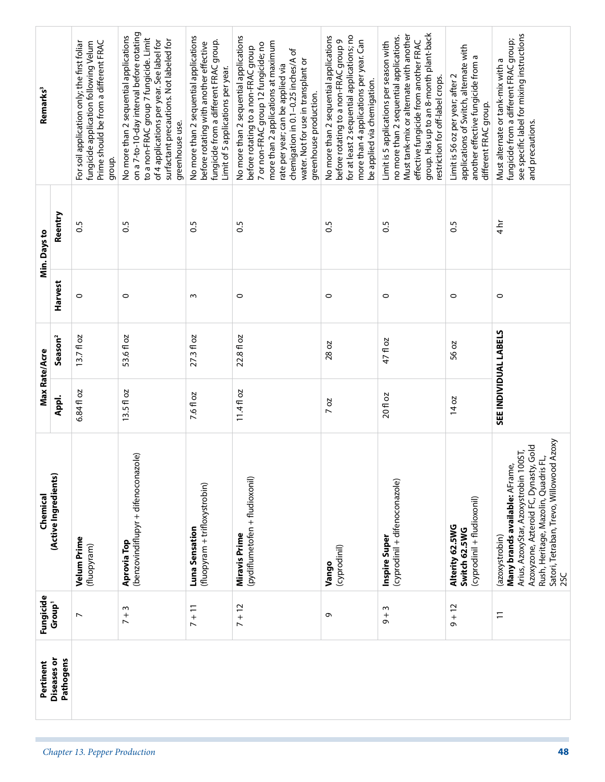| Diseases or<br>Pertinent | Fungicide<br>Group <sup>1</sup> | (Active Ingredients)<br>Chemical                                                                                                                                                                                               | Max Rate/Acre         | Season <sup>2</sup> | Harvest | Min. Days to   | Remarks <sup>3</sup>                                                                                                                                                                                                                                                                                      |
|--------------------------|---------------------------------|--------------------------------------------------------------------------------------------------------------------------------------------------------------------------------------------------------------------------------|-----------------------|---------------------|---------|----------------|-----------------------------------------------------------------------------------------------------------------------------------------------------------------------------------------------------------------------------------------------------------------------------------------------------------|
|                          |                                 |                                                                                                                                                                                                                                | Appl.                 |                     |         | Reentry        |                                                                                                                                                                                                                                                                                                           |
|                          | $\overline{ }$                  | Velum Prime<br>(fluopyram)                                                                                                                                                                                                     | 6.84 fl oz            | $13.7f$ oz          | $\circ$ | 0.5            | Prime should be from a different FRAC<br>fungicide application following Velum<br>For soil application only; the first foliar<br>group.                                                                                                                                                                   |
|                          | $\sim$<br>$+$                   | (benzovindiflupyr + difenoconazole)<br>Aprovia Top                                                                                                                                                                             | $13.5f$ loz           | 53.6 fl oz          | $\circ$ | $\overline{0}$ | on a 7-to-10-day interval before rotating<br>No more than 2 sequential applications<br>to a non-FRAC group 7 fungicide. Limit<br>surfactant precautions. Not labeled for<br>of 4 applications per year. See label for<br>greenhouse use.                                                                  |
|                          | $7 + 11$                        | (fluopyram + trifloxystrobin)<br>Luna Sensation                                                                                                                                                                                | 7.6 fl oz             | $27.3 f$ oz         | m       | 0.5            | No more than 2 sequential applications<br>fungicide from a different FRAC group.<br>before rotating with another effective<br>Limit of 5 applications per year.                                                                                                                                           |
|                          | $7 + 12$                        | (pydiflumetofen + fludioxonil)<br>Miravis Prime                                                                                                                                                                                | $11.4f$ loz           | 22.8 fl oz          | 0       | 0.5            | No more than 2 sequential applications<br>more than 2 applications at maximum<br>7 or non-FRAC group 12 fungicide; no<br>before rotating to a non-FRAC group<br>chemigation in 0.1-0.25 inches/A of<br>water. Not for use in transplant or<br>rate per year; can be applied via<br>greenhouse production. |
|                          | $\sigma$                        | (cyprodinil)<br>Vango                                                                                                                                                                                                          | 2O<br>$\overline{ }$  | 28 oz               | $\circ$ | $\overline{0}$ | for at least 2 sequential applications; no<br>No more than 2 sequential applications<br>more than 4 applications per year. Can<br>before rotating to a non-FRAC group 9<br>be applied via chemigation.                                                                                                    |
|                          | $\sim$<br>$+$ $+$               | (cyprodinil + difenoconazole)<br>Inspire Super                                                                                                                                                                                 | 20 fl oz              | 47 fl oz            | $\circ$ | S.O            | group. Has up to an 8-month plant-back<br>Must tank-mix or alternate with another<br>no more than 2 sequential applications.<br>effective fungicide from another FRAC<br>Limit is 5 applications per season with<br>restriction for off-label crops.                                                      |
|                          | $9 + 12$                        | (cyprodinil + fludioxonil)<br>Alterity 62.5WG<br>Switch 62.5WG                                                                                                                                                                 | 14 oz                 | 56 oz               | 0       | S.O            | applications of Switch, alternate with<br>another effective fungicide from a<br>Limit is 56 oz per year; after 2<br>different FRAC group.                                                                                                                                                                 |
|                          | $\overline{1}$                  | Satori, Tetraban, Trevo, Willowood Azoxy<br>Azoxyzone, Azteroid FC, Dynasty, Gold<br>Arius, AzoxyStar, Azoxystrobin 100ST,<br>린<br>Many brands available: AFrame,<br>Rush, Heritage, Mazolin, Quadris<br>(azoxystrobin)<br>2SC | SEE INDIVIDUAL LABELS |                     | $\circ$ | $\frac{1}{4}$  | see specific label for mixing instructions<br>fungicide from a different FRAC group;<br>Must alternate or tank-mix with a<br>and precautions.                                                                                                                                                             |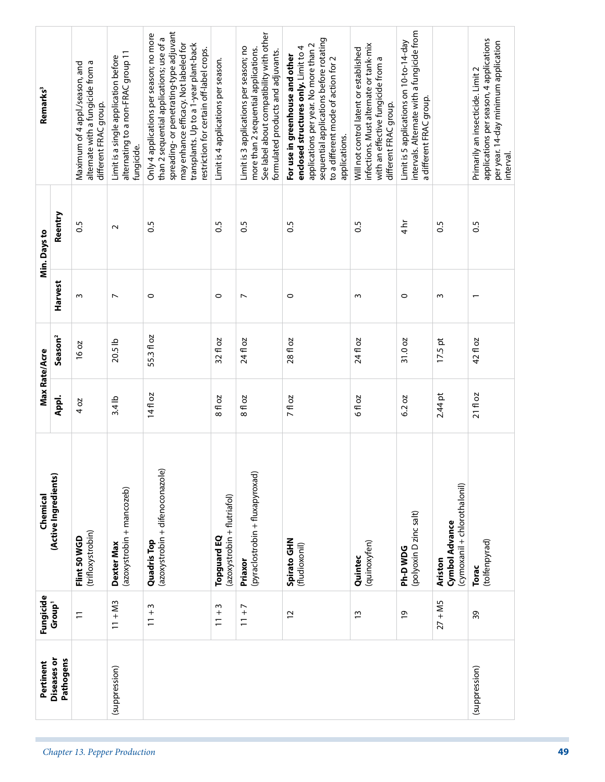| Remarks <sup>3</sup> |                          | altemate with a fungicide from a<br>Maximum of 4 appl./season, and<br>different FRAC group. | alternating to a non-FRAC group 11<br>Limit is a single application before<br>fungicide. | spreading-or penetrating-type adjuvant<br>Only 4 applications per season; no more<br>than 2 sequential applications; use of a<br>may enhance efficacy. Not labeled for<br>transplants. Up to a 1-year plant-back<br>restriction for certain off-label crops. | Limit is 4 applications per season.        | See label about compatibility with other<br>Limit is 3 applications per season; no<br>more than 2 sequential applications.<br>formulated products and adjuvants. | sequential applications before rotating<br>applications per year. No more than 2<br>enclosed structures only. Limit to 4<br>For use in greenhouse and other<br>to a different mode of action for 2<br>applications. | infections. Must alternate or tank-mix<br>Will not control latent or established<br>with an effective fungicide from a<br>different FRAC group. | intervals. Alternate with a fungicide from<br>Limit is 5 applications on 10-to-14-day<br>a different FRAC group. |                                                           | applications per season, 4 applications<br>per year. 14-day minimum application<br>Primarily an insecticide. Limit 2<br>interval. |
|----------------------|--------------------------|---------------------------------------------------------------------------------------------|------------------------------------------------------------------------------------------|--------------------------------------------------------------------------------------------------------------------------------------------------------------------------------------------------------------------------------------------------------------|--------------------------------------------|------------------------------------------------------------------------------------------------------------------------------------------------------------------|---------------------------------------------------------------------------------------------------------------------------------------------------------------------------------------------------------------------|-------------------------------------------------------------------------------------------------------------------------------------------------|------------------------------------------------------------------------------------------------------------------|-----------------------------------------------------------|-----------------------------------------------------------------------------------------------------------------------------------|
| Min. Days to         | Reentry                  | 30                                                                                          | $\sim$                                                                                   | $\overline{0}$                                                                                                                                                                                                                                               | $\overline{0}$                             | $\frac{5}{2}$                                                                                                                                                    | $\frac{5}{2}$                                                                                                                                                                                                       | $\overline{0.5}$                                                                                                                                | $4\overline{h}$                                                                                                  | $\overline{0.5}$                                          | $\frac{5}{2}$                                                                                                                     |
|                      | Harvest                  | $\sim$                                                                                      | $\overline{ }$                                                                           | $\circ$                                                                                                                                                                                                                                                      | $\circ$                                    | $\overline{ }$                                                                                                                                                   | $\circ$                                                                                                                                                                                                             | w                                                                                                                                               | $\circ$                                                                                                          | $\sim$                                                    |                                                                                                                                   |
|                      | Season <sup>2</sup>      | 16 oz                                                                                       | 20.5 lb                                                                                  | 55.3 fl oz                                                                                                                                                                                                                                                   | 32 fl oz                                   | 24 fl oz                                                                                                                                                         | 28 fl oz                                                                                                                                                                                                            | 24 fl oz                                                                                                                                        | 31.0 oz                                                                                                          | $17.5$ pt                                                 | 42 fl oz                                                                                                                          |
| Max Rate/Acre        | Appl.                    | 4 oz                                                                                        | $3.4$ lb                                                                                 | 14fl oz                                                                                                                                                                                                                                                      | 8 fl oz                                    | <b>DZ</b><br>$\frac{8}{6}$                                                                                                                                       | 7 fl oz                                                                                                                                                                                                             | <b>DZ</b><br>€ م                                                                                                                                | 6.2 oz                                                                                                           | $2.44$ pt                                                 | $21f$ loz                                                                                                                         |
| Chemical             | (Active Ingredients)     | (trifloxystrobin)<br>Flint 50 WGD                                                           | (azoxystrobin + mancozeb)<br>Dexter Max                                                  | (azoxystrobin + difenoconazole)<br><b>Quadris Top</b>                                                                                                                                                                                                        | (azoxystrobin + flutriafol)<br>Topguard EQ | (pyraclostrobin + fluxapyroxad)<br>Priaxor                                                                                                                       | Spirato GHN<br>(fludioxonil)                                                                                                                                                                                        | (quinoxyfen)<br>Quintec                                                                                                                         | (polyoxin D zinc salt)<br>Ph-DWDG                                                                                | (cymoxanil + chlorothalonil)<br>Cymbol Advance<br>Ariston | (tolfenpyrad)<br>Torac                                                                                                            |
| Fungicide            | Group <sup>1</sup>       | $\overline{1}$                                                                              | $11 + M3$                                                                                | $\sim$<br>$\frac{+}{-}$                                                                                                                                                                                                                                      | $\sim$<br>$\frac{1}{1}$                    | $\overline{a}$<br>$\overline{1}$                                                                                                                                 | $\overline{c}$                                                                                                                                                                                                      | $\tilde{1}$                                                                                                                                     | $\overline{6}$                                                                                                   | $27 + MS$                                                 | 39                                                                                                                                |
| Pertinent            | Diseases or<br>Pathogens |                                                                                             | (suppression)                                                                            |                                                                                                                                                                                                                                                              |                                            |                                                                                                                                                                  |                                                                                                                                                                                                                     |                                                                                                                                                 |                                                                                                                  |                                                           | (suppression)                                                                                                                     |
|                      |                          | Chapter 13. Pepper Production                                                               |                                                                                          |                                                                                                                                                                                                                                                              |                                            |                                                                                                                                                                  |                                                                                                                                                                                                                     |                                                                                                                                                 |                                                                                                                  |                                                           |                                                                                                                                   |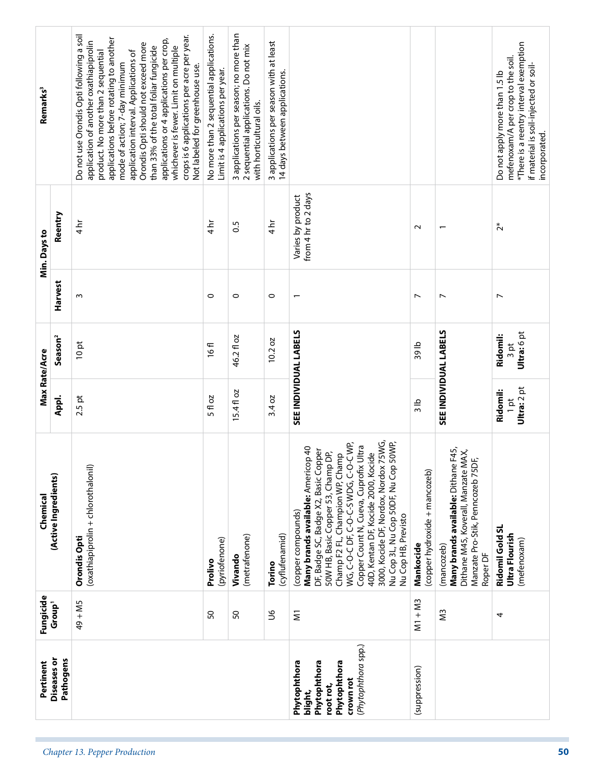|                                                                                                          | Fungicide               | Chemical                                                                                                                                                                                                                                                                                                                                                                                                     | Max Rate/Acre                     |                                 |                          | Min. Days to                             | Remarks <sup>3</sup>                                                                                                                                                                                                                                                                                                                                                                                                                                                                                 |
|----------------------------------------------------------------------------------------------------------|-------------------------|--------------------------------------------------------------------------------------------------------------------------------------------------------------------------------------------------------------------------------------------------------------------------------------------------------------------------------------------------------------------------------------------------------------|-----------------------------------|---------------------------------|--------------------------|------------------------------------------|------------------------------------------------------------------------------------------------------------------------------------------------------------------------------------------------------------------------------------------------------------------------------------------------------------------------------------------------------------------------------------------------------------------------------------------------------------------------------------------------------|
| Diseases or<br>Pathogens                                                                                 | Group <sup>1</sup>      | (Active Ingredients)                                                                                                                                                                                                                                                                                                                                                                                         | Appl.                             | Season <sup>2</sup>             | Harvest                  | Reentry                                  |                                                                                                                                                                                                                                                                                                                                                                                                                                                                                                      |
|                                                                                                          | $49 + MS$               | (oxathiapiprolin + chlorothalonil<br>Orondis Opti                                                                                                                                                                                                                                                                                                                                                            | $2.5$ pt                          | 10pt                            | S                        | $\frac{1}{4}$                            | Do not use Orondis Opti following a soil<br>crops is 6 applications per acre per year.<br>applications before rotating to another<br>applications or 4 applications per crop,<br>application of another oxathiapiprolin<br>Orondis Opti should not exceed more<br>than 33% of the total foliar fungicide<br>whichever is fewer. Limit on multiple<br>product. No more than 2 sequential<br>application interval. Applications of<br>mode of action; 7-day minimum<br>Not labeled for greenhouse use. |
|                                                                                                          | SO                      | (pyriofenone)<br>Prolivo                                                                                                                                                                                                                                                                                                                                                                                     | 5 fl oz                           | 16fl                            | $\circ$                  | $\frac{1}{4}$                            | No more than 2 sequential applications.<br>Limit is 4 applications per year.                                                                                                                                                                                                                                                                                                                                                                                                                         |
|                                                                                                          | SO                      | (metrafenone)<br>Vivando                                                                                                                                                                                                                                                                                                                                                                                     | $15.4f$ oz                        | 46.2 fl oz                      | $\circ$                  | 0.5                                      | 3 applications per season; no more than<br>2 sequential applications. Do not mix<br>with horticultural oils.                                                                                                                                                                                                                                                                                                                                                                                         |
|                                                                                                          | 9C                      | (cyflufenamid)<br>Torino                                                                                                                                                                                                                                                                                                                                                                                     | 3.4 oz                            | 10.2 oz                         | 0                        | $\frac{4}{11}$                           | 3 applications per season with at least<br>14 days between applications.                                                                                                                                                                                                                                                                                                                                                                                                                             |
| (Phytophthora spp.)<br>Phytophthora<br>Phytophthora<br>Phytophthora<br>crown rot<br>root rot,<br>blight, | $\overline{\mathsf{s}}$ | 3000, Kocide DF, Nordox, Nordox 75WG,<br>50WP,<br>WG, C-O-C DF, C-O-C-S WDG, C-O-C WP,<br>Copper Count N, Cueva, Cuprofix Ultra<br>Many brands available: Americop 40<br>DF, Badge SC, Badge X2, Basic Copper<br>40D, Kentan DF, Kocide 2000, Kocide<br>50W HB, Basic Copper 53, Champ DP,<br>Champ F2 FL, Champion WP, Champ<br>Nu Cop 3L, Nu Cop 50DF, Nu Cop<br>(copper compounds)<br>Nu Cop HB, Previsto |                                   | SEE INDIVIDUAL LABELS           | $\overline{\phantom{0}}$ | from 4 hr to 2 days<br>Varies by product |                                                                                                                                                                                                                                                                                                                                                                                                                                                                                                      |
| (suppression)                                                                                            | $M1 + M3$               | (copper hydroxide + mancozeb)<br>Mankocide                                                                                                                                                                                                                                                                                                                                                                   | 3 lb                              | 39 lb                           | $\overline{ }$           | $\sim$                                   |                                                                                                                                                                                                                                                                                                                                                                                                                                                                                                      |
|                                                                                                          | ΣS                      | Many brands available: Dithane F45,<br>Dithane M45, Koverall, Manzate MAX,<br>Manzate Pro-Stik, Penncozeb 75DF,<br>(mancozeb)<br>Roper DF                                                                                                                                                                                                                                                                    |                                   | SEE INDIVIDUAL LABELS           | $\overline{ }$           | $\overline{\phantom{0}}$                 |                                                                                                                                                                                                                                                                                                                                                                                                                                                                                                      |
|                                                                                                          | 4                       | Ridomil Gold SL<br>Ultra Flourish<br>(mefenoxam)                                                                                                                                                                                                                                                                                                                                                             | Ultra: 2 pt<br>Ridomil:<br>$1$ pt | Ultra: 6 pt<br>Ridomil:<br>3 pt | $\overline{ }$           | $\tilde{c}^*$                            | *There is a reentry interval exemption<br>mefenoxam/A per crop to the soil.<br>if material is soil-injected or soil-<br>Do not apply more than 1.5 lb<br>incorporated.                                                                                                                                                                                                                                                                                                                               |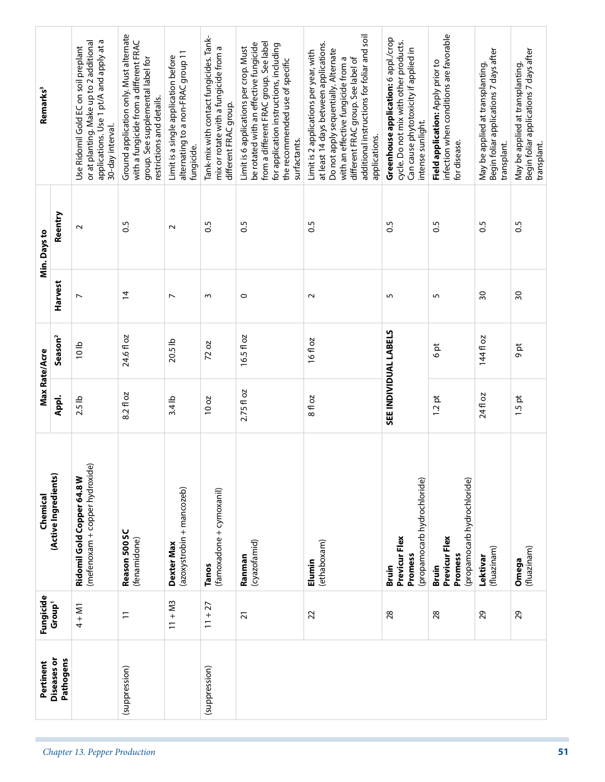| Field application: Apply prior to<br>May be applied at transplanting.<br>May be applied at transplanting.<br>restrictions and details.<br>different FRAC group.<br>intense sunlight.<br>30-day interval.<br>applications.<br>surfactants.<br>for disease.<br>transplant.<br>transplant.<br>fungicide.<br>Reentry<br>$\overline{0}$<br>S.O<br>0.5<br>$\frac{5}{2}$<br>$\overline{0}$<br><b>S:0</b><br>S.O<br>0.5<br>$\sim$<br>$\sim$<br>Harvest<br>$\overline{4}$<br>$\overline{30}$<br>30<br>m<br>$\circ$<br>$\sim$<br>5<br>5<br>$\overline{ }$<br>$\overline{ }$<br>SEE INDIVIDUAL LABELS<br>24.6 fl oz<br>16.5 fl oz<br>Season <sup>2</sup><br>144 fl oz<br>16 fl oz<br>20.5 lb<br>72 oz<br>10 <sub>1</sub><br>9 pt<br>$\frac{6}{5}$<br>2.75 fl oz<br>8.2 fl oz<br>24 fl oz<br>8 fl oz<br>$1.5$ pt<br>Appl.<br>1.2pt<br>$2.5$ lb<br>$3.4$ lb<br>10 oz<br>(mefenoxam + copper hydroxide)<br>Ridomil Gold Copper 64.8 W<br>(propamocarb hydrochloride)<br>(propamocarb hydrochloride)<br>(azoxystrobin + mancozeb)<br>(famoxadone + cymoxanil)<br>Reason 500 SC<br>Previcur Flex<br>Previcur Flex<br>(fenamidone)<br>(cyazofamid)<br>(ethaboxam)<br>Dexter Max<br>(fluazinam)<br>(fluazinam)<br>Promess<br>Promess<br>Ranman<br>Lektivar<br>Omega<br>Elumin<br><b>Tanos</b><br>Bruin<br><b>Bruin</b><br>$11 + M3$<br>$11 + 27$<br>$4 + M1$<br>28<br>29<br>29<br>22<br>28<br>$\overline{1}$<br>$\overline{2}1$<br>Pathogens<br>(suppression)<br>(suppression)<br>Chapter 13. Pepper Production | Pertinent   | Fungicide          | Chemical             | Max Rate/Acre |  | Min. Days to | Remarks <sup>3</sup>                                                                                                                                                                                                                                |  |
|-----------------------------------------------------------------------------------------------------------------------------------------------------------------------------------------------------------------------------------------------------------------------------------------------------------------------------------------------------------------------------------------------------------------------------------------------------------------------------------------------------------------------------------------------------------------------------------------------------------------------------------------------------------------------------------------------------------------------------------------------------------------------------------------------------------------------------------------------------------------------------------------------------------------------------------------------------------------------------------------------------------------------------------------------------------------------------------------------------------------------------------------------------------------------------------------------------------------------------------------------------------------------------------------------------------------------------------------------------------------------------------------------------------------------------------------------------------------------------------------------|-------------|--------------------|----------------------|---------------|--|--------------|-----------------------------------------------------------------------------------------------------------------------------------------------------------------------------------------------------------------------------------------------------|--|
|                                                                                                                                                                                                                                                                                                                                                                                                                                                                                                                                                                                                                                                                                                                                                                                                                                                                                                                                                                                                                                                                                                                                                                                                                                                                                                                                                                                                                                                                                               | Diseases or | Group <sup>1</sup> | (Active Ingredients) |               |  |              |                                                                                                                                                                                                                                                     |  |
|                                                                                                                                                                                                                                                                                                                                                                                                                                                                                                                                                                                                                                                                                                                                                                                                                                                                                                                                                                                                                                                                                                                                                                                                                                                                                                                                                                                                                                                                                               |             |                    |                      |               |  |              | or at planting. Make up to 2 additional<br>applications. Use 1 pt/A and apply at a<br>Use Ridomil Gold EC on soil preplant                                                                                                                          |  |
|                                                                                                                                                                                                                                                                                                                                                                                                                                                                                                                                                                                                                                                                                                                                                                                                                                                                                                                                                                                                                                                                                                                                                                                                                                                                                                                                                                                                                                                                                               |             |                    |                      |               |  |              | Ground application only. Must alternate<br>with a fungicide from a different FRAC<br>group. See supplemental label for                                                                                                                              |  |
|                                                                                                                                                                                                                                                                                                                                                                                                                                                                                                                                                                                                                                                                                                                                                                                                                                                                                                                                                                                                                                                                                                                                                                                                                                                                                                                                                                                                                                                                                               |             |                    |                      |               |  |              | alternating to a non-FRAC group 11<br>Limit is a single application before                                                                                                                                                                          |  |
|                                                                                                                                                                                                                                                                                                                                                                                                                                                                                                                                                                                                                                                                                                                                                                                                                                                                                                                                                                                                                                                                                                                                                                                                                                                                                                                                                                                                                                                                                               |             |                    |                      |               |  |              | Tank-mix with contact fungicides. Tank-<br>mix or rotate with a fungicide from a                                                                                                                                                                    |  |
|                                                                                                                                                                                                                                                                                                                                                                                                                                                                                                                                                                                                                                                                                                                                                                                                                                                                                                                                                                                                                                                                                                                                                                                                                                                                                                                                                                                                                                                                                               |             |                    |                      |               |  |              | from a different FRAC group. See label<br>be rotated with an effective fungicide<br>for application instructions, including<br>Limit is 6 applications per crop. Must<br>the recommended use of specific                                            |  |
|                                                                                                                                                                                                                                                                                                                                                                                                                                                                                                                                                                                                                                                                                                                                                                                                                                                                                                                                                                                                                                                                                                                                                                                                                                                                                                                                                                                                                                                                                               |             |                    |                      |               |  |              | additional instructions for foliar and soil<br>at least 14 days between applications.<br>Do not apply sequentially. Alternate<br>Limit is 2 applications per year, with<br>different FRAC group. See label of<br>with an effective fungicide from a |  |
|                                                                                                                                                                                                                                                                                                                                                                                                                                                                                                                                                                                                                                                                                                                                                                                                                                                                                                                                                                                                                                                                                                                                                                                                                                                                                                                                                                                                                                                                                               |             |                    |                      |               |  |              | Greenhouse application: 6 appl./crop<br>cycle. Do not mix with other products.<br>Can cause phytotoxicity if applied in                                                                                                                             |  |
|                                                                                                                                                                                                                                                                                                                                                                                                                                                                                                                                                                                                                                                                                                                                                                                                                                                                                                                                                                                                                                                                                                                                                                                                                                                                                                                                                                                                                                                                                               |             |                    |                      |               |  |              | infection when conditions are favorable                                                                                                                                                                                                             |  |
|                                                                                                                                                                                                                                                                                                                                                                                                                                                                                                                                                                                                                                                                                                                                                                                                                                                                                                                                                                                                                                                                                                                                                                                                                                                                                                                                                                                                                                                                                               |             |                    |                      |               |  |              | Begin foliar applications 7 days after                                                                                                                                                                                                              |  |
|                                                                                                                                                                                                                                                                                                                                                                                                                                                                                                                                                                                                                                                                                                                                                                                                                                                                                                                                                                                                                                                                                                                                                                                                                                                                                                                                                                                                                                                                                               |             |                    |                      |               |  |              | Begin foliar applications 7 days after                                                                                                                                                                                                              |  |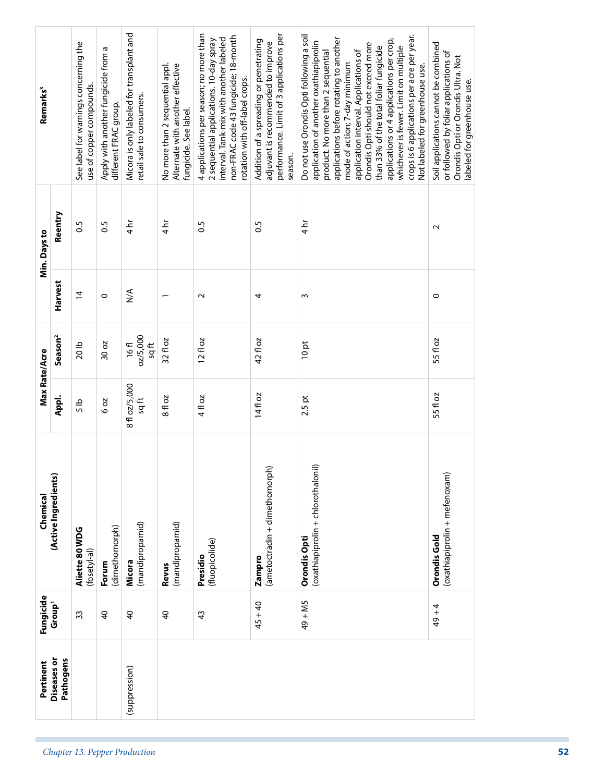|                               | Pertinent                       | Fungicide          | Chemical                                             | Max Rate/Acre           |                                  |                  | Min. Days to    | Remarks <sup>3</sup>                                                                                                                                                                                                                                                                                                                                                                                                                                                                                 |
|-------------------------------|---------------------------------|--------------------|------------------------------------------------------|-------------------------|----------------------------------|------------------|-----------------|------------------------------------------------------------------------------------------------------------------------------------------------------------------------------------------------------------------------------------------------------------------------------------------------------------------------------------------------------------------------------------------------------------------------------------------------------------------------------------------------------|
|                               | <b>Diseases</b> or<br>Pathogens | Group <sup>1</sup> | (Active Ingredients)                                 | Appl.                   | Season <sup>2</sup>              | Harvest          | Reentry         |                                                                                                                                                                                                                                                                                                                                                                                                                                                                                                      |
|                               |                                 | 33                 | Aliette 80 WDG<br>(fosetyl-al)                       | $\frac{5}{5}$           | 20 <sub>lb</sub>                 | $\overline{4}$   | $\frac{5}{2}$   | See label for warnings concerning the<br>use of copper compounds.                                                                                                                                                                                                                                                                                                                                                                                                                                    |
|                               |                                 | $\overline{a}$     | (dimethomorph)<br>Forum                              | 6 oz                    | 30 oz                            | $\circ$          | $\overline{0}$  | Apply with another fungicide from a<br>different FRAC group.                                                                                                                                                                                                                                                                                                                                                                                                                                         |
| Chapter 13. Pepper Production | (suppression)                   | $\overline{4}$     | (mandipropamid)<br>Micora                            | 8 fl oz/5,000<br>$\log$ | 02/5,000<br>$\frac{4}{3}$<br>16f | $\sum_{i=1}^{n}$ | $4\overline{h}$ | Micora is only labeled for transplant and<br>retail sale to consumers.                                                                                                                                                                                                                                                                                                                                                                                                                               |
|                               |                                 | $\overline{a}$     | (mandipropamid)<br>Revus                             | 8 fl oz                 | 32 fl oz                         |                  | ط ہے<br>4       | Alternate with another effective<br>No more than 2 sequential appl.<br>fungicide. See label.                                                                                                                                                                                                                                                                                                                                                                                                         |
|                               |                                 | $\frac{4}{3}$      | (fluopicolide)<br>Presidio                           | 4 fl oz                 | $12f$ oz                         | $\sim$           | $\overline{0}$  | 4 applications per season; no more than<br>non-FRAC code 43 fungicide; 18-month<br>interval. Tank-mix with another labeled<br>2 sequential applications. 10-day spray<br>rotation with off-label crops.                                                                                                                                                                                                                                                                                              |
|                               |                                 | $45 + 40$          | (ametoctradin + dimethomorph)<br>Zampro              | 14fl oz                 | 42 fl oz                         | 4                | S.O             | performance. Limit of 3 applications per<br>Addition of a spreading or penetrating<br>adjuvant is recommended to improve<br>season.                                                                                                                                                                                                                                                                                                                                                                  |
|                               |                                 | 49 + M5            | (oxathiapiprolin + chlorothalonil)<br>Orondis Opti   | $2.5$ pt                | 10pt                             | $\sim$           | $\frac{1}{4}$   | Do not use Orondis Opti following a soil<br>crops is 6 applications per acre per year.<br>applications before rotating to another<br>applications or 4 applications per crop,<br>application of another oxathiapiprolin<br>Orondis Opti should not exceed more<br>than 33% of the total foliar fungicide<br>whichever is fewer. Limit on multiple<br>product. No more than 2 sequential<br>application interval. Applications of<br>mode of action; 7-day minimum<br>Not labeled for greenhouse use. |
|                               |                                 | $49 + 4$           | (oxathiapiprolin + mefenoxam)<br><b>Orondis Gold</b> | 55 fl oz                | 55 fl oz                         | 0                | $\sim$          | Soil applications cannot be combined<br>or followed by foliar applications of<br>Orondis Opti or Orondis Ultra. Not<br>labeled for greenhouse use.                                                                                                                                                                                                                                                                                                                                                   |
| 52                            |                                 |                    |                                                      |                         |                                  |                  |                 |                                                                                                                                                                                                                                                                                                                                                                                                                                                                                                      |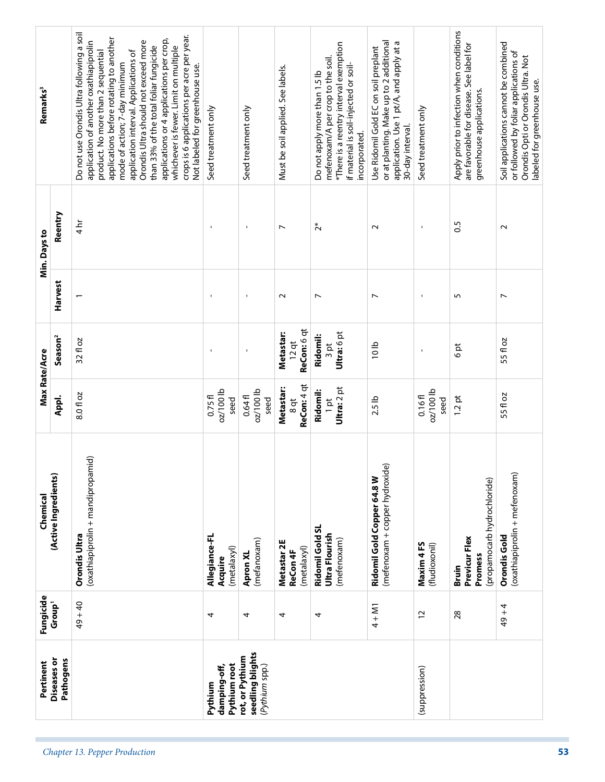| Remarks <sup>3</sup>                  | Reentry             | Do not use Orondis Ultra following a soil<br>crops is 6 applications per acre per year.<br>applications before rotating to another<br>applications or 4 applications per crop,<br>application of another oxathiapiprolin<br>Orondis Ultra should not exceed more<br>than 33% of the total foliar fungicide<br>whichever is fewer. Limit on multiple<br>product. No more than 2 sequential<br>application interval. Applications of<br>mode of action; 7-day minimum<br>Not labeled for greenhouse use.<br>$\frac{1}{4}$ | Seed treatment only                     | Seed treatment only<br>$\mathbf{I}$                   | Must be soil applied. See labels.<br>$\overline{ }$ | *There is a reentry interval exemption<br>mefenoxam/A per crop to the soil.<br>if material is soil-injected or soil-<br>Do not apply more than 1.5 lb<br>incorporated.<br>$\tilde{c}^*$ | or at planting. Make up to 2 additional<br>application. Use 1 pt/A, and apply at a<br>Use Ridomil Gold EC on soil preplant<br>30-day interval.<br>$\sim$ | Seed treatment only           | Apply prior to infection when conditions<br>are favorable for disease. See label for<br>greenhouse applications.<br>S. | Soil applications cannot be combined<br>or followed by foliar applications of<br>Orondis Opti or Orondis Ultra. Not<br>labeled for greenhouse use.<br>$\sim$ |
|---------------------------------------|---------------------|-------------------------------------------------------------------------------------------------------------------------------------------------------------------------------------------------------------------------------------------------------------------------------------------------------------------------------------------------------------------------------------------------------------------------------------------------------------------------------------------------------------------------|-----------------------------------------|-------------------------------------------------------|-----------------------------------------------------|-----------------------------------------------------------------------------------------------------------------------------------------------------------------------------------------|----------------------------------------------------------------------------------------------------------------------------------------------------------|-------------------------------|------------------------------------------------------------------------------------------------------------------------|--------------------------------------------------------------------------------------------------------------------------------------------------------------|
| Min. Days to                          | Harvest             |                                                                                                                                                                                                                                                                                                                                                                                                                                                                                                                         | ٠                                       | $\mathbf{I}$                                          | $\sim$                                              | $\overline{ }$                                                                                                                                                                          | $\overline{ }$                                                                                                                                           |                               | 5                                                                                                                      | $\overline{ }$                                                                                                                                               |
|                                       | Season <sup>2</sup> | 32 fl oz                                                                                                                                                                                                                                                                                                                                                                                                                                                                                                                | $\overline{\phantom{a}}$                | $\blacksquare$                                        | ReCon: 6 qt<br><b>Metastar:</b><br>$12$ qt          | Ultra: 6 pt<br>Ridomil:<br>3pt                                                                                                                                                          | 10 <sub>1</sub>                                                                                                                                          |                               | 6pt                                                                                                                    | 55 fl oz                                                                                                                                                     |
| Max Rate/Acre                         | Appl.               | 8.0 fl oz                                                                                                                                                                                                                                                                                                                                                                                                                                                                                                               | $oz/100$ lb<br>0.75f<br>seed            | $oz/100$ lb<br>0.64f<br>seed                          | ReCon: 4 qt<br>Metastar:<br>$\frac{8}{9}$           | Ultra: 2 pt<br>Ridomil:<br>$1$ pt                                                                                                                                                       | 2.5 lb                                                                                                                                                   | $oz/100$ lb<br>0.16f1<br>seed | 1.2pt                                                                                                                  | 55 fl oz                                                                                                                                                     |
| (Active Ingredients)<br>Chemical      |                     | (oxathiapiprolin + mandipropamid)<br>Orondis Ultra                                                                                                                                                                                                                                                                                                                                                                                                                                                                      | Allegiance-FL<br>(metalaxyl)<br>Acquire | (mefanoxam)<br>Apron XL                               | Metastar 2E<br>(metalaxyl)<br>ReCon 4F              | Ridomil Gold SL<br>Ultra Flourish<br>(mefenoxam)                                                                                                                                        | (mefenoxam + copper hydroxide)<br>Ridomil Gold Copper 64.8 W                                                                                             | Maxim 4FS<br>(fludioxonil)    | (propamocarb hydrochloride)<br>Previcur Flex<br>Promess<br>Bruin                                                       | (oxathiapiprolin + mefenoxam)<br><b>Orondis Gold</b>                                                                                                         |
| Fungicide<br>Group <sup>1</sup>       |                     | $49 + 40$                                                                                                                                                                                                                                                                                                                                                                                                                                                                                                               | 4                                       | 4                                                     | 4                                                   | 4                                                                                                                                                                                       | $4 + M1$                                                                                                                                                 | $\overline{c}$                | 28                                                                                                                     | $49 + 4$                                                                                                                                                     |
| Diseases or<br>Pathogens<br>Pertinent |                     |                                                                                                                                                                                                                                                                                                                                                                                                                                                                                                                         | Pythium root<br>damping-off,<br>Pythium | seedling blights<br>rot, or Pythium<br>(Pythium spp.) |                                                     |                                                                                                                                                                                         |                                                                                                                                                          | (suppression)                 |                                                                                                                        |                                                                                                                                                              |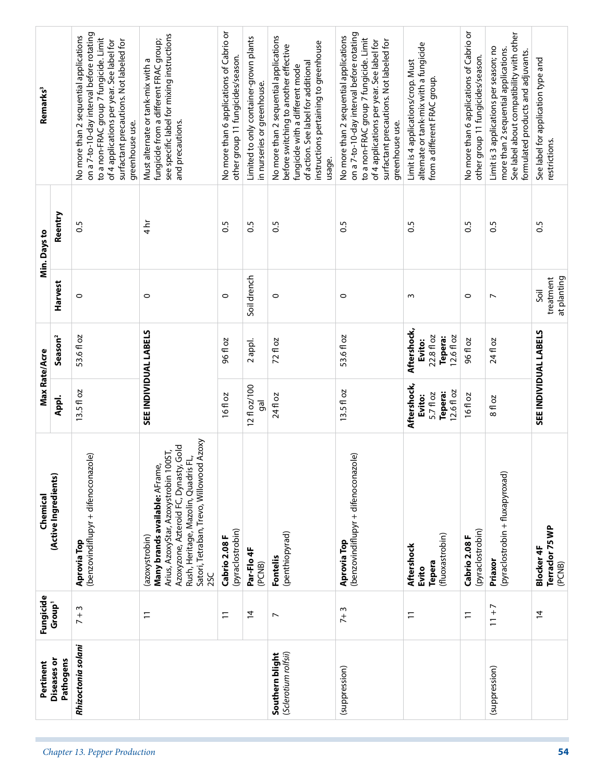|                               | Pertinent                               | Fungicide                | Chemical                                                                                                                                                                                                                                     | Max Rate/Acre                                               |                                                                     |                                  | Min. Days to   | Remarks <sup>3</sup>                                                                                                                                                                                                                     |
|-------------------------------|-----------------------------------------|--------------------------|----------------------------------------------------------------------------------------------------------------------------------------------------------------------------------------------------------------------------------------------|-------------------------------------------------------------|---------------------------------------------------------------------|----------------------------------|----------------|------------------------------------------------------------------------------------------------------------------------------------------------------------------------------------------------------------------------------------------|
|                               | Diseases or<br>Pathogens                | Group <sup>1</sup>       | (Active Ingredients)                                                                                                                                                                                                                         | Appl.                                                       | Season <sup>2</sup>                                                 | Harvest                          | Reentry        |                                                                                                                                                                                                                                          |
| Chapter 13. Pepper Production | Rhizoctonia solani                      | $7 + 3$                  | (benzovindiflupyr + difenoconazole)<br>Aprovia Top                                                                                                                                                                                           | 13.5 fl oz                                                  | 53.6 fl oz                                                          | $\circ$                          | 0.5            | on a 7-to-10-day interval before rotating<br>No more than 2 sequential applications<br>to a non-FRAC group 7 fungicide. Limit<br>surfactant precautions. Not labeled for<br>of 4 applications per year. See label for<br>greenhouse use. |
|                               |                                         | $\overline{1}$           | Satori, Tetraban, Trevo, Willowood Azoxy<br>Azoxyzone, Azteroid FC, Dynasty, Gold<br>Arius, AzoxyStar, Azoxystrobin 100ST,<br>$\vec{E}$<br>Many brands available: AFrame,<br>Rush, Heritage, Mazolin, Quadris<br>(azoxystrobin)<br><b>SC</b> | SEE INDIVIDUAL LABELS                                       |                                                                     | $\circ$                          | 4 h            | see specific label for mixing instructions<br>fungicide from a different FRAC group;<br>Must alternate or tank-mix with a<br>and precautions.                                                                                            |
|                               |                                         | $\overline{1}$           | (pyraclostrobin)<br>Cabrio 2.08 F                                                                                                                                                                                                            | 16fl oz                                                     | 96 fl oz                                                            | 0                                | S.O            | No more than 6 applications of Cabrio or<br>other group 11 fungicides/season.                                                                                                                                                            |
|                               |                                         | $\overline{4}$           | Par-Flo <sub>4</sub> F<br>(PCNB)                                                                                                                                                                                                             | 12 fl oz/100<br>gal                                         | 2 appl.                                                             | Soil drench                      | 0.5            | Limited to only container-grown plants<br>in nurseries or greenhouse.                                                                                                                                                                    |
|                               | (Sclerotium rolfsii)<br>Southern blight | $\overline{\phantom{a}}$ | (penthiopyrad)<br>Fontelis                                                                                                                                                                                                                   | 24 fl oz                                                    | 72 fl oz                                                            | $\circ$                          | $\overline{0}$ | No more than 2 sequential applications<br>instructions pertaining to greenhouse<br>before switching to another effective<br>of action. See label for additional<br>fungicide with a different mode<br>usage.                             |
|                               | (suppression)                           | $7 + 3$                  | (benzovindiflupyr + difenoconazole)<br>Aprovia Top                                                                                                                                                                                           | 13.5 fl oz                                                  | 53.6 fl oz                                                          | $\circ$                          | $\frac{5}{2}$  | on a 7-to-10-day interval before rotating<br>No more than 2 sequential applications<br>to a non-FRAC group 7 fungicide. Limit<br>surfactant precautions. Not labeled for<br>of 4 applications per year. See label for<br>greenhouse use. |
|                               |                                         | $\overline{1}$           | (fluoxastrobin)<br>Aftershock<br>Tepera<br>Evito                                                                                                                                                                                             | Aftershock,<br>12.6 fl oz<br>Tepera:<br>5.7 fl oz<br>Evito: | Aftershock,<br>22.8 fl oz<br>12.6 fl oz<br><b>Tepera:</b><br>Evito: | w                                | S.O            | alternate or tank-mix with a fungicide<br>Limit is 4 applications/crop. Must<br>from a different FRAC group.                                                                                                                             |
|                               |                                         | $\overline{1}$           | (pyraclostrobin)<br>Cabrio 2.08 F                                                                                                                                                                                                            | 16fl oz                                                     | 96 fl oz                                                            | $\circ$                          | S.O            | No more than 6 applications of Cabrio or<br>other group 11 fungicides/season.                                                                                                                                                            |
|                               | (suppression)                           | $11 + 7$                 | (pyraclostrobin + fluxapyroxad)<br>Priaxor                                                                                                                                                                                                   | 8 fl oz                                                     | 24 fl oz                                                            | N                                | S.O            | See label about compatibility with other<br>Limit is 3 applications per season; no<br>more than 2 sequential applications.<br>formulated products and adjuvants.                                                                         |
| 54                            |                                         | $\overline{4}$           | Terraclor 75 WP<br><b>Blocker 4F</b><br>(PCNB)                                                                                                                                                                                               | SEE INDIVIDUAL LABELS                                       |                                                                     | at planting<br>treatment<br>Soil | 0.5            | See label for application type and<br>restrictions.                                                                                                                                                                                      |